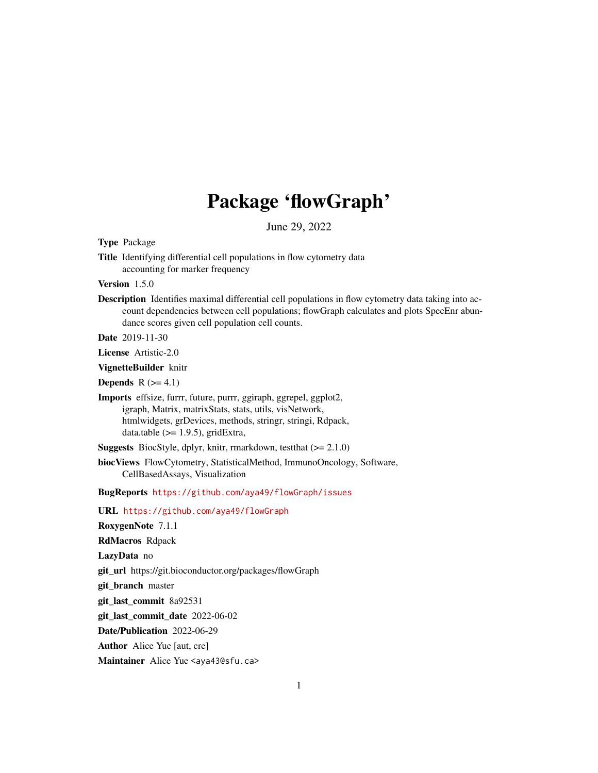# Package 'flowGraph'

June 29, 2022

<span id="page-0-0"></span>Type Package

Title Identifying differential cell populations in flow cytometry data accounting for marker frequency

Version 1.5.0

Description Identifies maximal differential cell populations in flow cytometry data taking into account dependencies between cell populations; flowGraph calculates and plots SpecEnr abundance scores given cell population cell counts.

Date 2019-11-30

License Artistic-2.0

VignetteBuilder knitr

**Depends**  $R$  ( $>= 4.1$ )

Imports effsize, furrr, future, purrr, ggiraph, ggrepel, ggplot2, igraph, Matrix, matrixStats, stats, utils, visNetwork, htmlwidgets, grDevices, methods, stringr, stringi, Rdpack, data.table  $(>= 1.9.5)$ , gridExtra,

Suggests BiocStyle, dplyr, knitr, rmarkdown, testthat (>= 2.1.0)

biocViews FlowCytometry, StatisticalMethod, ImmunoOncology, Software, CellBasedAssays, Visualization

BugReports <https://github.com/aya49/flowGraph/issues>

URL <https://github.com/aya49/flowGraph>

RoxygenNote 7.1.1

RdMacros Rdpack

LazyData no

git\_url https://git.bioconductor.org/packages/flowGraph

git\_branch master

git\_last\_commit 8a92531

git\_last\_commit\_date 2022-06-02

Date/Publication 2022-06-29

Author Alice Yue [aut, cre]

Maintainer Alice Yue <aya43@sfu.ca>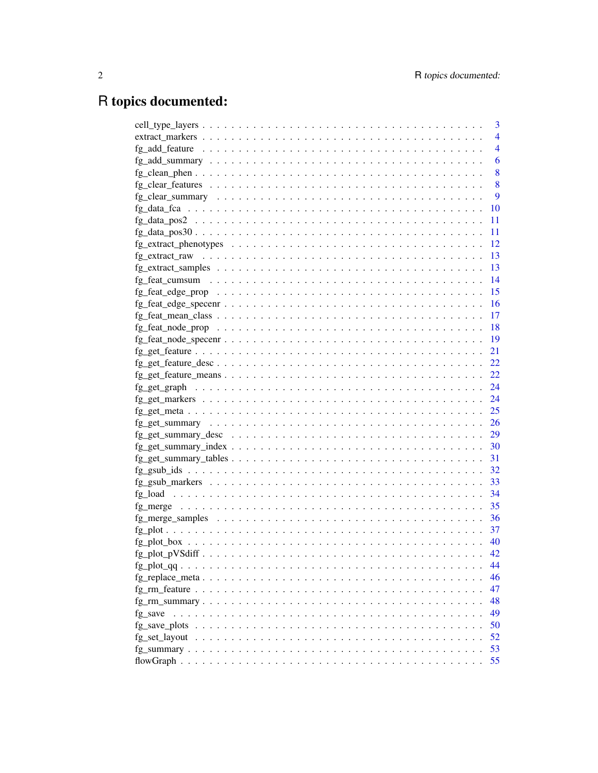# R topics documented:

|                                                                                                                 | 3              |
|-----------------------------------------------------------------------------------------------------------------|----------------|
|                                                                                                                 | $\overline{4}$ |
|                                                                                                                 | $\overline{4}$ |
|                                                                                                                 | 6              |
|                                                                                                                 | 8              |
|                                                                                                                 | 8              |
|                                                                                                                 | 9              |
|                                                                                                                 | 10             |
|                                                                                                                 | 11             |
|                                                                                                                 | 11             |
|                                                                                                                 | 12             |
|                                                                                                                 | 13             |
|                                                                                                                 | 13             |
|                                                                                                                 | 14             |
|                                                                                                                 | 15             |
|                                                                                                                 | 16             |
|                                                                                                                 | -17            |
|                                                                                                                 | <sup>18</sup>  |
|                                                                                                                 | - 19           |
|                                                                                                                 | 21             |
| $fg\_get\_feature\_desc \ldots \ldots \ldots \ldots \ldots \ldots \ldots \ldots \ldots \ldots$                  | 22             |
|                                                                                                                 | 22             |
|                                                                                                                 |                |
|                                                                                                                 |                |
| $fg\_get\_meta \dots \dots \dots \dots \dots \dots \dots \dots \dots \dots \dots \dots \dots \dots \dots \dots$ | 25             |
|                                                                                                                 | 26             |
| $fg\_get\_summary\_desc \ldots \ldots \ldots \ldots \ldots \ldots \ldots \ldots \ldots \ldots \ldots \ldots 29$ |                |
|                                                                                                                 | 30             |
|                                                                                                                 | 31             |
|                                                                                                                 | 32             |
|                                                                                                                 |                |
|                                                                                                                 | 34             |
|                                                                                                                 | 35             |
|                                                                                                                 | 36             |
|                                                                                                                 | 37             |
|                                                                                                                 | - 40           |
|                                                                                                                 | 42             |
|                                                                                                                 | 44             |
|                                                                                                                 | 46             |
|                                                                                                                 | 47             |
|                                                                                                                 | 48             |
| fg save                                                                                                         | 49             |
|                                                                                                                 | 50             |
|                                                                                                                 | 52             |
|                                                                                                                 | 53             |
|                                                                                                                 | 55             |
|                                                                                                                 |                |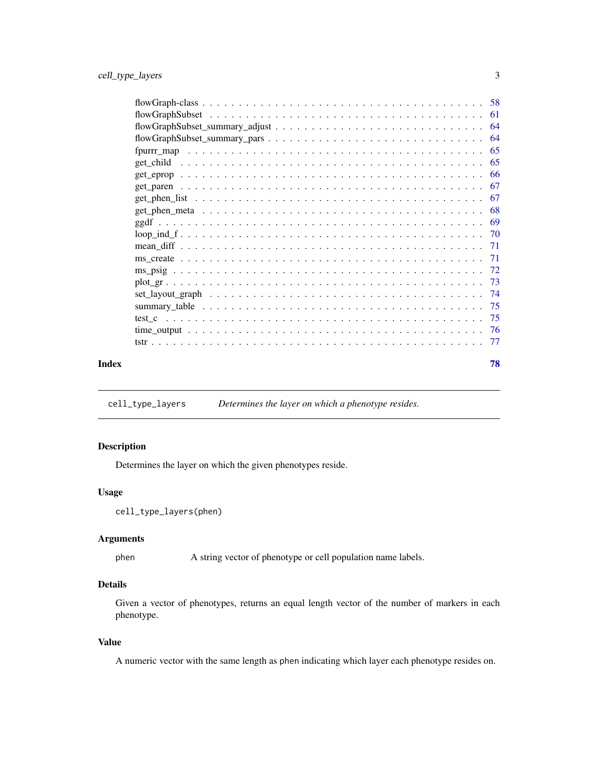<span id="page-2-0"></span>

| Index | 78 |
|-------|----|

cell\_type\_layers *Determines the layer on which a phenotype resides.*

# Description

Determines the layer on which the given phenotypes reside.

#### Usage

```
cell_type_layers(phen)
```
# Arguments

phen A string vector of phenotype or cell population name labels.

# Details

Given a vector of phenotypes, returns an equal length vector of the number of markers in each phenotype.

# Value

A numeric vector with the same length as phen indicating which layer each phenotype resides on.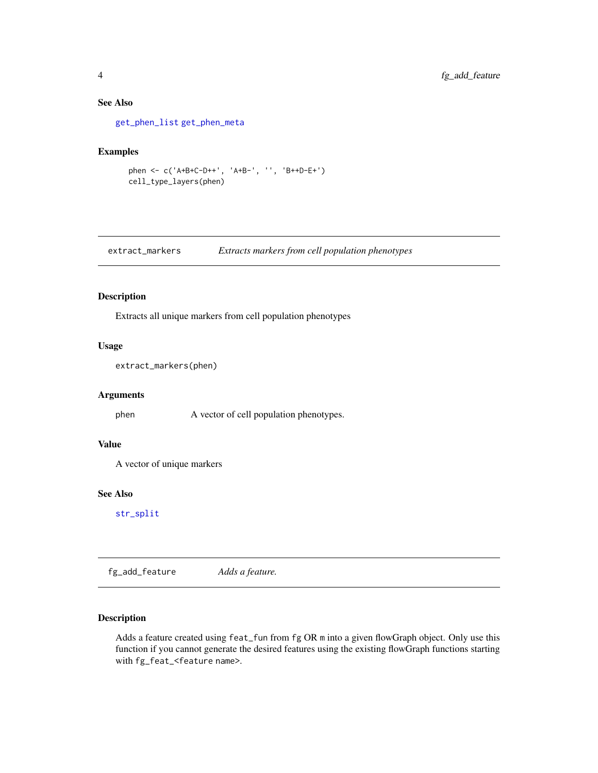# See Also

[get\\_phen\\_list](#page-66-1) [get\\_phen\\_meta](#page-67-1)

#### Examples

```
phen <- c('A+B+C-D++', 'A+B-', '', 'B++D-E+')
cell_type_layers(phen)
```
extract\_markers *Extracts markers from cell population phenotypes*

# Description

Extracts all unique markers from cell population phenotypes

#### Usage

```
extract_markers(phen)
```
#### Arguments

phen A vector of cell population phenotypes.

#### Value

A vector of unique markers

#### See Also

[str\\_split](#page-0-0)

<span id="page-3-1"></span>fg\_add\_feature *Adds a feature.*

# Description

Adds a feature created using feat\_fun from fg OR m into a given flowGraph object. Only use this function if you cannot generate the desired features using the existing flowGraph functions starting with fg\_feat\_<feature name>.

<span id="page-3-0"></span>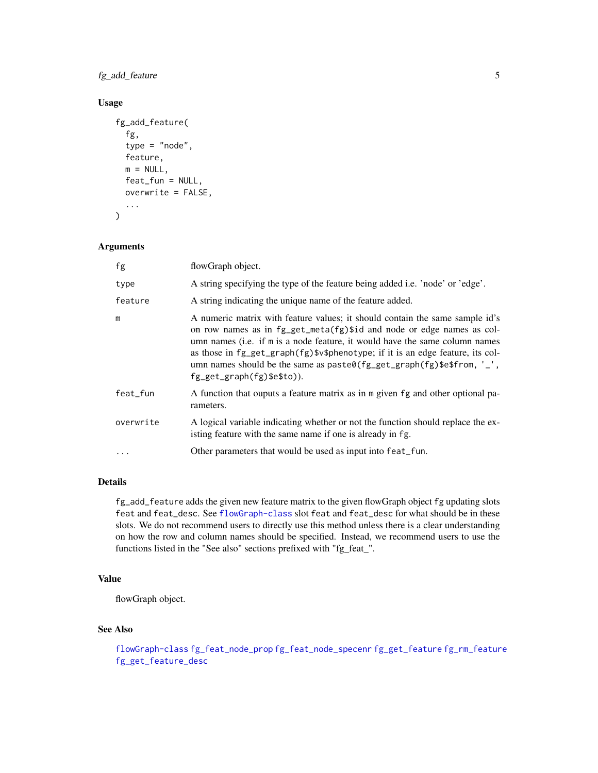fg\_add\_feature 5

# Usage

```
fg_add_feature(
  fg,
  type = "node",
  feature,
 m = NULL,feat_fun = NULL,
  overwrite = FALSE,
  ...
)
```
# Arguments

| fg        | flowGraph object.                                                                                                                                                                                                                                                                                                                                                                                                                |
|-----------|----------------------------------------------------------------------------------------------------------------------------------------------------------------------------------------------------------------------------------------------------------------------------------------------------------------------------------------------------------------------------------------------------------------------------------|
| type      | A string specifying the type of the feature being added i.e. 'node' or 'edge'.                                                                                                                                                                                                                                                                                                                                                   |
| feature   | A string indicating the unique name of the feature added.                                                                                                                                                                                                                                                                                                                                                                        |
| m         | A numeric matrix with feature values; it should contain the same sample id's<br>on row names as in fg_get_meta(fg)\$id and node or edge names as col-<br>umn names (i.e. if m is a node feature, it would have the same column names<br>as those in fg_get_graph(fg)\$v\$phenotype; if it is an edge feature, its col-<br>umn names should be the same as $past@(fg_get_graph(fg)$ \$e\$from, '_',<br>fg_get_graph(fg)\$e\$to)). |
| feat_fun  | A function that ouputs a feature matrix as in m given fg and other optional pa-<br>rameters.                                                                                                                                                                                                                                                                                                                                     |
| overwrite | A logical variable indicating whether or not the function should replace the ex-<br>isting feature with the same name if one is already in fg.                                                                                                                                                                                                                                                                                   |
|           | Other parameters that would be used as input into feat_fun.                                                                                                                                                                                                                                                                                                                                                                      |

# Details

fg\_add\_feature adds the given new feature matrix to the given flowGraph object fg updating slots feat and feat\_desc. See [flowGraph-class](#page-57-1) slot feat and feat\_desc for what should be in these slots. We do not recommend users to directly use this method unless there is a clear understanding on how the row and column names should be specified. Instead, we recommend users to use the functions listed in the "See also" sections prefixed with "fg\_feat\_".

# Value

flowGraph object.

# See Also

[flowGraph-class](#page-57-1) [fg\\_feat\\_node\\_prop](#page-17-1) [fg\\_feat\\_node\\_specenr](#page-18-1) [fg\\_get\\_feature](#page-20-1) [fg\\_rm\\_feature](#page-46-1) [fg\\_get\\_feature\\_desc](#page-21-1)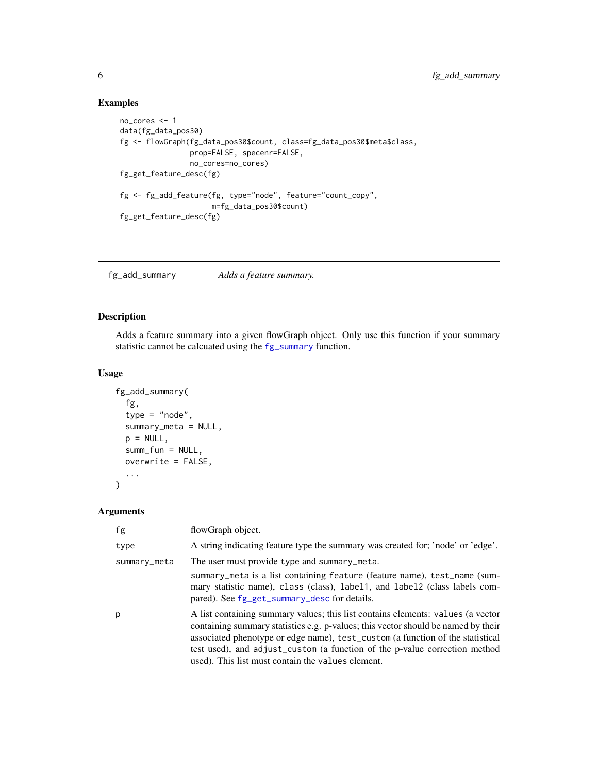# Examples

```
no_cores <- 1
data(fg_data_pos30)
fg <- flowGraph(fg_data_pos30$count, class=fg_data_pos30$meta$class,
                prop=FALSE, specenr=FALSE,
                no_cores=no_cores)
fg_get_feature_desc(fg)
fg <- fg_add_feature(fg, type="node", feature="count_copy",
                     m=fg_data_pos30$count)
fg_get_feature_desc(fg)
```
<span id="page-5-1"></span>fg\_add\_summary *Adds a feature summary.*

# Description

Adds a feature summary into a given flowGraph object. Only use this function if your summary statistic cannot be calcuated using the [fg\\_summary](#page-52-1) function.

#### Usage

```
fg_add_summary(
  fg,
  type = "node",
  summary_meta = NULL,
 p = NULL,summ_fun = NULL,
 overwrite = FALSE,
  ...
)
```
# Arguments

| fg           | flowGraph object.                                                                                                                                                                                                                                                                                                                                                                         |
|--------------|-------------------------------------------------------------------------------------------------------------------------------------------------------------------------------------------------------------------------------------------------------------------------------------------------------------------------------------------------------------------------------------------|
| type         | A string indicating feature type the summary was created for; 'node' or 'edge'.                                                                                                                                                                                                                                                                                                           |
| summary_meta | The user must provide type and summary_meta.                                                                                                                                                                                                                                                                                                                                              |
|              | summary_meta is a list containing feature (feature name), test_name (sum-<br>mary statistic name), class (class), label1, and label2 (class labels com-<br>pared). See fg_get_summary_desc for details.                                                                                                                                                                                   |
| p            | A list containing summary values; this list contains elements: values (a vector<br>containing summary statistics e.g. p-values; this vector should be named by their<br>associated phenotype or edge name), test_custom (a function of the statistical<br>test used), and adjust_custom (a function of the p-value correction method<br>used). This list must contain the values element. |

<span id="page-5-0"></span>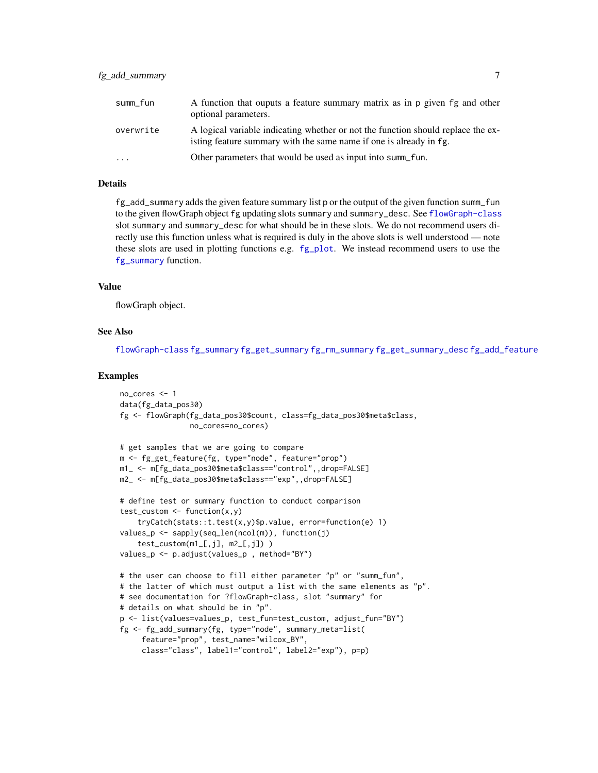| summ_fun  | A function that ouputs a feature summary matrix as in p given fg and other<br>optional parameters.                                                     |
|-----------|--------------------------------------------------------------------------------------------------------------------------------------------------------|
| overwrite | A logical variable indicating whether or not the function should replace the ex-<br>isting feature summary with the same name if one is already in fg. |
| $\ddots$  | Other parameters that would be used as input into summ_fun.                                                                                            |

# Details

fg\_add\_summary adds the given feature summary list p or the output of the given function summ\_fun to the given flowGraph object fg updating slots summary and summary\_desc. See [flowGraph-class](#page-57-1) slot summary and summary\_desc for what should be in these slots. We do not recommend users directly use this function unless what is required is duly in the above slots is well understood — note these slots are used in plotting functions e.g. [fg\\_plot](#page-36-1). We instead recommend users to use the [fg\\_summary](#page-52-1) function.

#### Value

flowGraph object.

#### See Also

[flowGraph-class](#page-57-1) [fg\\_summary](#page-52-1) [fg\\_get\\_summary](#page-25-1) [fg\\_rm\\_summary](#page-47-1) [fg\\_get\\_summary\\_desc](#page-28-1) [fg\\_add\\_feature](#page-3-1)

```
no_cores <- 1
data(fg_data_pos30)
fg <- flowGraph(fg_data_pos30$count, class=fg_data_pos30$meta$class,
                no_cores=no_cores)
# get samples that we are going to compare
m <- fg_get_feature(fg, type="node", feature="prop")
m1_ <- m[fg_data_pos30$meta$class=="control",,drop=FALSE]
m2_ <- m[fg_data_pos30$meta$class=="exp",,drop=FALSE]
# define test or summary function to conduct comparison
test\_custom \leftarrow function(x, y)tryCatch(stats::t.test(x,y)$p.value, error=function(e) 1)
values_p \leq sapply(seq_len(ncol(m)), function(j)
    test\_custom(m1_, j], m2_, j]))
values_p <- p.adjust(values_p , method="BY")
# the user can choose to fill either parameter "p" or "summ_fun",
# the latter of which must output a list with the same elements as "p".
# see documentation for ?flowGraph-class, slot "summary" for
# details on what should be in "p".
p <- list(values=values_p, test_fun=test_custom, adjust_fun="BY")
fg <- fg_add_summary(fg, type="node", summary_meta=list(
     feature="prop", test_name="wilcox_BY",
     class="class", label1="control", label2="exp"), p=p)
```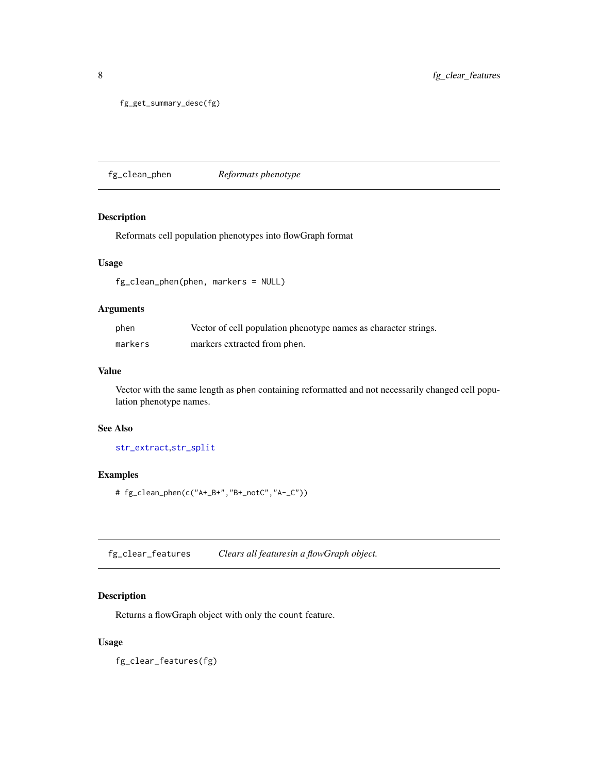```
fg_get_summary_desc(fg)
```
fg\_clean\_phen *Reformats phenotype*

# Description

Reformats cell population phenotypes into flowGraph format

# Usage

fg\_clean\_phen(phen, markers = NULL)

#### Arguments

| phen    | Vector of cell population phenotype names as character strings. |
|---------|-----------------------------------------------------------------|
| markers | markers extracted from phen.                                    |

#### Value

Vector with the same length as phen containing reformatted and not necessarily changed cell population phenotype names.

# See Also

[str\\_extract](#page-0-0),[str\\_split](#page-0-0)

# Examples

# fg\_clean\_phen(c("A+\_B+","B+\_notC","A-\_C"))

fg\_clear\_features *Clears all featuresin a flowGraph object.*

# Description

Returns a flowGraph object with only the count feature.

# Usage

fg\_clear\_features(fg)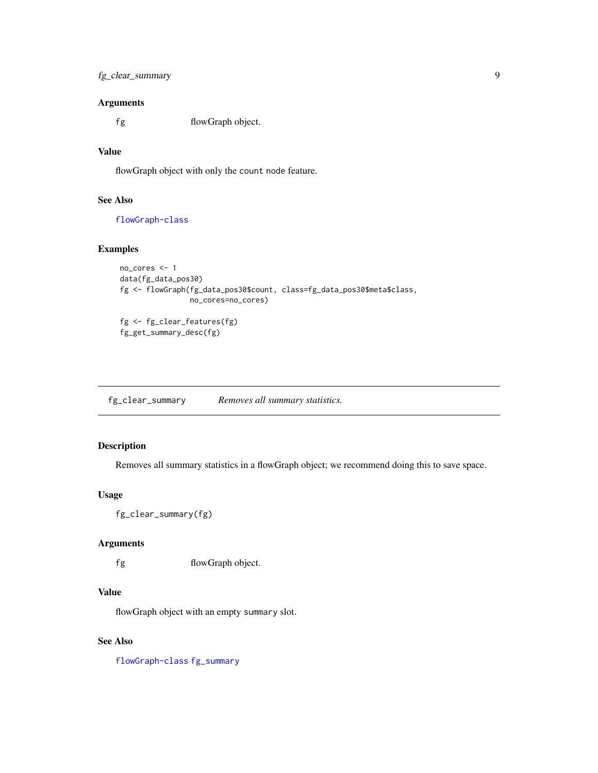# <span id="page-8-0"></span>Arguments

fg flowGraph object.

# Value

flowGraph object with only the count node feature.

# See Also

[flowGraph-class](#page-57-1)

#### Examples

```
no_cores <- 1
data(fg_data_pos30)
fg <- flowGraph(fg_data_pos30$count, class=fg_data_pos30$meta$class,
                no_cores=no_cores)
fg <- fg_clear_features(fg)
fg_get_summary_desc(fg)
```
<span id="page-8-1"></span>fg\_clear\_summary *Removes all summary statistics.*

# Description

Removes all summary statistics in a flowGraph object; we recommend doing this to save space.

# Usage

```
fg_clear_summary(fg)
```
# Arguments

fg flowGraph object.

#### Value

flowGraph object with an empty summary slot.

# See Also

[flowGraph-class](#page-57-1) [fg\\_summary](#page-52-1)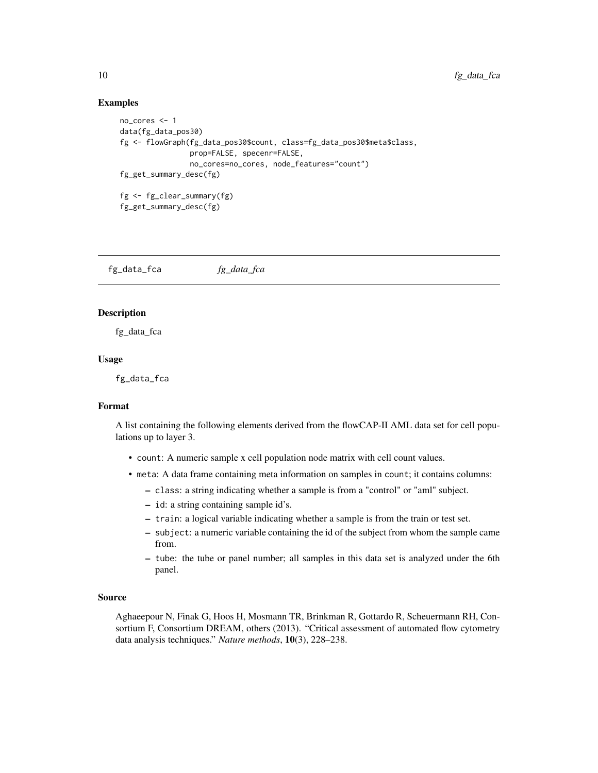#### Examples

```
no_cores <- 1
data(fg_data_pos30)
fg <- flowGraph(fg_data_pos30$count, class=fg_data_pos30$meta$class,
                prop=FALSE, specenr=FALSE,
                no_cores=no_cores, node_features="count")
fg_get_summary_desc(fg)
fg <- fg_clear_summary(fg)
fg_get_summary_desc(fg)
```
fg\_data\_fca *fg\_data\_fca*

#### Description

fg\_data\_fca

#### Usage

fg\_data\_fca

#### Format

A list containing the following elements derived from the flowCAP-II AML data set for cell populations up to layer 3.

- count: A numeric sample x cell population node matrix with cell count values.
- meta: A data frame containing meta information on samples in count; it contains columns:
	- class: a string indicating whether a sample is from a "control" or "aml" subject.
	- id: a string containing sample id's.
	- train: a logical variable indicating whether a sample is from the train or test set.
	- subject: a numeric variable containing the id of the subject from whom the sample came from.
	- tube: the tube or panel number; all samples in this data set is analyzed under the 6th panel.

#### Source

Aghaeepour N, Finak G, Hoos H, Mosmann TR, Brinkman R, Gottardo R, Scheuermann RH, Consortium F, Consortium DREAM, others (2013). "Critical assessment of automated flow cytometry data analysis techniques." *Nature methods*, 10(3), 228–238.

<span id="page-9-0"></span>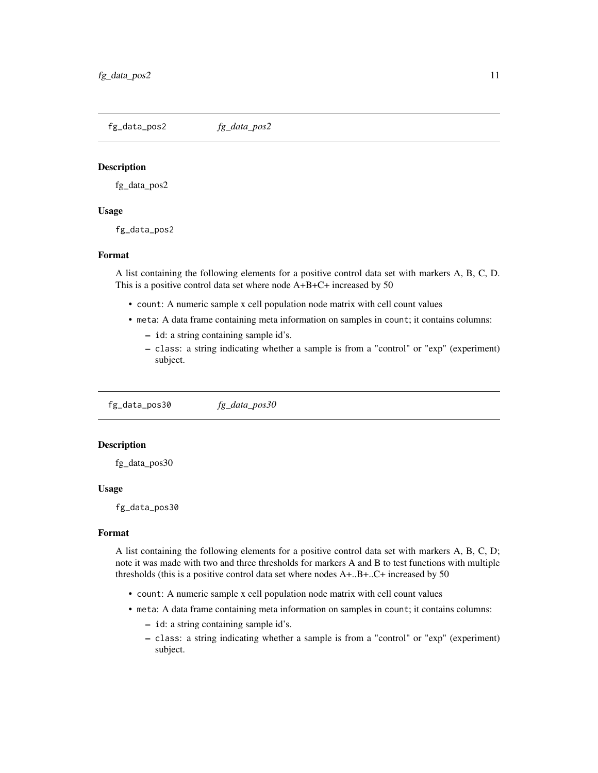<span id="page-10-0"></span>fg\_data\_pos2 *fg\_data\_pos2*

#### Description

fg\_data\_pos2

#### Usage

fg\_data\_pos2

#### Format

A list containing the following elements for a positive control data set with markers A, B, C, D. This is a positive control data set where node A+B+C+ increased by 50

- count: A numeric sample x cell population node matrix with cell count values
- meta: A data frame containing meta information on samples in count; it contains columns:
	- id: a string containing sample id's.
	- class: a string indicating whether a sample is from a "control" or "exp" (experiment) subject.

fg\_data\_pos30 *fg\_data\_pos30*

# **Description**

fg\_data\_pos30

#### Usage

fg\_data\_pos30

#### Format

A list containing the following elements for a positive control data set with markers A, B, C, D; note it was made with two and three thresholds for markers A and B to test functions with multiple thresholds (this is a positive control data set where nodes A+..B+..C+ increased by 50

- count: A numeric sample x cell population node matrix with cell count values
- meta: A data frame containing meta information on samples in count; it contains columns:
	- id: a string containing sample id's.
	- class: a string indicating whether a sample is from a "control" or "exp" (experiment) subject.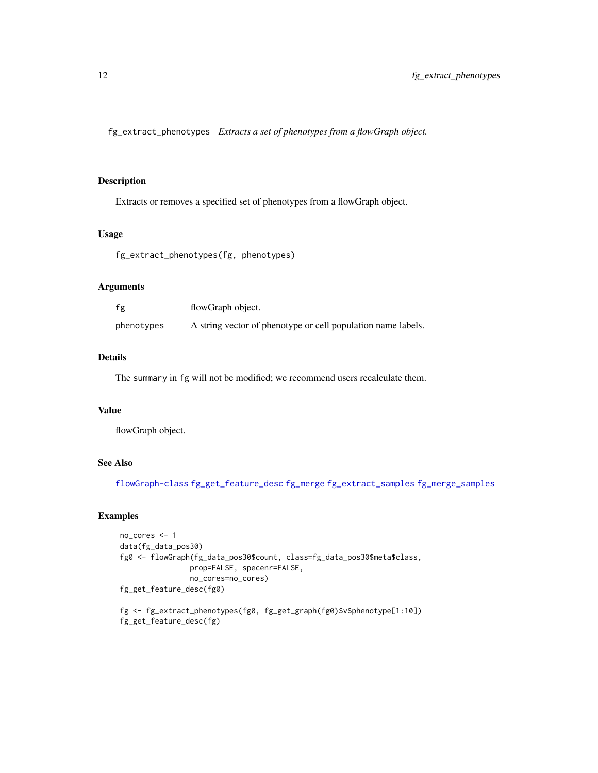<span id="page-11-1"></span><span id="page-11-0"></span>fg\_extract\_phenotypes *Extracts a set of phenotypes from a flowGraph object.*

# Description

Extracts or removes a specified set of phenotypes from a flowGraph object.

#### Usage

fg\_extract\_phenotypes(fg, phenotypes)

# Arguments

| fg         | flowGraph object.                                            |
|------------|--------------------------------------------------------------|
| phenotypes | A string vector of phenotype or cell population name labels. |

# Details

The summary in fg will not be modified; we recommend users recalculate them.

# Value

flowGraph object.

# See Also

[flowGraph-class](#page-57-1) [fg\\_get\\_feature\\_desc](#page-21-1) [fg\\_merge](#page-34-1) [fg\\_extract\\_samples](#page-12-1) [fg\\_merge\\_samples](#page-35-1)

```
no_cores <- 1
data(fg_data_pos30)
fg0 <- flowGraph(fg_data_pos30$count, class=fg_data_pos30$meta$class,
                prop=FALSE, specenr=FALSE,
                no_cores=no_cores)
fg_get_feature_desc(fg0)
fg <- fg_extract_phenotypes(fg0, fg_get_graph(fg0)$v$phenotype[1:10])
fg_get_feature_desc(fg)
```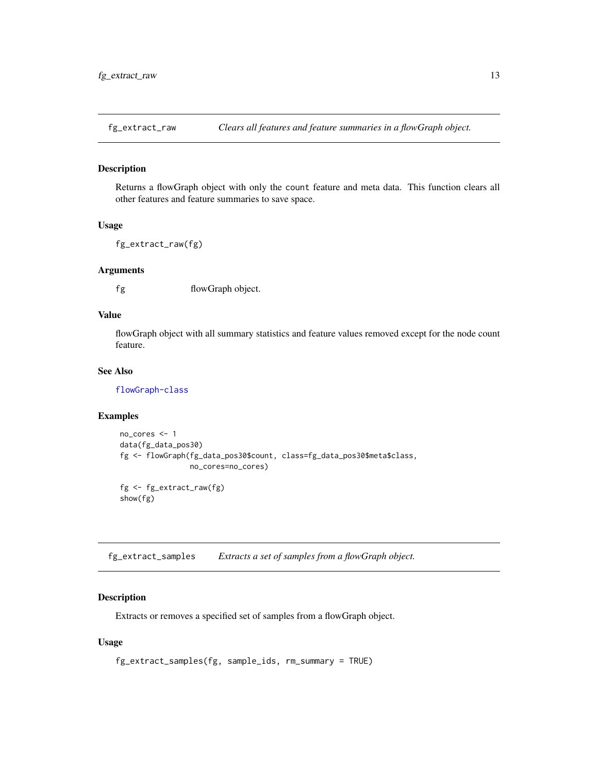<span id="page-12-0"></span>

#### Description

Returns a flowGraph object with only the count feature and meta data. This function clears all other features and feature summaries to save space.

# Usage

fg\_extract\_raw(fg)

#### Arguments

fg flowGraph object.

# Value

flowGraph object with all summary statistics and feature values removed except for the node count feature.

#### See Also

[flowGraph-class](#page-57-1)

#### Examples

```
no_cores <- 1
data(fg_data_pos30)
fg <- flowGraph(fg_data_pos30$count, class=fg_data_pos30$meta$class,
                no_cores=no_cores)
fg <- fg_extract_raw(fg)
show(fg)
```
<span id="page-12-1"></span>fg\_extract\_samples *Extracts a set of samples from a flowGraph object.*

#### Description

Extracts or removes a specified set of samples from a flowGraph object.

#### Usage

```
fg_extract_samples(fg, sample_ids, rm_summary = TRUE)
```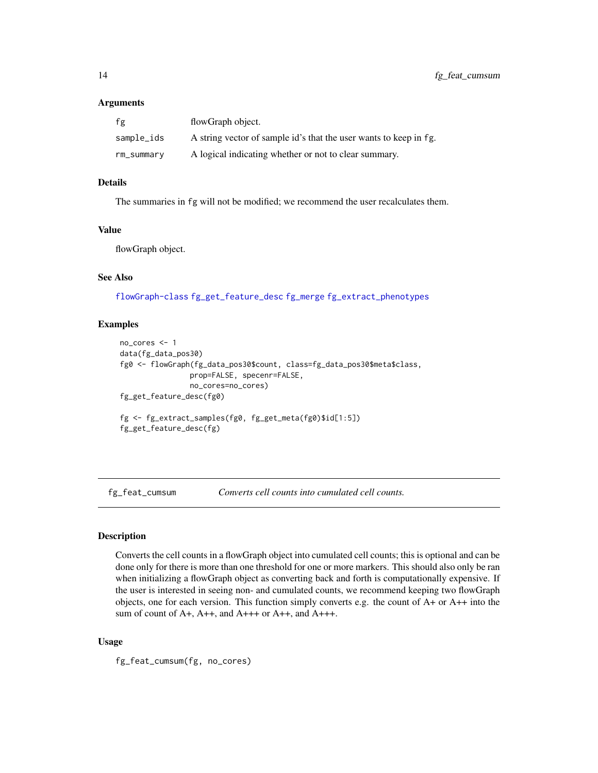#### <span id="page-13-0"></span>Arguments

| fg         | flowGraph object.                                                 |
|------------|-------------------------------------------------------------------|
| sample_ids | A string vector of sample id's that the user wants to keep in fg. |
| rm_summary | A logical indicating whether or not to clear summary.             |

# Details

The summaries in fg will not be modified; we recommend the user recalculates them.

# Value

flowGraph object.

# See Also

[flowGraph-class](#page-57-1) [fg\\_get\\_feature\\_desc](#page-21-1) [fg\\_merge](#page-34-1) [fg\\_extract\\_phenotypes](#page-11-1)

#### Examples

```
no_cores <- 1
data(fg_data_pos30)
fg0 <- flowGraph(fg_data_pos30$count, class=fg_data_pos30$meta$class,
                prop=FALSE, specenr=FALSE,
                no_cores=no_cores)
fg_get_feature_desc(fg0)
fg <- fg_extract_samples(fg0, fg_get_meta(fg0)$id[1:5])
fg_get_feature_desc(fg)
```
fg\_feat\_cumsum *Converts cell counts into cumulated cell counts.*

# Description

Converts the cell counts in a flowGraph object into cumulated cell counts; this is optional and can be done only for there is more than one threshold for one or more markers. This should also only be ran when initializing a flowGraph object as converting back and forth is computationally expensive. If the user is interested in seeing non- and cumulated counts, we recommend keeping two flowGraph objects, one for each version. This function simply converts e.g. the count of  $A+$  or  $A++$  into the sum of count of A+, A++, and A+++ or A++, and A+++.

#### Usage

fg\_feat\_cumsum(fg, no\_cores)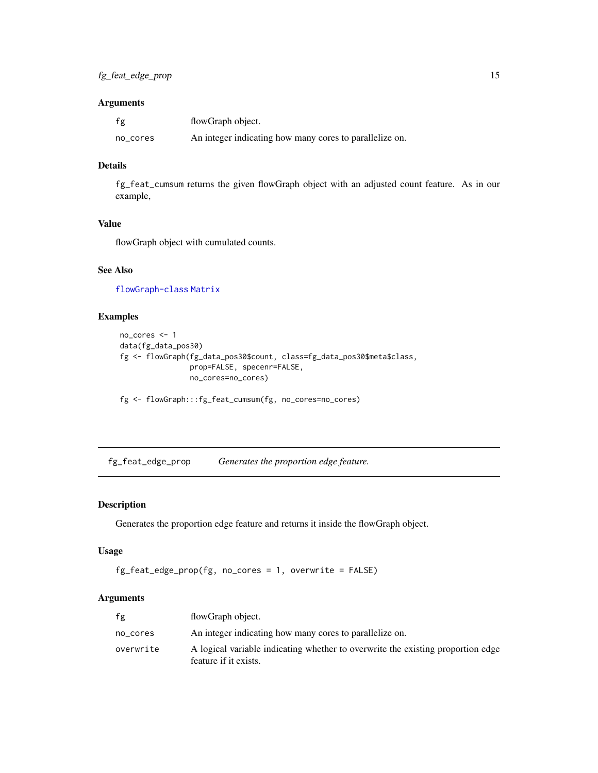# <span id="page-14-0"></span>Arguments

| fg       | flowGraph object.                                       |
|----------|---------------------------------------------------------|
| no_cores | An integer indicating how many cores to parallelize on. |

#### Details

fg\_feat\_cumsum returns the given flowGraph object with an adjusted count feature. As in our example,

#### Value

flowGraph object with cumulated counts.

# See Also

[flowGraph-class](#page-57-1) [Matrix](#page-0-0)

# Examples

```
no_cores <- 1
data(fg_data_pos30)
fg <- flowGraph(fg_data_pos30$count, class=fg_data_pos30$meta$class,
                prop=FALSE, specenr=FALSE,
                no_cores=no_cores)
```
fg <- flowGraph:::fg\_feat\_cumsum(fg, no\_cores=no\_cores)

fg\_feat\_edge\_prop *Generates the proportion edge feature.*

# Description

Generates the proportion edge feature and returns it inside the flowGraph object.

#### Usage

```
fg_feat_edge_prop(fg, no_cores = 1, overwrite = FALSE)
```
# Arguments

| fg        | flowGraph object.                                                                                        |
|-----------|----------------------------------------------------------------------------------------------------------|
| no cores  | An integer indicating how many cores to parallelize on.                                                  |
| overwrite | A logical variable indicating whether to overwrite the existing proportion edge<br>feature if it exists. |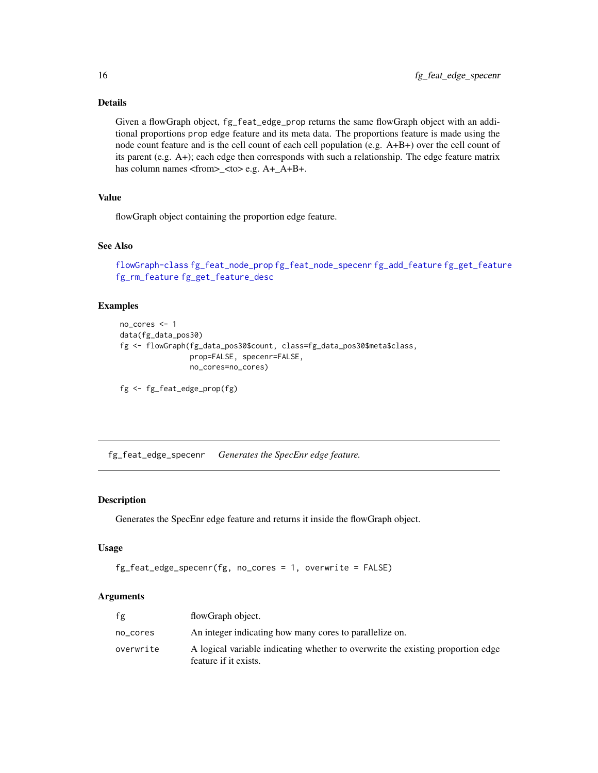# Details

Given a flowGraph object, fg\_feat\_edge\_prop returns the same flowGraph object with an additional proportions prop edge feature and its meta data. The proportions feature is made using the node count feature and is the cell count of each cell population (e.g. A+B+) over the cell count of its parent (e.g. A+); each edge then corresponds with such a relationship. The edge feature matrix has column names <from>\_<to> e.g. A+\_A+B+.

# Value

flowGraph object containing the proportion edge feature.

#### See Also

```
flowGraph-class fg_feat_node_prop fg_feat_node_specenr fg_add_feature fg_get_feature
fg_rm_feature fg_get_feature_desc
```
# Examples

```
no_cores <- 1
data(fg_data_pos30)
fg <- flowGraph(fg_data_pos30$count, class=fg_data_pos30$meta$class,
                prop=FALSE, specenr=FALSE,
                no_cores=no_cores)
```

```
fg <- fg_feat_edge_prop(fg)
```
fg\_feat\_edge\_specenr *Generates the SpecEnr edge feature.*

# Description

Generates the SpecEnr edge feature and returns it inside the flowGraph object.

#### Usage

```
fg_feat_edge_specenr(fg, no_cores = 1, overwrite = FALSE)
```
# Arguments

| fg        | flowGraph object.                                                                                        |
|-----------|----------------------------------------------------------------------------------------------------------|
| no_cores  | An integer indicating how many cores to parallelize on.                                                  |
| overwrite | A logical variable indicating whether to overwrite the existing proportion edge<br>feature if it exists. |

<span id="page-15-0"></span>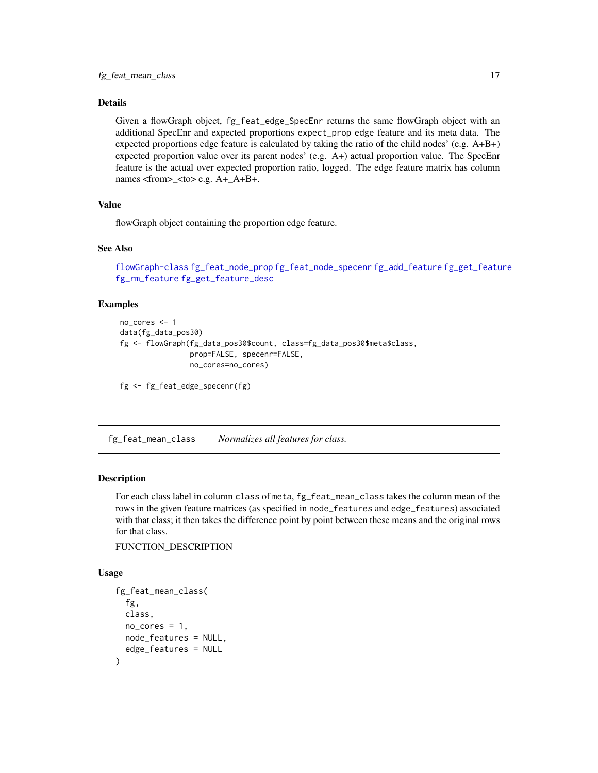# <span id="page-16-0"></span>Details

Given a flowGraph object, fg\_feat\_edge\_SpecEnr returns the same flowGraph object with an additional SpecEnr and expected proportions expect\_prop edge feature and its meta data. The expected proportions edge feature is calculated by taking the ratio of the child nodes' (e.g. A+B+) expected proportion value over its parent nodes' (e.g. A+) actual proportion value. The SpecEnr feature is the actual over expected proportion ratio, logged. The edge feature matrix has column names <from>\_<to> e.g. A+\_A+B+.

# Value

flowGraph object containing the proportion edge feature.

#### See Also

```
flowGraph-class fg_feat_node_prop fg_feat_node_specenr fg_add_feature fg_get_feature
fg_rm_feature fg_get_feature_desc
```
#### Examples

```
no_cores <- 1
data(fg_data_pos30)
fg <- flowGraph(fg_data_pos30$count, class=fg_data_pos30$meta$class,
                prop=FALSE, specenr=FALSE,
                no_cores=no_cores)
```

```
fg <- fg_feat_edge_specenr(fg)
```
fg\_feat\_mean\_class *Normalizes all features for class.*

#### Description

For each class label in column class of meta, fg\_feat\_mean\_class takes the column mean of the rows in the given feature matrices (as specified in node\_features and edge\_features) associated with that class; it then takes the difference point by point between these means and the original rows for that class.

FUNCTION\_DESCRIPTION

#### Usage

```
fg_feat_mean_class(
  fg,
 class,
  no\_cores = 1,
 node_features = NULL,
  edge_features = NULL
)
```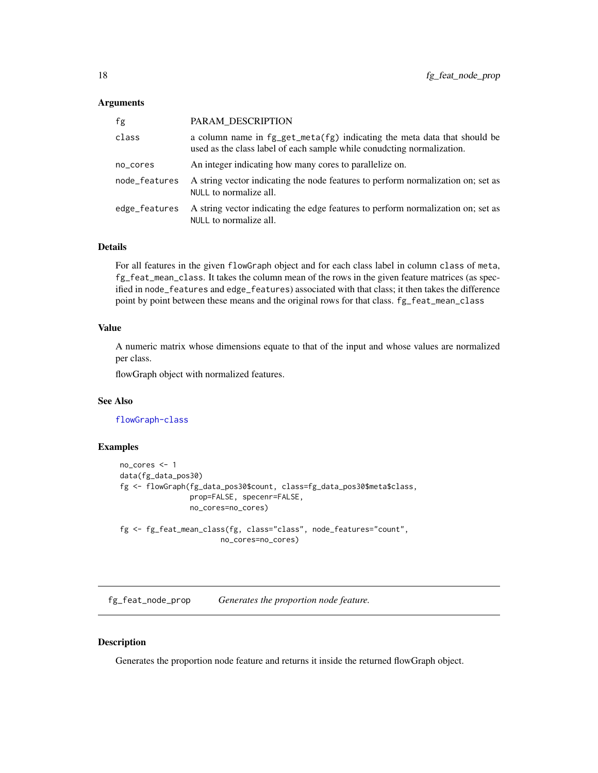#### <span id="page-17-0"></span>Arguments

| fg            | PARAM DESCRIPTION                                                                                                                                      |
|---------------|--------------------------------------------------------------------------------------------------------------------------------------------------------|
| class         | a column name in $fg\_get\_meta(fg)$ indicating the meta data that should be<br>used as the class label of each sample while conudcting normalization. |
| no_cores      | An integer indicating how many cores to parallelize on.                                                                                                |
| node_features | A string vector indicating the node features to perform normalization on; set as<br>NULL to normalize all.                                             |
| edge_features | A string vector indicating the edge features to perform normalization on; set as<br>NULL to normalize all.                                             |

# Details

For all features in the given flowGraph object and for each class label in column class of meta, fg\_feat\_mean\_class. It takes the column mean of the rows in the given feature matrices (as specified in node\_features and edge\_features) associated with that class; it then takes the difference point by point between these means and the original rows for that class. fg\_feat\_mean\_class

# Value

A numeric matrix whose dimensions equate to that of the input and whose values are normalized per class.

flowGraph object with normalized features.

## See Also

[flowGraph-class](#page-57-1)

#### Examples

```
no_cores <- 1
data(fg_data_pos30)
fg <- flowGraph(fg_data_pos30$count, class=fg_data_pos30$meta$class,
                prop=FALSE, specenr=FALSE,
                no_cores=no_cores)
fg <- fg_feat_mean_class(fg, class="class", node_features="count",
                       no_cores=no_cores)
```
<span id="page-17-1"></span>fg\_feat\_node\_prop *Generates the proportion node feature.*

## Description

Generates the proportion node feature and returns it inside the returned flowGraph object.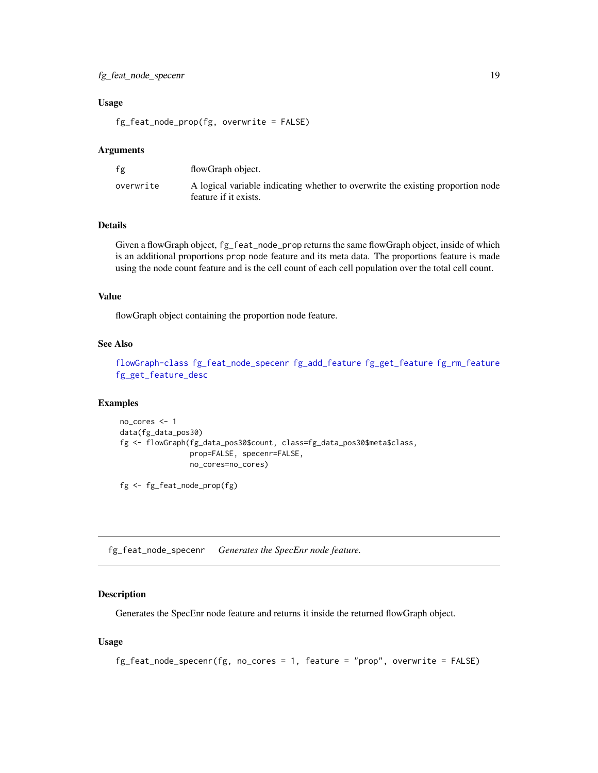# <span id="page-18-0"></span>fg\_feat\_node\_specenr 19

#### Usage

fg\_feat\_node\_prop(fg, overwrite = FALSE)

#### Arguments

| fg        | flowGraph object.                                                                                        |
|-----------|----------------------------------------------------------------------------------------------------------|
| overwrite | A logical variable indicating whether to overwrite the existing proportion node<br>feature if it exists. |

# Details

Given a flowGraph object, fg\_feat\_node\_prop returns the same flowGraph object, inside of which is an additional proportions prop node feature and its meta data. The proportions feature is made using the node count feature and is the cell count of each cell population over the total cell count.

# Value

flowGraph object containing the proportion node feature.

# See Also

[flowGraph-class](#page-57-1) [fg\\_feat\\_node\\_specenr](#page-18-1) [fg\\_add\\_feature](#page-3-1) [fg\\_get\\_feature](#page-20-1) [fg\\_rm\\_feature](#page-46-1) [fg\\_get\\_feature\\_desc](#page-21-1)

# Examples

```
no_cores <- 1
data(fg_data_pos30)
fg <- flowGraph(fg_data_pos30$count, class=fg_data_pos30$meta$class,
                prop=FALSE, specenr=FALSE,
                no_cores=no_cores)
```
fg <- fg\_feat\_node\_prop(fg)

<span id="page-18-1"></span>fg\_feat\_node\_specenr *Generates the SpecEnr node feature.*

#### Description

Generates the SpecEnr node feature and returns it inside the returned flowGraph object.

#### Usage

```
fg_feat_node_specenr(fg, no_cores = 1, feature = "prop", overwrite = FALSE)
```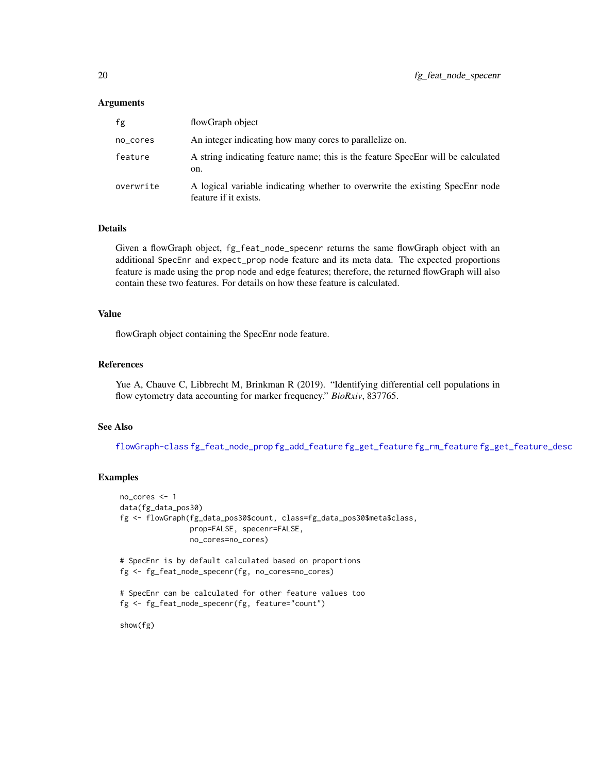#### Arguments

| fg        | flowGraph object                                                                                      |
|-----------|-------------------------------------------------------------------------------------------------------|
| no_cores  | An integer indicating how many cores to parallelize on.                                               |
| feature   | A string indicating feature name; this is the feature SpecEnr will be calculated<br>on.               |
| overwrite | A logical variable indicating whether to overwrite the existing SpecEnr node<br>feature if it exists. |

#### Details

Given a flowGraph object, fg\_feat\_node\_specenr returns the same flowGraph object with an additional SpecEnr and expect\_prop node feature and its meta data. The expected proportions feature is made using the prop node and edge features; therefore, the returned flowGraph will also contain these two features. For details on how these feature is calculated.

#### Value

flowGraph object containing the SpecEnr node feature.

#### References

Yue A, Chauve C, Libbrecht M, Brinkman R (2019). "Identifying differential cell populations in flow cytometry data accounting for marker frequency." *BioRxiv*, 837765.

#### See Also

[flowGraph-class](#page-57-1) [fg\\_feat\\_node\\_prop](#page-17-1) [fg\\_add\\_feature](#page-3-1) [fg\\_get\\_feature](#page-20-1) [fg\\_rm\\_feature](#page-46-1) [fg\\_get\\_feature\\_desc](#page-21-1)

```
no_cores <- 1
data(fg_data_pos30)
fg <- flowGraph(fg_data_pos30$count, class=fg_data_pos30$meta$class,
                prop=FALSE, specenr=FALSE,
                no_cores=no_cores)
# SpecEnr is by default calculated based on proportions
fg <- fg_feat_node_specenr(fg, no_cores=no_cores)
# SpecEnr can be calculated for other feature values too
fg <- fg_feat_node_specenr(fg, feature="count")
show(fg)
```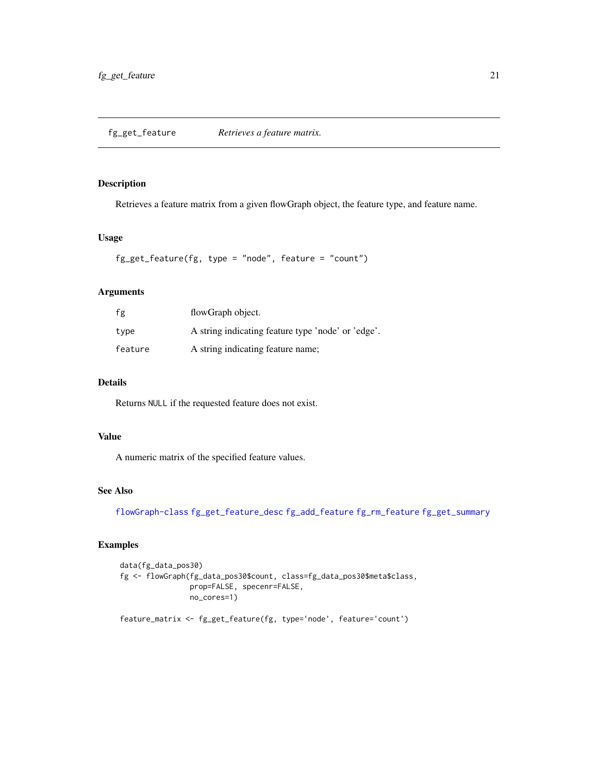# <span id="page-20-1"></span><span id="page-20-0"></span>Description

Retrieves a feature matrix from a given flowGraph object, the feature type, and feature name.

# Usage

```
fg_get_feature(fg, type = "node", feature = "count")
```
# Arguments

| fg      | flowGraph object.                                  |
|---------|----------------------------------------------------|
| type    | A string indicating feature type 'node' or 'edge'. |
| feature | A string indicating feature name;                  |

# Details

Returns NULL if the requested feature does not exist.

# Value

A numeric matrix of the specified feature values.

# See Also

[flowGraph-class](#page-57-1) [fg\\_get\\_feature\\_desc](#page-21-1) [fg\\_add\\_feature](#page-3-1) [fg\\_rm\\_feature](#page-46-1) [fg\\_get\\_summary](#page-25-1)

```
data(fg_data_pos30)
fg <- flowGraph(fg_data_pos30$count, class=fg_data_pos30$meta$class,
                prop=FALSE, specenr=FALSE,
                no_cores=1)
feature_matrix <- fg_get_feature(fg, type='node', feature='count')
```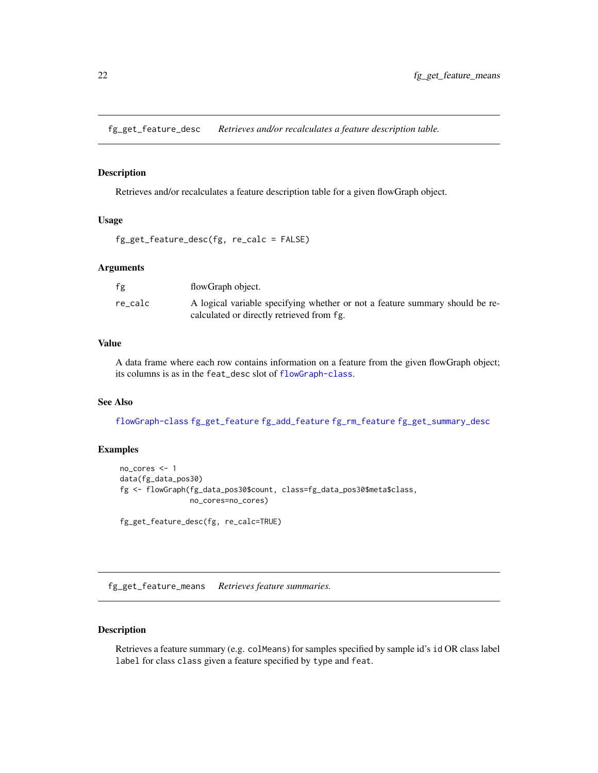<span id="page-21-1"></span><span id="page-21-0"></span>fg\_get\_feature\_desc *Retrieves and/or recalculates a feature description table.*

#### Description

Retrieves and/or recalculates a feature description table for a given flowGraph object.

# Usage

```
fg_get_feature_desc(fg, re_calc = FALSE)
```
# Arguments

| fg      | flowGraph object.                                                                                                         |
|---------|---------------------------------------------------------------------------------------------------------------------------|
| re calc | A logical variable specifying whether or not a feature summary should be re-<br>calculated or directly retrieved from fg. |

# Value

A data frame where each row contains information on a feature from the given flowGraph object; its columns is as in the feat\_desc slot of [flowGraph-class](#page-57-1).

# See Also

[flowGraph-class](#page-57-1) [fg\\_get\\_feature](#page-20-1) [fg\\_add\\_feature](#page-3-1) [fg\\_rm\\_feature](#page-46-1) [fg\\_get\\_summary\\_desc](#page-28-1)

# Examples

```
no_cores <- 1
data(fg_data_pos30)
fg <- flowGraph(fg_data_pos30$count, class=fg_data_pos30$meta$class,
                no_cores=no_cores)
```

```
fg_get_feature_desc(fg, re_calc=TRUE)
```
<span id="page-21-2"></span>fg\_get\_feature\_means *Retrieves feature summaries.*

# Description

Retrieves a feature summary (e.g. colMeans) for samples specified by sample id's id OR class label label for class class given a feature specified by type and feat.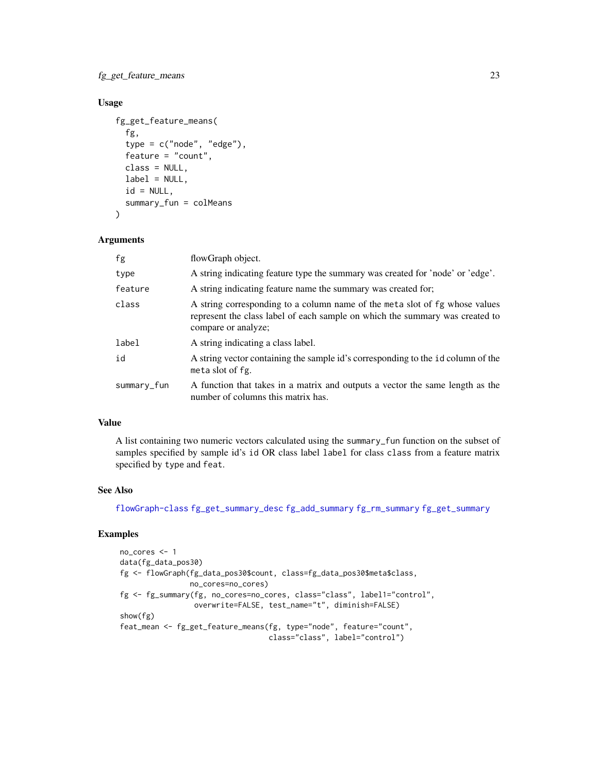fg\_get\_feature\_means 23

# Usage

```
fg_get_feature_means(
  fg,
  type = c("node", "edge"),
  feature = "count",
 class = NULL,
 label = NULL,id = NULL,summary_fun = colMeans
)
```
#### Arguments

| fg          | flowGraph object.                                                                                                                                                                  |
|-------------|------------------------------------------------------------------------------------------------------------------------------------------------------------------------------------|
| type        | A string indicating feature type the summary was created for 'node' or 'edge'.                                                                                                     |
| feature     | A string indicating feature name the summary was created for.                                                                                                                      |
| class       | A string corresponding to a column name of the meta slot of fg whose values<br>represent the class label of each sample on which the summary was created to<br>compare or analyze; |
| label       | A string indicating a class label.                                                                                                                                                 |
| id          | A string vector containing the sample id's corresponding to the 1d column of the<br>meta slot of fg.                                                                               |
| summary_fun | A function that takes in a matrix and outputs a vector the same length as the<br>number of columns this matrix has.                                                                |

#### Value

A list containing two numeric vectors calculated using the summary\_fun function on the subset of samples specified by sample id's id OR class label label for class class from a feature matrix specified by type and feat.

# See Also

[flowGraph-class](#page-57-1) [fg\\_get\\_summary\\_desc](#page-28-1) [fg\\_add\\_summary](#page-5-1) [fg\\_rm\\_summary](#page-47-1) [fg\\_get\\_summary](#page-25-1)

```
no_cores <- 1
data(fg_data_pos30)
fg <- flowGraph(fg_data_pos30$count, class=fg_data_pos30$meta$class,
               no_cores=no_cores)
fg <- fg_summary(fg, no_cores=no_cores, class="class", label1="control",
                overwrite=FALSE, test_name="t", diminish=FALSE)
show(fg)
feat_mean <- fg_get_feature_means(fg, type="node", feature="count",
                                 class="class", label="control")
```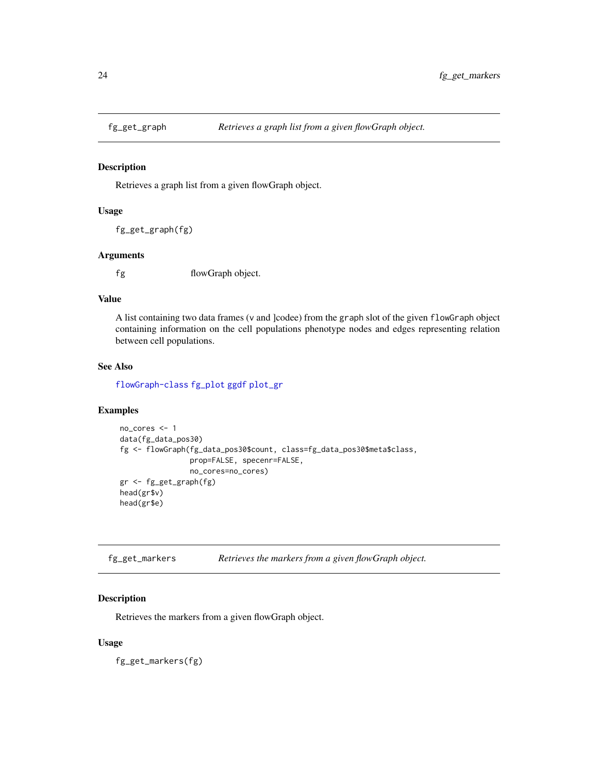<span id="page-23-0"></span>

#### Description

Retrieves a graph list from a given flowGraph object.

#### Usage

```
fg_get_graph(fg)
```
#### Arguments

fg flowGraph object.

#### Value

A list containing two data frames (v and ]codee) from the graph slot of the given flowGraph object containing information on the cell populations phenotype nodes and edges representing relation between cell populations.

# See Also

[flowGraph-class](#page-57-1) [fg\\_plot](#page-36-1) [ggdf](#page-68-1) [plot\\_gr](#page-72-1)

# Examples

```
no_cores <- 1
data(fg_data_pos30)
fg <- flowGraph(fg_data_pos30$count, class=fg_data_pos30$meta$class,
                prop=FALSE, specenr=FALSE,
                no_cores=no_cores)
gr <- fg_get_graph(fg)
head(gr$v)
head(gr$e)
```
fg\_get\_markers *Retrieves the markers from a given flowGraph object.*

# Description

Retrieves the markers from a given flowGraph object.

#### Usage

fg\_get\_markers(fg)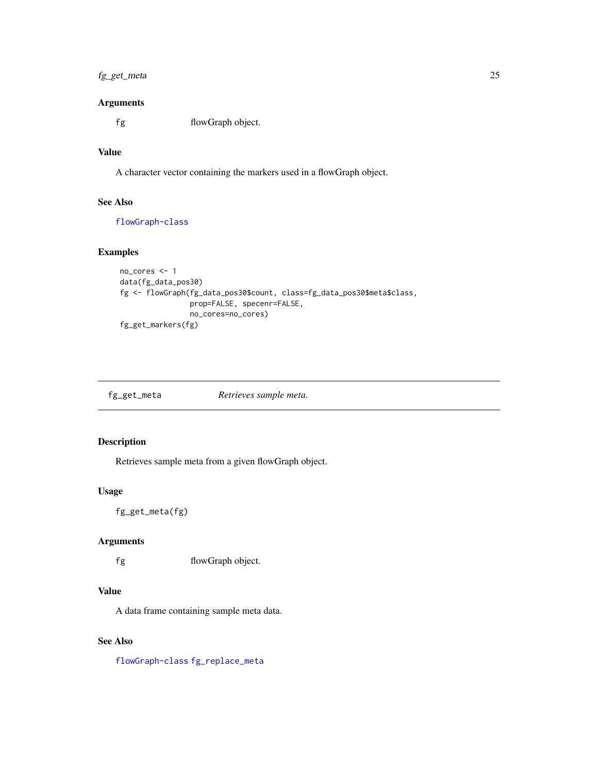# <span id="page-24-0"></span>fg\_get\_meta 25

### Arguments

fg flowGraph object.

# Value

A character vector containing the markers used in a flowGraph object.

# See Also

[flowGraph-class](#page-57-1)

# Examples

```
no_cores <- 1
data(fg_data_pos30)
fg <- flowGraph(fg_data_pos30$count, class=fg_data_pos30$meta$class,
                prop=FALSE, specenr=FALSE,
                no_cores=no_cores)
fg_get_markers(fg)
```

| fg_get_meta | Retrieves sample meta. |
|-------------|------------------------|
|             |                        |

# Description

Retrieves sample meta from a given flowGraph object.

#### Usage

fg\_get\_meta(fg)

# Arguments

fg flowGraph object.

# Value

A data frame containing sample meta data.

# See Also

[flowGraph-class](#page-57-1) [fg\\_replace\\_meta](#page-45-1)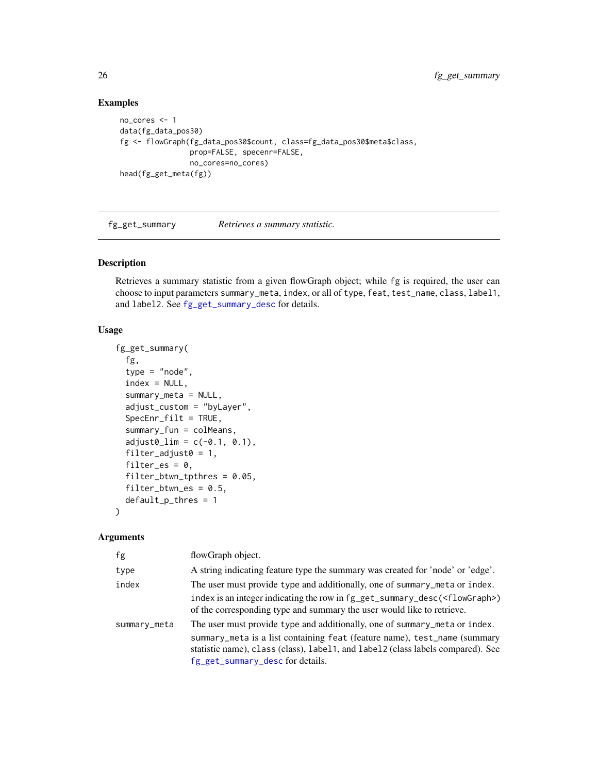# Examples

```
no_cores <- 1
data(fg_data_pos30)
fg <- flowGraph(fg_data_pos30$count, class=fg_data_pos30$meta$class,
                prop=FALSE, specenr=FALSE,
                no_cores=no_cores)
head(fg_get_meta(fg))
```
<span id="page-25-1"></span>fg\_get\_summary *Retrieves a summary statistic.*

# Description

Retrieves a summary statistic from a given flowGraph object; while fg is required, the user can choose to input parameters summary\_meta, index, or all of type, feat, test\_name, class, label1, and label2. See [fg\\_get\\_summary\\_desc](#page-28-1) for details.

#### Usage

```
fg_get_summary(
  fg,
  type = "node",
  index = NULL,summary_meta = NULL,
  adjust_custom = "byLayer",
  SpecEnr_filt = TRUE,
  summary_fun = colMeans,
  adjust0_l = c(-0.1, 0.1),filter_adjust0 = 1,
  filter_es = 0,
  filter_btwn_tpthres = 0.05,
  filter_btwn_es = 0.5,
  default_p_thres = 1
)
```
# Arguments

| fg           | flowGraph object.                                                                                                                                                  |
|--------------|--------------------------------------------------------------------------------------------------------------------------------------------------------------------|
| type         | A string indicating feature type the summary was created for 'node' or 'edge'.                                                                                     |
| index        | The user must provide type and additionally, one of summary_meta or index.                                                                                         |
|              | index is an integer indicating the row in fg_get_summary_desc( <flowgraph>)<br/>of the corresponding type and summary the user would like to retrieve.</flowgraph> |
| summary_meta | The user must provide type and additionally, one of summary_meta or index.<br>summary_meta is a list containing feat (feature name), test_name (summary            |
|              | statistic name), class (class), label1, and label2 (class labels compared). See<br>fg_get_summary_desc for details.                                                |

<span id="page-25-0"></span>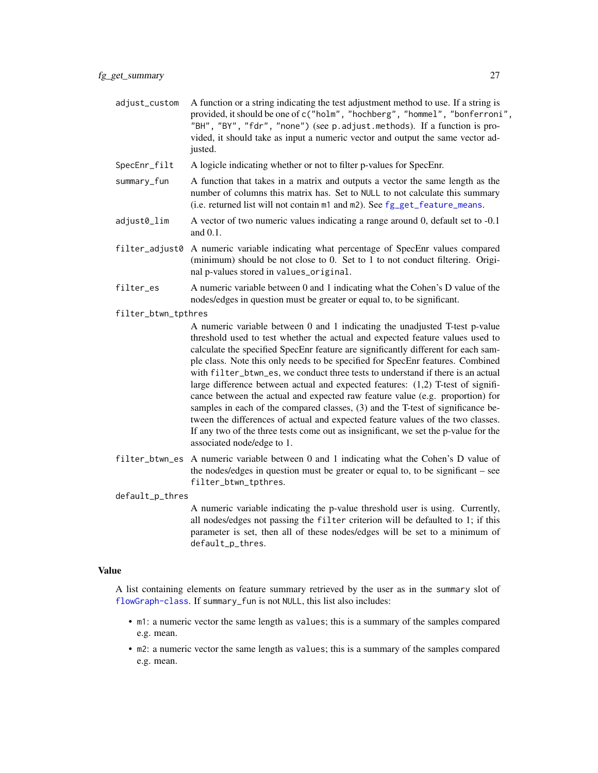- adjust\_custom A function or a string indicating the test adjustment method to use. If a string is provided, it should be one of c("holm", "hochberg", "hommel", "bonferroni", "BH", "BY", "fdr", "none") (see p.adjust.methods). If a function is provided, it should take as input a numeric vector and output the same vector adjusted.
- SpecEnr\_filt A logicle indicating whether or not to filter p-values for SpecEnr.
- summary\_fun A function that takes in a matrix and outputs a vector the same length as the number of columns this matrix has. Set to NULL to not calculate this summary (i.e. returned list will not contain m1 and m2). See [fg\\_get\\_feature\\_means](#page-21-2).
- adjust0\_lim A vector of two numeric values indicating a range around 0, default set to -0.1 and 0.1.
- filter\_adjust0 A numeric variable indicating what percentage of SpecEnr values compared (minimum) should be not close to 0. Set to 1 to not conduct filtering. Original p-values stored in values\_original.
- filter\_es A numeric variable between 0 and 1 indicating what the Cohen's D value of the nodes/edges in question must be greater or equal to, to be significant.

#### filter\_btwn\_tpthres

A numeric variable between 0 and 1 indicating the unadjusted T-test p-value threshold used to test whether the actual and expected feature values used to calculate the specified SpecEnr feature are significantly different for each sample class. Note this only needs to be specified for SpecEnr features. Combined with filter\_btwn\_es, we conduct three tests to understand if there is an actual large difference between actual and expected features: (1,2) T-test of significance between the actual and expected raw feature value (e.g. proportion) for samples in each of the compared classes, (3) and the T-test of significance between the differences of actual and expected feature values of the two classes. If any two of the three tests come out as insignificant, we set the p-value for the associated node/edge to 1.

filter\_btwn\_es A numeric variable between 0 and 1 indicating what the Cohen's D value of the nodes/edges in question must be greater or equal to, to be significant – see filter\_btwn\_tpthres.

default\_p\_thres

A numeric variable indicating the p-value threshold user is using. Currently, all nodes/edges not passing the filter criterion will be defaulted to 1; if this parameter is set, then all of these nodes/edges will be set to a minimum of default\_p\_thres.

#### Value

A list containing elements on feature summary retrieved by the user as in the summary slot of [flowGraph-class](#page-57-1). If summary\_fun is not NULL, this list also includes:

- m1: a numeric vector the same length as values; this is a summary of the samples compared e.g. mean.
- m2: a numeric vector the same length as values; this is a summary of the samples compared e.g. mean.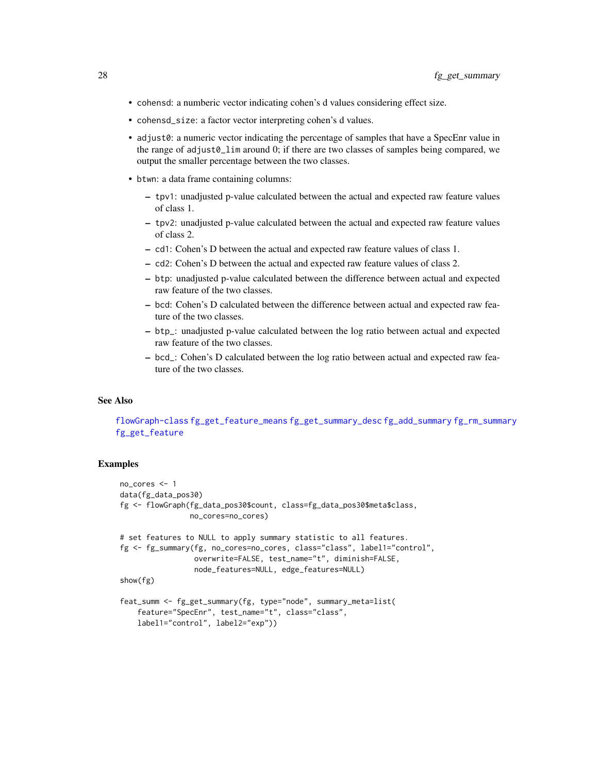- cohensd: a numberic vector indicating cohen's d values considering effect size.
- cohensd\_size: a factor vector interpreting cohen's d values.
- adjust0: a numeric vector indicating the percentage of samples that have a SpecEnr value in the range of adjust0\_lim around 0; if there are two classes of samples being compared, we output the smaller percentage between the two classes.
- btwn: a data frame containing columns:
	- tpv1: unadjusted p-value calculated between the actual and expected raw feature values of class 1.
	- tpv2: unadjusted p-value calculated between the actual and expected raw feature values of class 2.
	- cd1: Cohen's D between the actual and expected raw feature values of class 1.
	- cd2: Cohen's D between the actual and expected raw feature values of class 2.
	- btp: unadjusted p-value calculated between the difference between actual and expected raw feature of the two classes.
	- bcd: Cohen's D calculated between the difference between actual and expected raw feature of the two classes.
	- btp\_: unadjusted p-value calculated between the log ratio between actual and expected raw feature of the two classes.
	- bcd\_: Cohen's D calculated between the log ratio between actual and expected raw feature of the two classes.

# See Also

[flowGraph-class](#page-57-1) [fg\\_get\\_feature\\_means](#page-21-2) [fg\\_get\\_summary\\_desc](#page-28-1) [fg\\_add\\_summary](#page-5-1) [fg\\_rm\\_summary](#page-47-1) [fg\\_get\\_feature](#page-20-1)

```
no_cores <- 1
data(fg_data_pos30)
fg <- flowGraph(fg_data_pos30$count, class=fg_data_pos30$meta$class,
                no_cores=no_cores)
# set features to NULL to apply summary statistic to all features.
fg <- fg_summary(fg, no_cores=no_cores, class="class", label1="control",
                 overwrite=FALSE, test_name="t", diminish=FALSE,
                 node_features=NULL, edge_features=NULL)
show(fg)
feat_summ <- fg_get_summary(fg, type="node", summary_meta=list(
    feature="SpecEnr", test_name="t", class="class",
    label1="control", label2="exp"))
```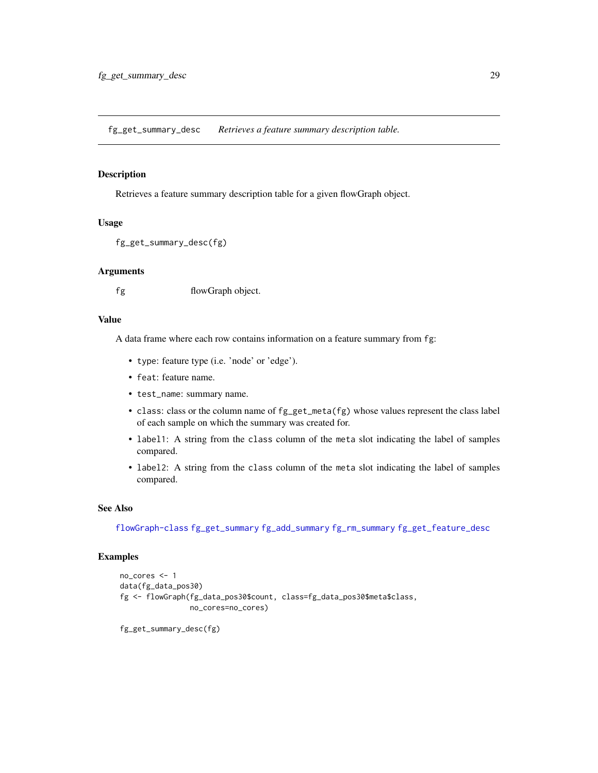<span id="page-28-1"></span><span id="page-28-0"></span>fg\_get\_summary\_desc *Retrieves a feature summary description table.*

#### Description

Retrieves a feature summary description table for a given flowGraph object.

#### Usage

```
fg_get_summary_desc(fg)
```
# Arguments

fg flowGraph object.

#### Value

A data frame where each row contains information on a feature summary from fg:

- type: feature type (i.e. 'node' or 'edge').
- feat: feature name.
- test\_name: summary name.
- class: class or the column name of fg\_get\_meta(fg) whose values represent the class label of each sample on which the summary was created for.
- label1: A string from the class column of the meta slot indicating the label of samples compared.
- label2: A string from the class column of the meta slot indicating the label of samples compared.

#### See Also

[flowGraph-class](#page-57-1) [fg\\_get\\_summary](#page-25-1) [fg\\_add\\_summary](#page-5-1) [fg\\_rm\\_summary](#page-47-1) [fg\\_get\\_feature\\_desc](#page-21-1)

```
no_cores <- 1
data(fg_data_pos30)
fg <- flowGraph(fg_data_pos30$count, class=fg_data_pos30$meta$class,
                no_cores=no_cores)
```

```
fg_get_summary_desc(fg)
```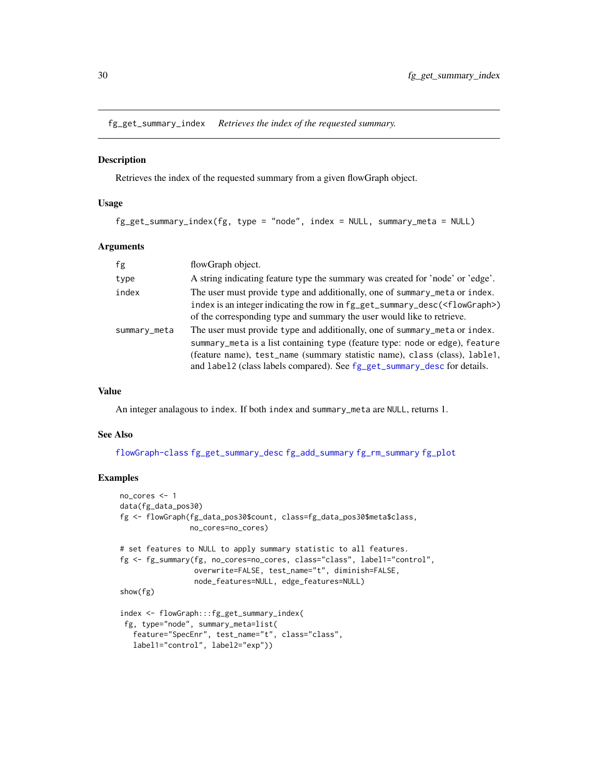<span id="page-29-0"></span>fg\_get\_summary\_index *Retrieves the index of the requested summary.*

# Description

Retrieves the index of the requested summary from a given flowGraph object.

#### Usage

```
fg_get_summary_index(fg, type = "node", index = NULL, summary_meta = NULL)
```
#### Arguments

| fg           | flowGraph object.                                                                                                                                                                                                                                                                                                    |
|--------------|----------------------------------------------------------------------------------------------------------------------------------------------------------------------------------------------------------------------------------------------------------------------------------------------------------------------|
| type         | A string indicating feature type the summary was created for 'node' or 'edge'.                                                                                                                                                                                                                                       |
| index        | The user must provide type and additionally, one of summary_meta or index.                                                                                                                                                                                                                                           |
|              | index is an integer indicating the row in fg_get_summary_desc( <flowgraph>)<br/>of the corresponding type and summary the user would like to retrieve.</flowgraph>                                                                                                                                                   |
| summary_meta | The user must provide type and additionally, one of summary_meta or index.<br>summary_meta is a list containing type (feature type: node or edge), feature<br>(feature name), test_name (summary statistic name), class (class), lable1,<br>and label2 (class labels compared). See fg_get_summary_desc for details. |

#### Value

An integer analagous to index. If both index and summary\_meta are NULL, returns 1.

#### See Also

[flowGraph-class](#page-57-1) [fg\\_get\\_summary\\_desc](#page-28-1) [fg\\_add\\_summary](#page-5-1) [fg\\_rm\\_summary](#page-47-1) [fg\\_plot](#page-36-1)

```
no_cores <- 1
data(fg_data_pos30)
fg <- flowGraph(fg_data_pos30$count, class=fg_data_pos30$meta$class,
                no_cores=no_cores)
# set features to NULL to apply summary statistic to all features.
fg <- fg_summary(fg, no_cores=no_cores, class="class", label1="control",
                 overwrite=FALSE, test_name="t", diminish=FALSE,
                 node_features=NULL, edge_features=NULL)
show(fg)
index <- flowGraph:::fg_get_summary_index(
 fg, type="node", summary_meta=list(
   feature="SpecEnr", test_name="t", class="class",
   label1="control", label2="exp"))
```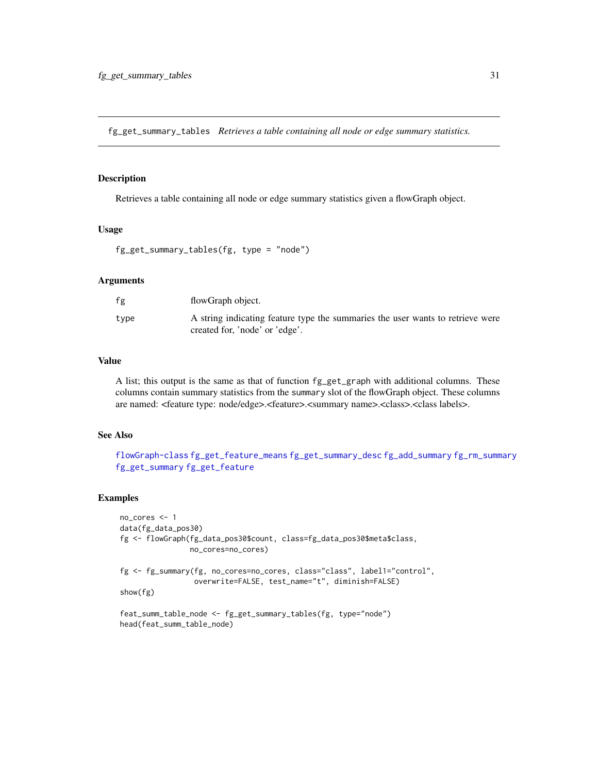<span id="page-30-0"></span>fg\_get\_summary\_tables *Retrieves a table containing all node or edge summary statistics.*

# Description

Retrieves a table containing all node or edge summary statistics given a flowGraph object.

#### Usage

```
fg_get_summary_tables(fg, type = "node")
```
#### Arguments

| fg   | flowGraph object.                                                                                                |
|------|------------------------------------------------------------------------------------------------------------------|
| type | A string indicating feature type the summaries the user wants to retrieve were<br>created for, 'node' or 'edge'. |

#### Value

A list; this output is the same as that of function fg\_get\_graph with additional columns. These columns contain summary statistics from the summary slot of the flowGraph object. These columns are named: <feature type: node/edge>.<feature>.<summary name>.<class>.<class labels>.

#### See Also

[flowGraph-class](#page-57-1) [fg\\_get\\_feature\\_means](#page-21-2) [fg\\_get\\_summary\\_desc](#page-28-1) [fg\\_add\\_summary](#page-5-1) [fg\\_rm\\_summary](#page-47-1) [fg\\_get\\_summary](#page-25-1) [fg\\_get\\_feature](#page-20-1)

```
no_cores <- 1
data(fg_data_pos30)
fg <- flowGraph(fg_data_pos30$count, class=fg_data_pos30$meta$class,
                no_cores=no_cores)
fg <- fg_summary(fg, no_cores=no_cores, class="class", label1="control",
                 overwrite=FALSE, test_name="t", diminish=FALSE)
show(fg)
feat_summ_table_node <- fg_get_summary_tables(fg, type="node")
head(feat_summ_table_node)
```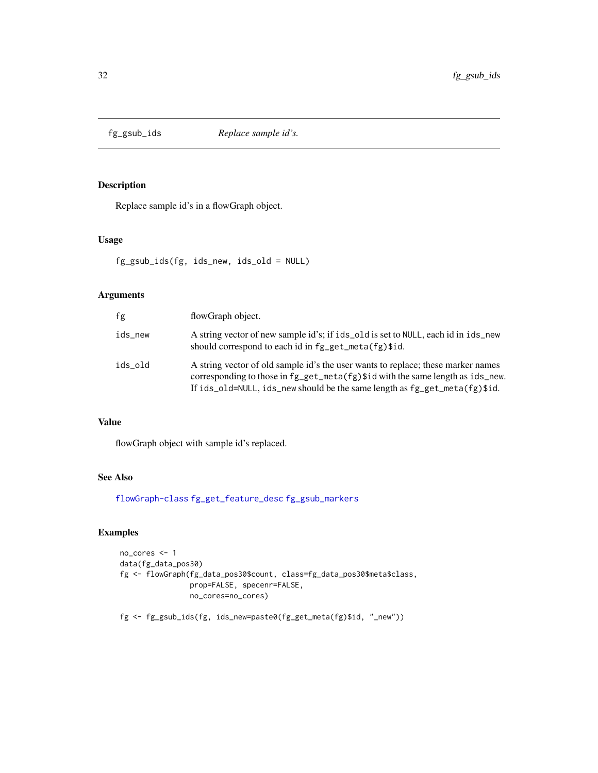<span id="page-31-1"></span><span id="page-31-0"></span>

# Description

Replace sample id's in a flowGraph object.

#### Usage

fg\_gsub\_ids(fg, ids\_new, ids\_old = NULL)

# Arguments

| fg      | flowGraph object.                                                                                                                                                                                                                                    |
|---------|------------------------------------------------------------------------------------------------------------------------------------------------------------------------------------------------------------------------------------------------------|
| ids_new | A string vector of new sample id's; if ids_old is set to NULL, each id in ids_new<br>should correspond to each id in fg_get_meta(fg)\$id.                                                                                                            |
| ids old | A string vector of old sample id's the user wants to replace; these marker names<br>corresponding to those in $fg\_get\_meta(fg)$ and with the same length as ids_new.<br>If ids_old=NULL, ids_new should be the same length as fg_get_meta(fg)\$id. |

# Value

flowGraph object with sample id's replaced.

# See Also

[flowGraph-class](#page-57-1) [fg\\_get\\_feature\\_desc](#page-21-1) [fg\\_gsub\\_markers](#page-32-1)

# Examples

```
no_cores <- 1
data(fg_data_pos30)
fg <- flowGraph(fg_data_pos30$count, class=fg_data_pos30$meta$class,
                prop=FALSE, specenr=FALSE,
                no_cores=no_cores)
```
fg <- fg\_gsub\_ids(fg, ids\_new=paste0(fg\_get\_meta(fg)\$id, "\_new"))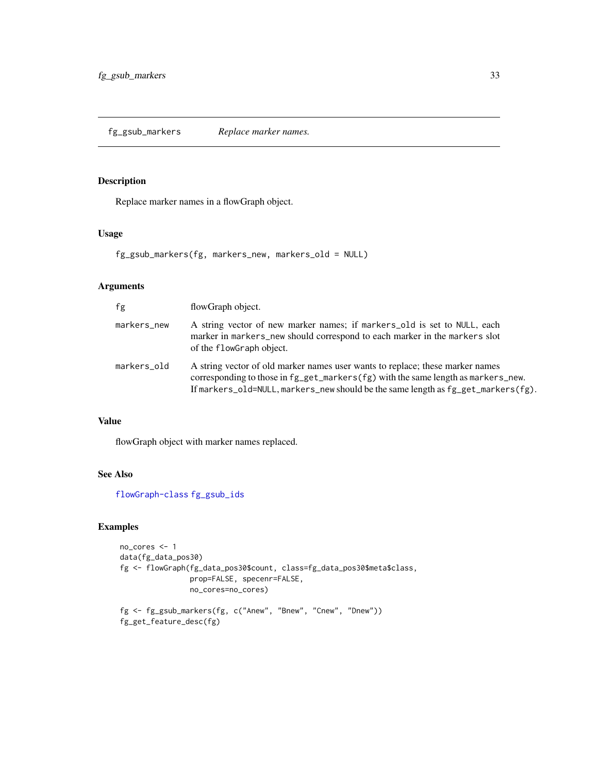<span id="page-32-1"></span><span id="page-32-0"></span>fg\_gsub\_markers *Replace marker names.*

# Description

Replace marker names in a flowGraph object.

# Usage

fg\_gsub\_markers(fg, markers\_new, markers\_old = NULL)

# Arguments

| fg          | flowGraph object.                                                                                                                                                                                                                                            |
|-------------|--------------------------------------------------------------------------------------------------------------------------------------------------------------------------------------------------------------------------------------------------------------|
| markers_new | A string vector of new marker names; if markers_old is set to NULL, each<br>marker in markers_new should correspond to each marker in the markers slot<br>of the flowGraph object.                                                                           |
| markers_old | A string vector of old marker names user wants to replace; these marker names<br>corresponding to those in fg_get_markers(fg) with the same length as markers_new.<br>If markers_old=NULL, markers_new should be the same length as $fg\_get\_markers(fg)$ . |

# Value

flowGraph object with marker names replaced.

# See Also

[flowGraph-class](#page-57-1) [fg\\_gsub\\_ids](#page-31-1)

```
no_cores <- 1
data(fg_data_pos30)
fg <- flowGraph(fg_data_pos30$count, class=fg_data_pos30$meta$class,
               prop=FALSE, specenr=FALSE,
                no_cores=no_cores)
fg <- fg_gsub_markers(fg, c("Anew", "Bnew", "Cnew", "Dnew"))
fg_get_feature_desc(fg)
```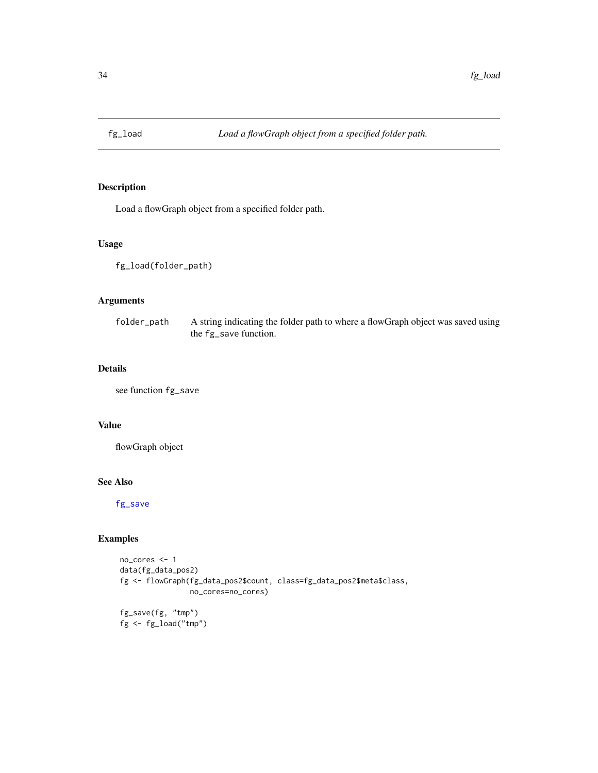<span id="page-33-0"></span>

# Description

Load a flowGraph object from a specified folder path.

## Usage

fg\_load(folder\_path)

# Arguments

| folder_path | A string indicating the folder path to where a flowGraph object was saved using |
|-------------|---------------------------------------------------------------------------------|
|             | the fg_save function.                                                           |

# Details

see function fg\_save

#### Value

flowGraph object

#### See Also

[fg\\_save](#page-48-1)

# Examples

```
no_cores <- 1
data(fg_data_pos2)
fg <- flowGraph(fg_data_pos2$count, class=fg_data_pos2$meta$class,
                no_cores=no_cores)
fg_save(fg, "tmp")
```
fg <- fg\_load("tmp")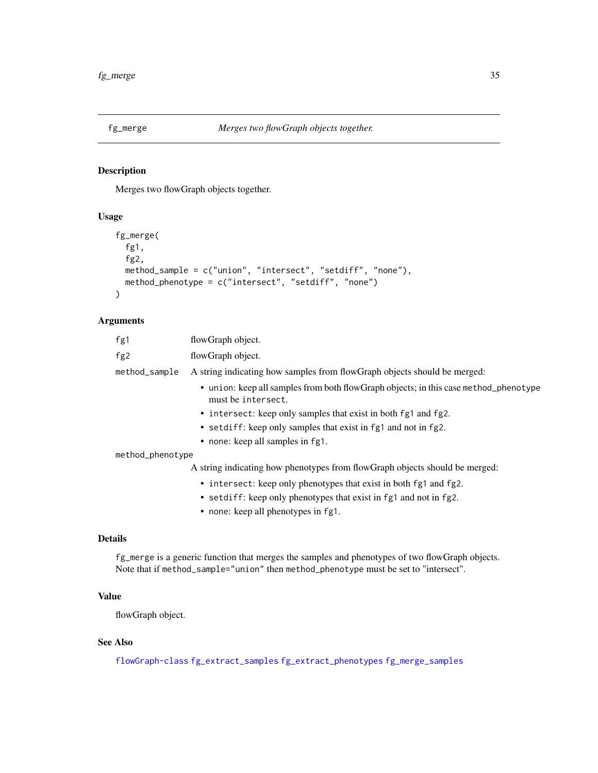<span id="page-34-1"></span><span id="page-34-0"></span>

# Description

Merges two flowGraph objects together.

# Usage

```
fg_merge(
  fg1,
  fg2,
 method_sample = c("union", "intersect", "setdiff", "none"),
 method_phenotype = c("intersect", "setdiff", "none")
)
```
# Arguments

| fg1              | flowGraph object.                                                                                          |
|------------------|------------------------------------------------------------------------------------------------------------|
| fg2              | flowGraph object.                                                                                          |
| method_sample    | A string indicating how samples from flowGraph objects should be merged:                                   |
|                  | • union: keep all samples from both flowGraph objects; in this case method_phenotype<br>must be intersect. |
|                  | • intersect: keep only samples that exist in both fg1 and fg2.                                             |
|                  | • setdiff: keep only samples that exist in fg1 and not in fg2.                                             |
|                  | • none: keep all samples in fg1.                                                                           |
| method_phenotype |                                                                                                            |
|                  | A string indicating how phenotypes from flowGraph objects should be merged:                                |
|                  | • intersect: keep only phenotypes that exist in both fg1 and fg2.                                          |
|                  | • setdiff: keep only phenotypes that exist in fg1 and not in fg2.                                          |
|                  |                                                                                                            |

• none: keep all phenotypes in fg1.

# Details

fg\_merge is a generic function that merges the samples and phenotypes of two flowGraph objects. Note that if method\_sample="union" then method\_phenotype must be set to "intersect".

# Value

flowGraph object.

# See Also

[flowGraph-class](#page-57-1) [fg\\_extract\\_samples](#page-12-1) [fg\\_extract\\_phenotypes](#page-11-1) [fg\\_merge\\_samples](#page-35-1)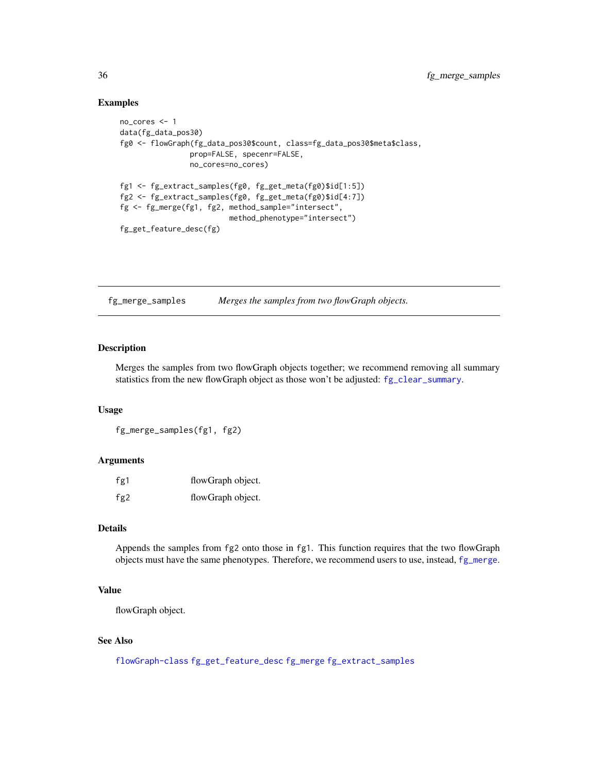# Examples

```
no_cores <- 1
data(fg_data_pos30)
fg0 <- flowGraph(fg_data_pos30$count, class=fg_data_pos30$meta$class,
                prop=FALSE, specenr=FALSE,
                no_cores=no_cores)
fg1 <- fg_extract_samples(fg0, fg_get_meta(fg0)$id[1:5])
fg2 <- fg_extract_samples(fg0, fg_get_meta(fg0)$id[4:7])
fg <- fg_merge(fg1, fg2, method_sample="intersect",
                         method_phenotype="intersect")
fg_get_feature_desc(fg)
```
<span id="page-35-1"></span>fg\_merge\_samples *Merges the samples from two flowGraph objects.*

#### Description

Merges the samples from two flowGraph objects together; we recommend removing all summary statistics from the new flowGraph object as those won't be adjusted: [fg\\_clear\\_summary](#page-8-1).

#### Usage

fg\_merge\_samples(fg1, fg2)

#### Arguments

| fg1 | flowGraph object. |
|-----|-------------------|
| fg2 | flowGraph object. |

#### Details

Appends the samples from fg2 onto those in fg1. This function requires that the two flowGraph objects must have the same phenotypes. Therefore, we recommend users to use, instead, [fg\\_merge](#page-34-1).

# Value

flowGraph object.

#### See Also

[flowGraph-class](#page-57-1) [fg\\_get\\_feature\\_desc](#page-21-1) [fg\\_merge](#page-34-1) [fg\\_extract\\_samples](#page-12-1)

<span id="page-35-0"></span>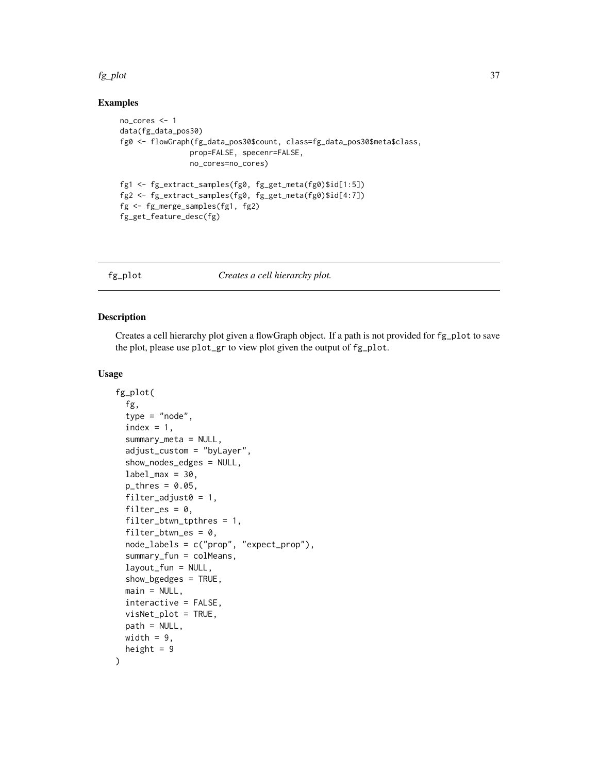#### fg\_plot 37

#### Examples

```
no_cores <- 1
data(fg_data_pos30)
fg0 <- flowGraph(fg_data_pos30$count, class=fg_data_pos30$meta$class,
                prop=FALSE, specenr=FALSE,
                no_cores=no_cores)
fg1 <- fg_extract_samples(fg0, fg_get_meta(fg0)$id[1:5])
fg2 <- fg_extract_samples(fg0, fg_get_meta(fg0)$id[4:7])
fg <- fg_merge_samples(fg1, fg2)
fg_get_feature_desc(fg)
```
<span id="page-36-0"></span>

fg\_plot *Creates a cell hierarchy plot.*

# Description

Creates a cell hierarchy plot given a flowGraph object. If a path is not provided for fg\_plot to save the plot, please use plot\_gr to view plot given the output of fg\_plot.

#### Usage

```
fg_plot(
  fg,
  type = "node",
  index = 1,
  summary_meta = NULL,
  adjust_custom = "byLayer",
  show_nodes_edges = NULL,
  label\_max = 30,
  p_{thres} = 0.05,
  filter_adjust0 = 1,
  filter_es = 0,
  filter_btwn_tpthres = 1,
  filter_btwn_es = 0,
  node_labels = c("prop", "expect_prop"),
  summary_fun = colMeans,
  layout_fun = NULL,
  show_bgedges = TRUE,
  main = NULL,interactive = FALSE,
  visNet_plot = TRUE,
  path = NULL,
 width = 9,
  height = 9)
```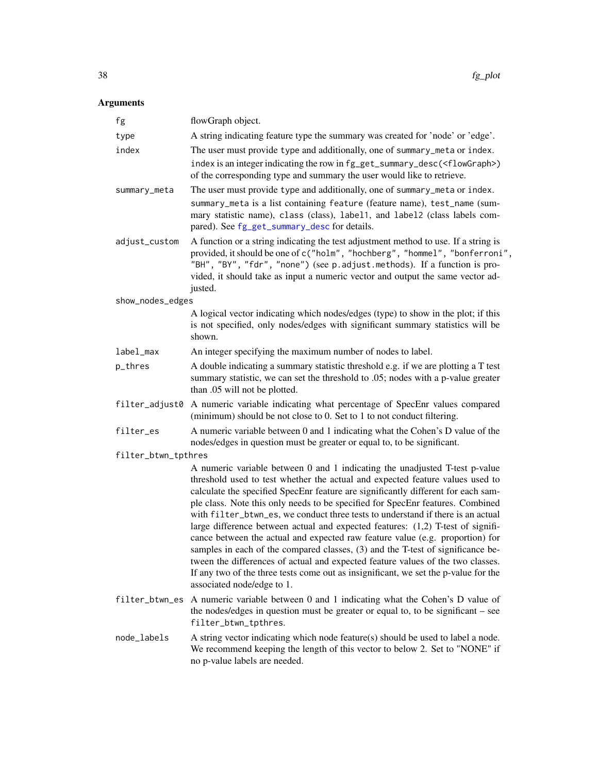# Arguments

| fg                  | flowGraph object.                                                                                                                                                                                                                                                                                                                                                                                                                                                                                                                                                                                                                                                                                                                                                                                                                                                                     |
|---------------------|---------------------------------------------------------------------------------------------------------------------------------------------------------------------------------------------------------------------------------------------------------------------------------------------------------------------------------------------------------------------------------------------------------------------------------------------------------------------------------------------------------------------------------------------------------------------------------------------------------------------------------------------------------------------------------------------------------------------------------------------------------------------------------------------------------------------------------------------------------------------------------------|
| type                | A string indicating feature type the summary was created for 'node' or 'edge'.                                                                                                                                                                                                                                                                                                                                                                                                                                                                                                                                                                                                                                                                                                                                                                                                        |
| index               | The user must provide type and additionally, one of summary_meta or index.<br>index is an integer indicating the row in fg_get_summary_desc( <flowgraph>)<br/>of the corresponding type and summary the user would like to retrieve.</flowgraph>                                                                                                                                                                                                                                                                                                                                                                                                                                                                                                                                                                                                                                      |
| summary_meta        | The user must provide type and additionally, one of summary_meta or index.<br>summary_meta is a list containing feature (feature name), test_name (sum-<br>mary statistic name), class (class), label1, and label2 (class labels com-<br>pared). See fg_get_summary_desc for details.                                                                                                                                                                                                                                                                                                                                                                                                                                                                                                                                                                                                 |
| adjust_custom       | A function or a string indicating the test adjustment method to use. If a string is<br>provided, it should be one of c("holm", "hochberg", "hommel", "bonferroni",<br>"BH", "BY", "fdr", "none") (see p. adjust. methods). If a function is pro-<br>vided, it should take as input a numeric vector and output the same vector ad-<br>justed.                                                                                                                                                                                                                                                                                                                                                                                                                                                                                                                                         |
| show_nodes_edges    |                                                                                                                                                                                                                                                                                                                                                                                                                                                                                                                                                                                                                                                                                                                                                                                                                                                                                       |
|                     | A logical vector indicating which nodes/edges (type) to show in the plot; if this<br>is not specified, only nodes/edges with significant summary statistics will be<br>shown.                                                                                                                                                                                                                                                                                                                                                                                                                                                                                                                                                                                                                                                                                                         |
| label_max           | An integer specifying the maximum number of nodes to label.                                                                                                                                                                                                                                                                                                                                                                                                                                                                                                                                                                                                                                                                                                                                                                                                                           |
| p_thres             | A double indicating a summary statistic threshold e.g. if we are plotting a T test<br>summary statistic, we can set the threshold to .05; nodes with a p-value greater<br>than .05 will not be plotted.                                                                                                                                                                                                                                                                                                                                                                                                                                                                                                                                                                                                                                                                               |
|                     | filter_adjust0 A numeric variable indicating what percentage of SpecEnr values compared<br>(minimum) should be not close to 0. Set to 1 to not conduct filtering.                                                                                                                                                                                                                                                                                                                                                                                                                                                                                                                                                                                                                                                                                                                     |
| filter_es           | A numeric variable between 0 and 1 indicating what the Cohen's D value of the<br>nodes/edges in question must be greater or equal to, to be significant.                                                                                                                                                                                                                                                                                                                                                                                                                                                                                                                                                                                                                                                                                                                              |
| filter_btwn_tpthres |                                                                                                                                                                                                                                                                                                                                                                                                                                                                                                                                                                                                                                                                                                                                                                                                                                                                                       |
|                     | A numeric variable between 0 and 1 indicating the unadjusted T-test p-value<br>threshold used to test whether the actual and expected feature values used to<br>calculate the specified SpecEnr feature are significantly different for each sam-<br>ple class. Note this only needs to be specified for SpecEnr features. Combined<br>with filter_btwn_es, we conduct three tests to understand if there is an actual<br>large difference between actual and expected features: (1,2) T-test of signifi-<br>cance between the actual and expected raw feature value (e.g. proportion) for<br>samples in each of the compared classes, (3) and the T-test of significance be-<br>tween the differences of actual and expected feature values of the two classes.<br>If any two of the three tests come out as insignificant, we set the p-value for the<br>associated node/edge to 1. |
| filter_btwn_es      | A numeric variable between 0 and 1 indicating what the Cohen's D value of<br>the nodes/edges in question must be greater or equal to, to be significant – see<br>filter_btwn_tpthres.                                                                                                                                                                                                                                                                                                                                                                                                                                                                                                                                                                                                                                                                                                 |
| node_labels         | A string vector indicating which node feature(s) should be used to label a node.<br>We recommend keeping the length of this vector to below 2. Set to "NONE" if<br>no p-value labels are needed.                                                                                                                                                                                                                                                                                                                                                                                                                                                                                                                                                                                                                                                                                      |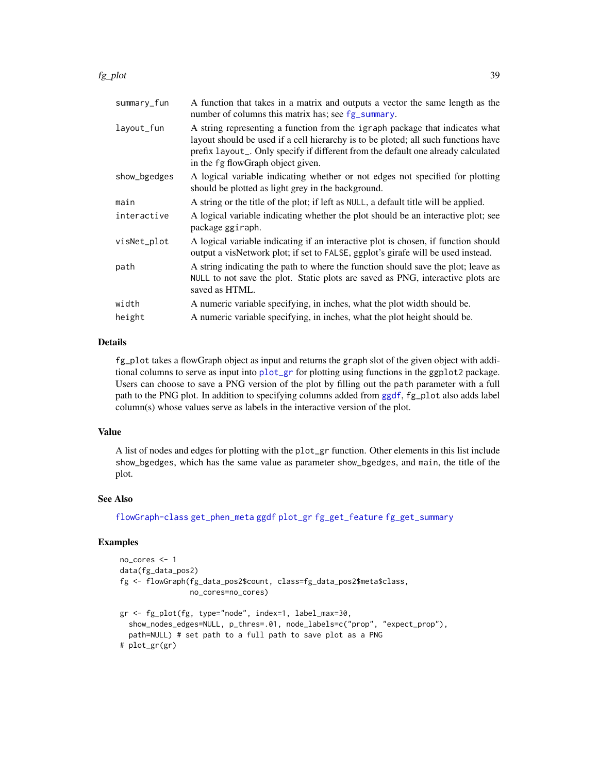#### fg\_plot 39

| summary_fun  | A function that takes in a matrix and outputs a vector the same length as the<br>number of columns this matrix has; see fg_summary.                                                                                                                                                          |
|--------------|----------------------------------------------------------------------------------------------------------------------------------------------------------------------------------------------------------------------------------------------------------------------------------------------|
| layout_fun   | A string representing a function from the igraph package that indicates what<br>layout should be used if a cell hierarchy is to be ploted; all such functions have<br>prefix layout_. Only specify if different from the default one already calculated<br>in the fg flowGraph object given. |
| show_bgedges | A logical variable indicating whether or not edges not specified for plotting<br>should be plotted as light grey in the background.                                                                                                                                                          |
| main         | A string or the title of the plot; if left as NULL, a default title will be applied.                                                                                                                                                                                                         |
| interactive  | A logical variable indicating whether the plot should be an interactive plot; see<br>package ggiraph.                                                                                                                                                                                        |
| visNet_plot  | A logical variable indicating if an interactive plot is chosen, if function should<br>output a visNetwork plot; if set to FALSE, ggplot's girafe will be used instead.                                                                                                                       |
| path         | A string indicating the path to where the function should save the plot; leave as<br>NULL to not save the plot. Static plots are saved as PNG, interactive plots are<br>saved as HTML.                                                                                                       |
| width        | A numeric variable specifying, in inches, what the plot width should be.                                                                                                                                                                                                                     |
| height       | A numeric variable specifying, in inches, what the plot height should be.                                                                                                                                                                                                                    |

#### Details

fg\_plot takes a flowGraph object as input and returns the graph slot of the given object with additional columns to serve as input into [plot\\_gr](#page-72-0) for plotting using functions in the ggplot2 package. Users can choose to save a PNG version of the plot by filling out the path parameter with a full path to the PNG plot. In addition to specifying columns added from [ggdf](#page-68-0), fg\_plot also adds label column(s) whose values serve as labels in the interactive version of the plot.

#### Value

A list of nodes and edges for plotting with the plot\_gr function. Other elements in this list include show\_bgedges, which has the same value as parameter show\_bgedges, and main, the title of the plot.

# See Also

[flowGraph-class](#page-57-0) [get\\_phen\\_meta](#page-67-0) [ggdf](#page-68-0) [plot\\_gr](#page-72-0) [fg\\_get\\_feature](#page-20-0) [fg\\_get\\_summary](#page-25-0)

# Examples

```
no_cores <- 1
data(fg_data_pos2)
fg <- flowGraph(fg_data_pos2$count, class=fg_data_pos2$meta$class,
                no_cores=no_cores)
gr <- fg_plot(fg, type="node", index=1, label_max=30,
  show_nodes_edges=NULL, p_thres=.01, node_labels=c("prop", "expect_prop"),
  path=NULL) # set path to a full path to save plot as a PNG
# plot_gr(gr)
```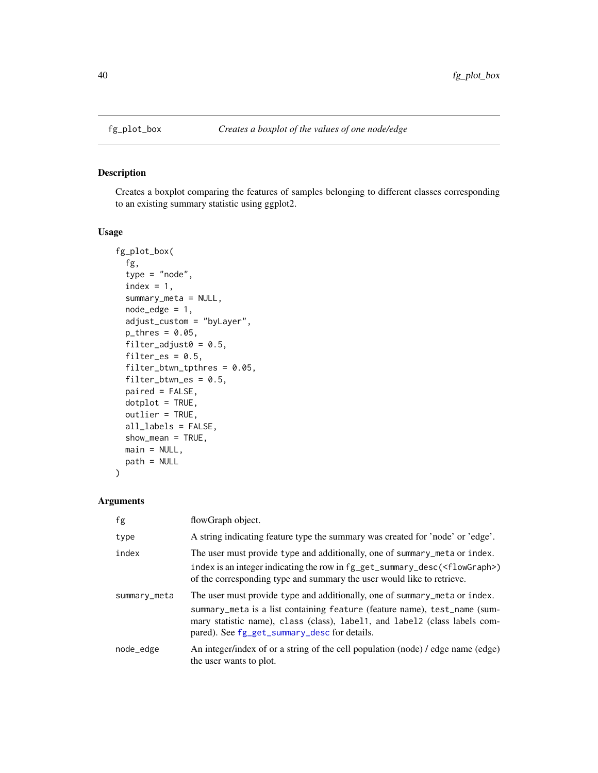<span id="page-39-0"></span>

#### Description

Creates a boxplot comparing the features of samples belonging to different classes corresponding to an existing summary statistic using ggplot2.

# Usage

```
fg_plot_box(
  fg,
  type = "node",
  index = 1,
  summary_meta = NULL,
 node_edge = 1,
 adjust_custom = "byLayer",
 p_{thres} = 0.05,
 filter_adjust0 = 0.5,
 filter_es = 0.5,
  filter_btwn_tpthres = 0.05,
  filter_btwn_es = 0.5,
 paired = FALSE,
 dot = TRUE,outlier = TRUE,
 all_labels = FALSE,
  show_mean = TRUE,
 main = NULL,
 path = NULL
\overline{\phantom{a}}
```
# Arguments

| fg           | flowGraph object.                                                                                                                                                                                                                                                                     |
|--------------|---------------------------------------------------------------------------------------------------------------------------------------------------------------------------------------------------------------------------------------------------------------------------------------|
| type         | A string indicating feature type the summary was created for 'node' or 'edge'.                                                                                                                                                                                                        |
| index        | The user must provide type and additionally, one of summary_meta or index.<br>index is an integer indicating the row in fg_get_summary_desc( <flowgraph>)<br/>of the corresponding type and summary the user would like to retrieve.</flowgraph>                                      |
| summary_meta | The user must provide type and additionally, one of summary_meta or index.<br>summary_meta is a list containing feature (feature name), test_name (sum-<br>mary statistic name), class (class), label1, and label2 (class labels com-<br>pared). See fg_get_summary_desc for details. |
| node_edge    | An integer/index of or a string of the cell population (node) / edge name (edge)<br>the user wants to plot.                                                                                                                                                                           |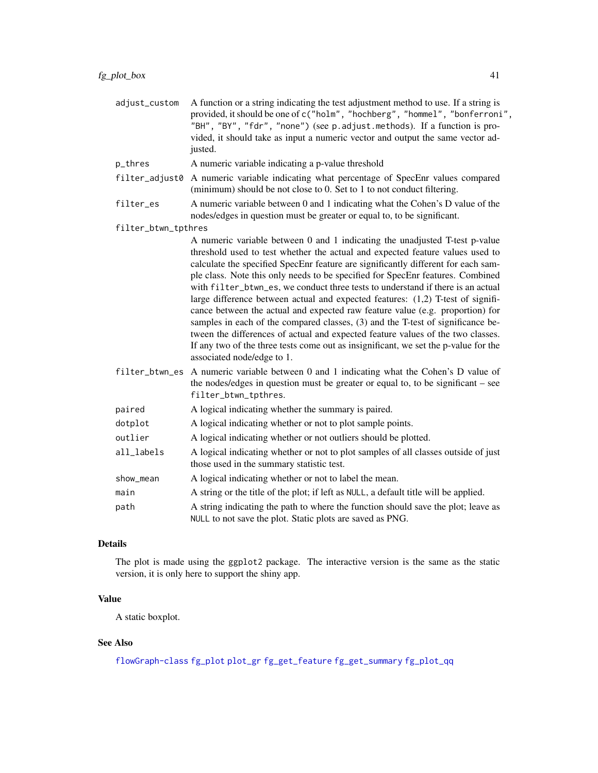| adjust_custom       | A function or a string indicating the test adjustment method to use. If a string is<br>provided, it should be one of c("holm", "hochberg", "hommel", "bonferroni",<br>"BH", "BY", "fdr", "none") (see p.adjust.methods). If a function is pro-<br>vided, it should take as input a numeric vector and output the same vector ad-<br>justed.                                                                                                                                                                                                                                                                                                                                                                                                                                                                                                                                             |
|---------------------|-----------------------------------------------------------------------------------------------------------------------------------------------------------------------------------------------------------------------------------------------------------------------------------------------------------------------------------------------------------------------------------------------------------------------------------------------------------------------------------------------------------------------------------------------------------------------------------------------------------------------------------------------------------------------------------------------------------------------------------------------------------------------------------------------------------------------------------------------------------------------------------------|
| p_thres             | A numeric variable indicating a p-value threshold                                                                                                                                                                                                                                                                                                                                                                                                                                                                                                                                                                                                                                                                                                                                                                                                                                       |
| filter_adjust0      | A numeric variable indicating what percentage of SpecEnr values compared<br>(minimum) should be not close to 0. Set to 1 to not conduct filtering.                                                                                                                                                                                                                                                                                                                                                                                                                                                                                                                                                                                                                                                                                                                                      |
| filter_es           | A numeric variable between 0 and 1 indicating what the Cohen's D value of the<br>nodes/edges in question must be greater or equal to, to be significant.                                                                                                                                                                                                                                                                                                                                                                                                                                                                                                                                                                                                                                                                                                                                |
| filter_btwn_tpthres |                                                                                                                                                                                                                                                                                                                                                                                                                                                                                                                                                                                                                                                                                                                                                                                                                                                                                         |
|                     | A numeric variable between 0 and 1 indicating the unadjusted T-test p-value<br>threshold used to test whether the actual and expected feature values used to<br>calculate the specified SpecEnr feature are significantly different for each sam-<br>ple class. Note this only needs to be specified for SpecEnr features. Combined<br>with filter_btwn_es, we conduct three tests to understand if there is an actual<br>large difference between actual and expected features: $(1,2)$ T-test of signifi-<br>cance between the actual and expected raw feature value (e.g. proportion) for<br>samples in each of the compared classes, (3) and the T-test of significance be-<br>tween the differences of actual and expected feature values of the two classes.<br>If any two of the three tests come out as insignificant, we set the p-value for the<br>associated node/edge to 1. |
| filter_btwn_es      | A numeric variable between 0 and 1 indicating what the Cohen's D value of<br>the nodes/edges in question must be greater or equal to, to be significant $-$ see<br>filter_btwn_tpthres.                                                                                                                                                                                                                                                                                                                                                                                                                                                                                                                                                                                                                                                                                                 |
| paired              | A logical indicating whether the summary is paired.                                                                                                                                                                                                                                                                                                                                                                                                                                                                                                                                                                                                                                                                                                                                                                                                                                     |
| dotplot             | A logical indicating whether or not to plot sample points.                                                                                                                                                                                                                                                                                                                                                                                                                                                                                                                                                                                                                                                                                                                                                                                                                              |
| outlier             | A logical indicating whether or not outliers should be plotted.                                                                                                                                                                                                                                                                                                                                                                                                                                                                                                                                                                                                                                                                                                                                                                                                                         |
| all_labels          | A logical indicating whether or not to plot samples of all classes outside of just<br>those used in the summary statistic test.                                                                                                                                                                                                                                                                                                                                                                                                                                                                                                                                                                                                                                                                                                                                                         |
| show_mean           | A logical indicating whether or not to label the mean.                                                                                                                                                                                                                                                                                                                                                                                                                                                                                                                                                                                                                                                                                                                                                                                                                                  |
| main                | A string or the title of the plot; if left as NULL, a default title will be applied.                                                                                                                                                                                                                                                                                                                                                                                                                                                                                                                                                                                                                                                                                                                                                                                                    |
| path                | A string indicating the path to where the function should save the plot; leave as<br>NULL to not save the plot. Static plots are saved as PNG.                                                                                                                                                                                                                                                                                                                                                                                                                                                                                                                                                                                                                                                                                                                                          |

# Details

The plot is made using the ggplot2 package. The interactive version is the same as the static version, it is only here to support the shiny app.

# Value

A static boxplot.

# See Also

[flowGraph-class](#page-57-0) [fg\\_plot](#page-36-0) [plot\\_gr](#page-72-0) [fg\\_get\\_feature](#page-20-0) [fg\\_get\\_summary](#page-25-0) [fg\\_plot\\_qq](#page-43-0)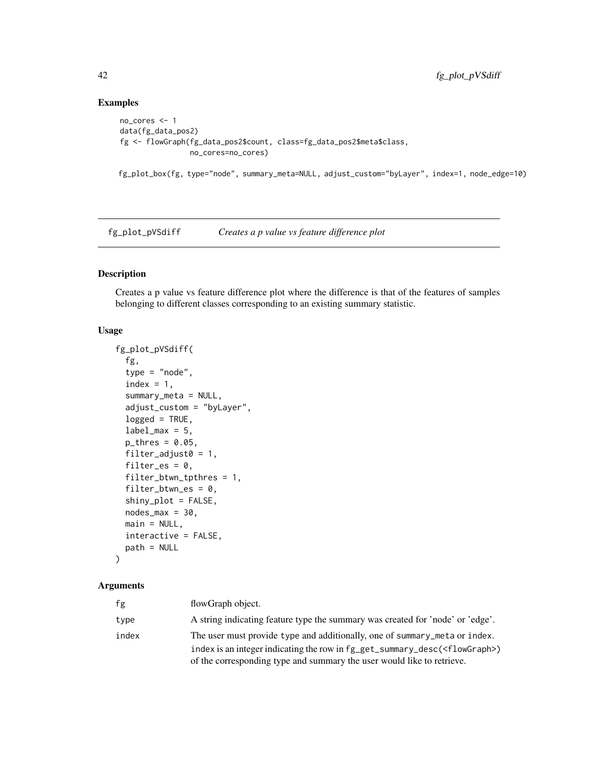# Examples

```
no_cores <- 1
data(fg_data_pos2)
fg <- flowGraph(fg_data_pos2$count, class=fg_data_pos2$meta$class,
                no_cores=no_cores)
```
fg\_plot\_box(fg, type="node", summary\_meta=NULL, adjust\_custom="byLayer", index=1, node\_edge=10)

<span id="page-41-0"></span>fg\_plot\_pVSdiff *Creates a p value vs feature difference plot*

# Description

Creates a p value vs feature difference plot where the difference is that of the features of samples belonging to different classes corresponding to an existing summary statistic.

#### Usage

```
fg_plot_pVSdiff(
  fg,
  type = "node",index = 1,summary_meta = NULL,
  adjust_custom = "byLayer",
  logged = TRUE,label\_max = 5,
  p_{thres} = 0.05,
  filter_adjust0 = 1,
  filter_es = 0,
  filter_btwn_tpthres = 1,
  filter_btwn_es = 0,
  shiny_plot = FALSE,
 nodes\_max = 30,
 main = NULL,interactive = FALSE,
 path = NULL
```
# )

# Arguments

| fg    | flowGraph object.                                                                   |
|-------|-------------------------------------------------------------------------------------|
| type  | A string indicating feature type the summary was created for 'node' or 'edge'.      |
| index | The user must provide type and additionally, one of summary_meta or index.          |
|       | index is an integer indicating the row in $fg\_get\_summary\_desc(\leq flowGraph>)$ |
|       | of the corresponding type and summary the user would like to retrieve.              |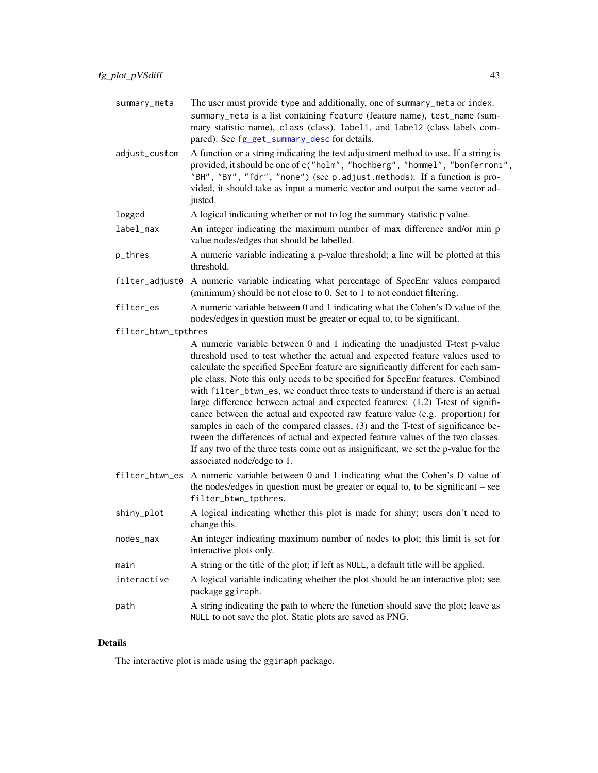adjust\_custom A function or a string indicating the test adjustment method to use. If a string is provided, it should be one of c("holm", "hochberg", "hommel", "bonferroni", "BH", "BY", "fdr", "none") (see p.adjust.methods). If a function is provided, it should take as input a numeric vector and output the same vector adjusted.

- logged A logical indicating whether or not to log the summary statistic p value.
- label\_max An integer indicating the maximum number of max difference and/or min p value nodes/edges that should be labelled.
- p\_thres A numeric variable indicating a p-value threshold; a line will be plotted at this threshold.
- filter\_adjust0 A numeric variable indicating what percentage of SpecEnr values compared (minimum) should be not close to 0. Set to 1 to not conduct filtering.
- filter\_es A numeric variable between 0 and 1 indicating what the Cohen's D value of the nodes/edges in question must be greater or equal to, to be significant.
- filter\_btwn\_tpthres

A numeric variable between 0 and 1 indicating the unadjusted T-test p-value threshold used to test whether the actual and expected feature values used to calculate the specified SpecEnr feature are significantly different for each sample class. Note this only needs to be specified for SpecEnr features. Combined with filter\_btwn\_es, we conduct three tests to understand if there is an actual large difference between actual and expected features: (1,2) T-test of significance between the actual and expected raw feature value (e.g. proportion) for samples in each of the compared classes, (3) and the T-test of significance between the differences of actual and expected feature values of the two classes. If any two of the three tests come out as insignificant, we set the p-value for the associated node/edge to 1.

- filter\_btwn\_es A numeric variable between 0 and 1 indicating what the Cohen's D value of the nodes/edges in question must be greater or equal to, to be significant – see filter\_btwn\_tpthres.
- shiny\_plot A logical indicating whether this plot is made for shiny; users don't need to change this.
- nodes\_max An integer indicating maximum number of nodes to plot; this limit is set for interactive plots only.
- main A string or the title of the plot; if left as NULL, a default title will be applied.
- interactive A logical variable indicating whether the plot should be an interactive plot; see package ggiraph.
	- path A string indicating the path to where the function should save the plot; leave as NULL to not save the plot. Static plots are saved as PNG.

#### Details

The interactive plot is made using the ggiraph package.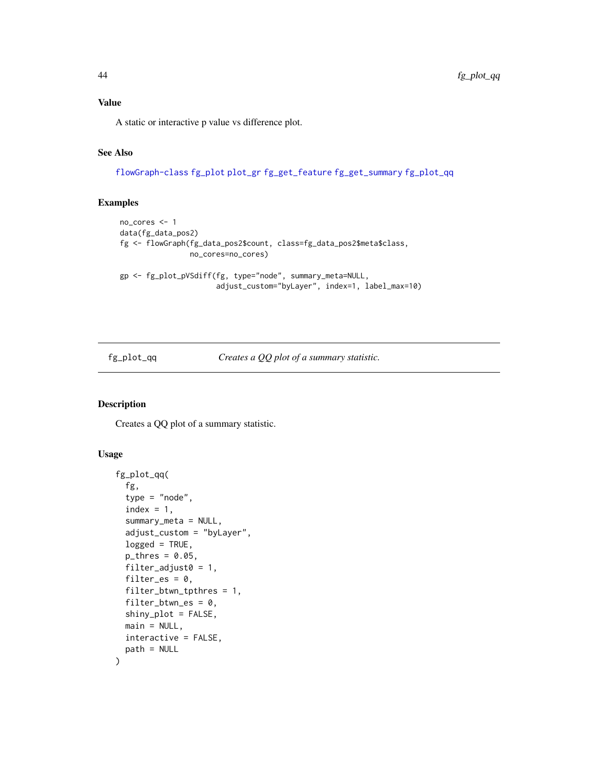A static or interactive p value vs difference plot.

# See Also

[flowGraph-class](#page-57-0) [fg\\_plot](#page-36-0) [plot\\_gr](#page-72-0) [fg\\_get\\_feature](#page-20-0) [fg\\_get\\_summary](#page-25-0) [fg\\_plot\\_qq](#page-43-0)

# Examples

```
no_cores <- 1
data(fg_data_pos2)
fg <- flowGraph(fg_data_pos2$count, class=fg_data_pos2$meta$class,
                no_cores=no_cores)
gp <- fg_plot_pVSdiff(fg, type="node", summary_meta=NULL,
                      adjust_custom="byLayer", index=1, label_max=10)
```
<span id="page-43-0"></span>fg\_plot\_qq *Creates a QQ plot of a summary statistic.*

# Description

Creates a QQ plot of a summary statistic.

#### Usage

```
fg_plot_qq(
  fg,
  type = "node",
  index = 1,summary_meta = NULL,
  adjust_custom = "byLayer",
  logged = TRUE,
  p_{thres} = 0.05,
  filter\_adjust0 = 1,filter_es = 0,
  filter_btwn_tpthres = 1,
  filter_btwn_es = 0,
  shiny_plot = FALSE,
  main = NULL,interactive = FALSE,
  path = NULL
)
```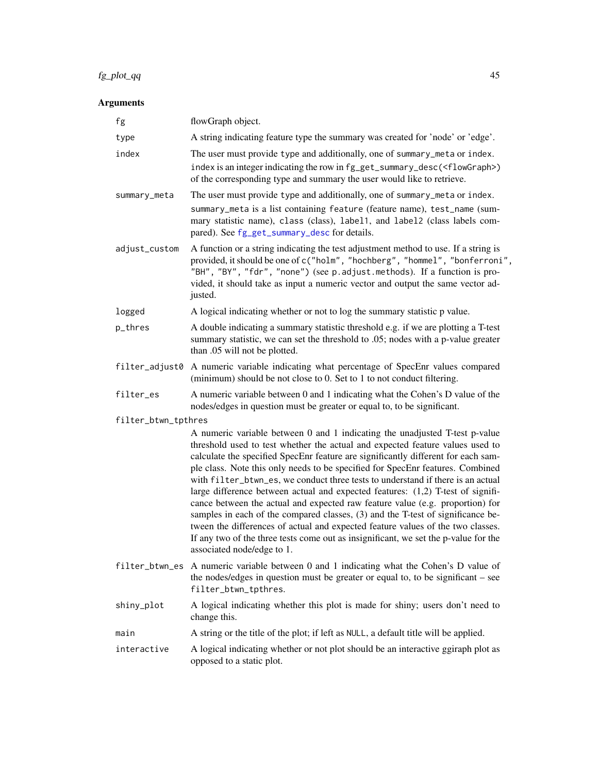# $fg\_plot\_qq$  45

# Arguments

| fg                  | flowGraph object.                                                                                                                                                                                                                                                                                                                                                                                                                                                                                                                                                                                                                                                                                                                                                                                                                                                                     |
|---------------------|---------------------------------------------------------------------------------------------------------------------------------------------------------------------------------------------------------------------------------------------------------------------------------------------------------------------------------------------------------------------------------------------------------------------------------------------------------------------------------------------------------------------------------------------------------------------------------------------------------------------------------------------------------------------------------------------------------------------------------------------------------------------------------------------------------------------------------------------------------------------------------------|
| type                | A string indicating feature type the summary was created for 'node' or 'edge'.                                                                                                                                                                                                                                                                                                                                                                                                                                                                                                                                                                                                                                                                                                                                                                                                        |
| index               | The user must provide type and additionally, one of summary_meta or index.<br>index is an integer indicating the row in fg_get_summary_desc( <flowgraph>)<br/>of the corresponding type and summary the user would like to retrieve.</flowgraph>                                                                                                                                                                                                                                                                                                                                                                                                                                                                                                                                                                                                                                      |
| summary_meta        | The user must provide type and additionally, one of summary_meta or index.<br>summary_meta is a list containing feature (feature name), test_name (sum-<br>mary statistic name), class (class), label1, and label2 (class labels com-<br>pared). See fg_get_summary_desc for details.                                                                                                                                                                                                                                                                                                                                                                                                                                                                                                                                                                                                 |
| adjust_custom       | A function or a string indicating the test adjustment method to use. If a string is<br>provided, it should be one of c("holm", "hochberg", "hommel", "bonferroni",<br>"BH", "BY", "fdr", "none") (see p. adjust. methods). If a function is pro-<br>vided, it should take as input a numeric vector and output the same vector ad-<br>justed.                                                                                                                                                                                                                                                                                                                                                                                                                                                                                                                                         |
| logged              | A logical indicating whether or not to log the summary statistic p value.                                                                                                                                                                                                                                                                                                                                                                                                                                                                                                                                                                                                                                                                                                                                                                                                             |
| p_thres             | A double indicating a summary statistic threshold e.g. if we are plotting a T-test<br>summary statistic, we can set the threshold to .05; nodes with a p-value greater<br>than .05 will not be plotted.                                                                                                                                                                                                                                                                                                                                                                                                                                                                                                                                                                                                                                                                               |
| filter_adjust0      | A numeric variable indicating what percentage of SpecEnr values compared<br>(minimum) should be not close to 0. Set to 1 to not conduct filtering.                                                                                                                                                                                                                                                                                                                                                                                                                                                                                                                                                                                                                                                                                                                                    |
| filter_es           | A numeric variable between 0 and 1 indicating what the Cohen's D value of the<br>nodes/edges in question must be greater or equal to, to be significant.                                                                                                                                                                                                                                                                                                                                                                                                                                                                                                                                                                                                                                                                                                                              |
| filter_btwn_tpthres | A numeric variable between 0 and 1 indicating the unadjusted T-test p-value<br>threshold used to test whether the actual and expected feature values used to<br>calculate the specified SpecEnr feature are significantly different for each sam-<br>ple class. Note this only needs to be specified for SpecEnr features. Combined<br>with filter_btwn_es, we conduct three tests to understand if there is an actual<br>large difference between actual and expected features: (1,2) T-test of signifi-<br>cance between the actual and expected raw feature value (e.g. proportion) for<br>samples in each of the compared classes, (3) and the T-test of significance be-<br>tween the differences of actual and expected feature values of the two classes.<br>If any two of the three tests come out as insignificant, we set the p-value for the<br>associated node/edge to 1. |
|                     | filter_btwn_es A numeric variable between 0 and 1 indicating what the Cohen's D value of<br>the nodes/edges in question must be greater or equal to, to be significant – see<br>filter_btwn_tpthres.                                                                                                                                                                                                                                                                                                                                                                                                                                                                                                                                                                                                                                                                                  |
| shiny_plot          | A logical indicating whether this plot is made for shiny; users don't need to<br>change this.                                                                                                                                                                                                                                                                                                                                                                                                                                                                                                                                                                                                                                                                                                                                                                                         |
| main                | A string or the title of the plot; if left as NULL, a default title will be applied.                                                                                                                                                                                                                                                                                                                                                                                                                                                                                                                                                                                                                                                                                                                                                                                                  |
| interactive         | A logical indicating whether or not plot should be an interactive ggiraph plot as<br>opposed to a static plot.                                                                                                                                                                                                                                                                                                                                                                                                                                                                                                                                                                                                                                                                                                                                                                        |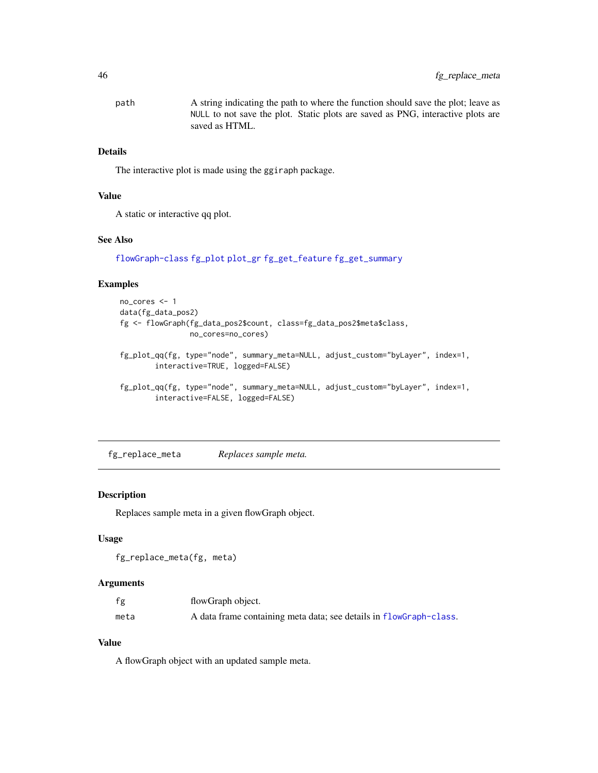path A string indicating the path to where the function should save the plot; leave as NULL to not save the plot. Static plots are saved as PNG, interactive plots are saved as HTML.

# Details

The interactive plot is made using the ggiraph package.

#### Value

A static or interactive qq plot.

#### See Also

[flowGraph-class](#page-57-0) [fg\\_plot](#page-36-0) [plot\\_gr](#page-72-0) [fg\\_get\\_feature](#page-20-0) [fg\\_get\\_summary](#page-25-0)

# Examples

```
no_cores <- 1
data(fg_data_pos2)
fg <- flowGraph(fg_data_pos2$count, class=fg_data_pos2$meta$class,
                no_cores=no_cores)
fg_plot_qq(fg, type="node", summary_meta=NULL, adjust_custom="byLayer", index=1,
        interactive=TRUE, logged=FALSE)
fg_plot_qq(fg, type="node", summary_meta=NULL, adjust_custom="byLayer", index=1,
        interactive=FALSE, logged=FALSE)
```
fg\_replace\_meta *Replaces sample meta.*

#### Description

Replaces sample meta in a given flowGraph object.

#### Usage

```
fg_replace_meta(fg, meta)
```
#### Arguments

| fg   | flowGraph object.                                                  |
|------|--------------------------------------------------------------------|
| meta | A data frame containing meta data; see details in flowGraph-class. |

#### Value

A flowGraph object with an updated sample meta.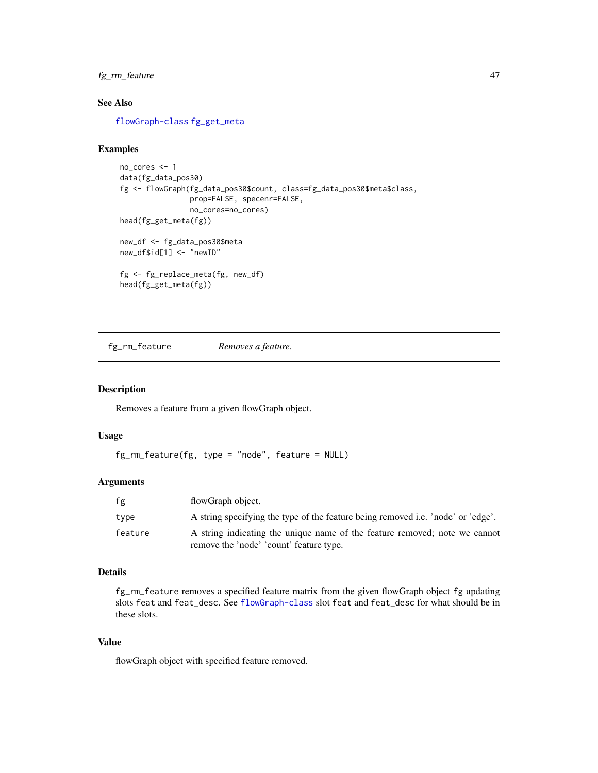# fg\_rm\_feature 47

# See Also

[flowGraph-class](#page-57-0) [fg\\_get\\_meta](#page-24-0)

#### Examples

```
no_cores <- 1
data(fg_data_pos30)
fg <- flowGraph(fg_data_pos30$count, class=fg_data_pos30$meta$class,
                prop=FALSE, specenr=FALSE,
                no_cores=no_cores)
head(fg_get_meta(fg))
new_df <- fg_data_pos30$meta
new_df$id[1] <- "newID"
fg <- fg_replace_meta(fg, new_df)
head(fg_get_meta(fg))
```
<span id="page-46-0"></span>fg\_rm\_feature *Removes a feature.*

#### Description

Removes a feature from a given flowGraph object.

# Usage

fg\_rm\_feature(fg, type = "node", feature = NULL)

#### Arguments

| fg      | flowGraph object.                                                                                                     |
|---------|-----------------------------------------------------------------------------------------------------------------------|
| type    | A string specifying the type of the feature being removed i.e. 'node' or 'edge'.                                      |
| feature | A string indicating the unique name of the feature removed; note we cannot<br>remove the 'node' 'count' feature type. |

#### Details

fg\_rm\_feature removes a specified feature matrix from the given flowGraph object fg updating slots feat and feat\_desc. See [flowGraph-class](#page-57-0) slot feat and feat\_desc for what should be in these slots.

#### Value

flowGraph object with specified feature removed.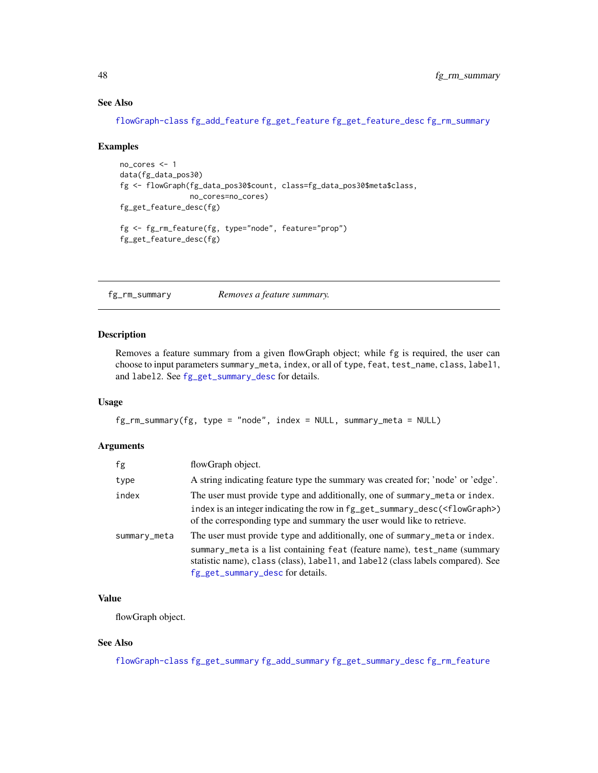#### See Also

[flowGraph-class](#page-57-0) [fg\\_add\\_feature](#page-3-0) [fg\\_get\\_feature](#page-20-0) [fg\\_get\\_feature\\_desc](#page-21-0) [fg\\_rm\\_summary](#page-47-0)

#### Examples

```
no_cores <- 1
data(fg_data_pos30)
fg <- flowGraph(fg_data_pos30$count, class=fg_data_pos30$meta$class,
                no_cores=no_cores)
fg_get_feature_desc(fg)
fg <- fg_rm_feature(fg, type="node", feature="prop")
fg_get_feature_desc(fg)
```
<span id="page-47-0"></span>fg\_rm\_summary *Removes a feature summary.*

#### Description

Removes a feature summary from a given flowGraph object; while fg is required, the user can choose to input parameters summary\_meta, index, or all of type, feat, test\_name, class, label1, and label2. See [fg\\_get\\_summary\\_desc](#page-28-0) for details.

# Usage

```
fg_rm_summary(fg, type = "node", index = NULL, summary_meta = NULL)
```
# Arguments

| fg           | flowGraph object.                                                                                                                                                                                                                                                              |
|--------------|--------------------------------------------------------------------------------------------------------------------------------------------------------------------------------------------------------------------------------------------------------------------------------|
| type         | A string indicating feature type the summary was created for; 'node' or 'edge'.                                                                                                                                                                                                |
| index        | The user must provide type and additionally, one of summary_meta or index.<br>index is an integer indicating the row in fg_get_summary_desc( <flowgraph>)<br/>of the corresponding type and summary the user would like to retrieve.</flowgraph>                               |
| summary_meta | The user must provide type and additionally, one of summary_meta or index.<br>summary_meta is a list containing feat (feature name), test_name (summary<br>statistic name), class (class), label1, and label2 (class labels compared). See<br>fg_get_summary_desc for details. |

# Value

flowGraph object.

# See Also

[flowGraph-class](#page-57-0) [fg\\_get\\_summary](#page-25-0) [fg\\_add\\_summary](#page-5-0) [fg\\_get\\_summary\\_desc](#page-28-0) [fg\\_rm\\_feature](#page-46-0)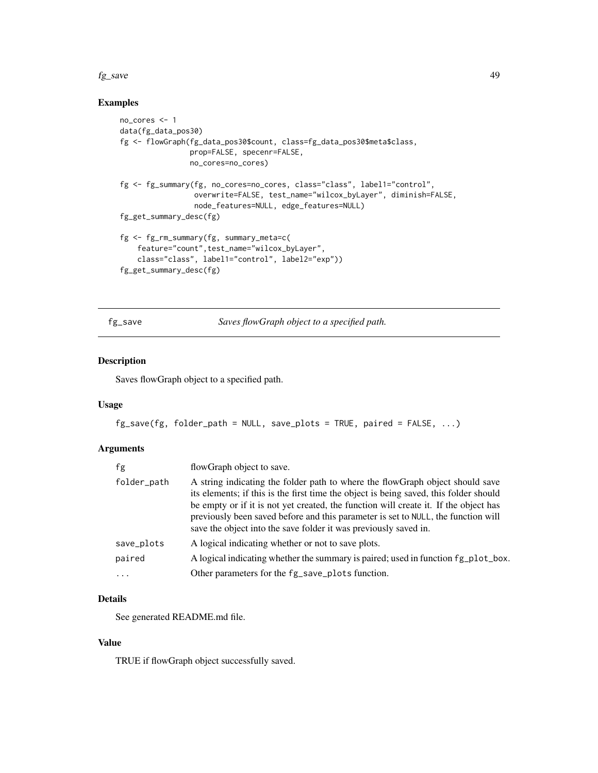#### $f_{g\_save}$  49

# Examples

```
no_cores <- 1
data(fg_data_pos30)
fg <- flowGraph(fg_data_pos30$count, class=fg_data_pos30$meta$class,
                prop=FALSE, specenr=FALSE,
                no_cores=no_cores)
fg <- fg_summary(fg, no_cores=no_cores, class="class", label1="control",
                 overwrite=FALSE, test_name="wilcox_byLayer", diminish=FALSE,
                 node_features=NULL, edge_features=NULL)
fg_get_summary_desc(fg)
fg <- fg_rm_summary(fg, summary_meta=c(
    feature="count",test_name="wilcox_byLayer",
    class="class", label1="control", label2="exp"))
fg_get_summary_desc(fg)
```
fg\_save *Saves flowGraph object to a specified path.*

# Description

Saves flowGraph object to a specified path.

#### Usage

```
fg\_save(fg, folder\_path = NULL, save\_plots = TRUE, paired = FALSE, ...)
```
# Arguments

| fg          | flowGraph object to save.                                                                                                                                                                                                                                                                                                                                                                                               |
|-------------|-------------------------------------------------------------------------------------------------------------------------------------------------------------------------------------------------------------------------------------------------------------------------------------------------------------------------------------------------------------------------------------------------------------------------|
| folder_path | A string indicating the folder path to where the flowGraph object should save<br>its elements; if this is the first time the object is being saved, this folder should<br>be empty or if it is not yet created, the function will create it. If the object has<br>previously been saved before and this parameter is set to NULL, the function will<br>save the object into the save folder it was previously saved in. |
| save_plots  | A logical indicating whether or not to save plots.                                                                                                                                                                                                                                                                                                                                                                      |
| paired      | A logical indicating whether the summary is paired; used in function fg_plot_box.                                                                                                                                                                                                                                                                                                                                       |
| $\cdot$     | Other parameters for the fg_save_plots function.                                                                                                                                                                                                                                                                                                                                                                        |
|             |                                                                                                                                                                                                                                                                                                                                                                                                                         |

# Details

See generated README.md file.

# Value

TRUE if flowGraph object successfully saved.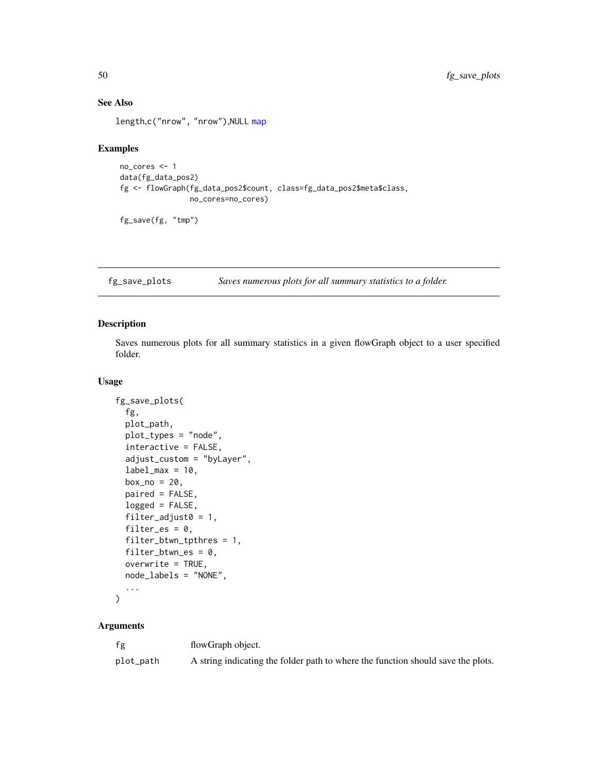# See Also

length,c("nrow", "nrow"),NULL [map](#page-0-0)

#### Examples

```
no_cores <- 1
data(fg_data_pos2)
fg <- flowGraph(fg_data_pos2$count, class=fg_data_pos2$meta$class,
                no_cores=no_cores)
```
fg\_save(fg, "tmp")

fg\_save\_plots *Saves numerous plots for all summary statistics to a folder.*

# Description

Saves numerous plots for all summary statistics in a given flowGraph object to a user specified folder.

# Usage

```
fg_save_plots(
  fg,
 plot_path,
 plot_types = "node",
  interactive = FALSE,
  adjust_custom = "byLayer",
  label\_max = 10,box\_no = 20,
 paired = FALSE,
  logged = FALSE,
 filter_adjust0 = 1,
 filter_es = 0,
  filter_btwn_tpthres = 1,
  filter_btwn-es = 0,overwrite = TRUE,
 node_labels = "NONE",
  ...
)
```
#### Arguments

| fg        | flowGraph object.                                                                |
|-----------|----------------------------------------------------------------------------------|
| plot_path | A string indicating the folder path to where the function should save the plots. |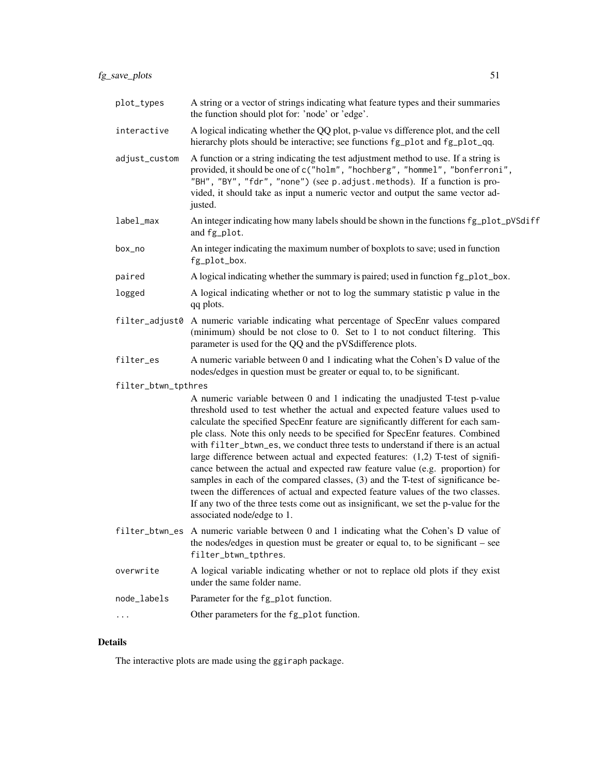| plot_types          | A string or a vector of strings indicating what feature types and their summaries<br>the function should plot for: 'node' or 'edge'.                                                                                                                                                                                                                                                                                                                                                                                                                                                                                                                                                                                                                                                                                                                                                  |
|---------------------|---------------------------------------------------------------------------------------------------------------------------------------------------------------------------------------------------------------------------------------------------------------------------------------------------------------------------------------------------------------------------------------------------------------------------------------------------------------------------------------------------------------------------------------------------------------------------------------------------------------------------------------------------------------------------------------------------------------------------------------------------------------------------------------------------------------------------------------------------------------------------------------|
| interactive         | A logical indicating whether the QQ plot, p-value vs difference plot, and the cell<br>hierarchy plots should be interactive; see functions fg_plot and fg_plot_qq.                                                                                                                                                                                                                                                                                                                                                                                                                                                                                                                                                                                                                                                                                                                    |
| adjust_custom       | A function or a string indicating the test adjustment method to use. If a string is<br>provided, it should be one of c("holm", "hochberg", "hommel", "bonferroni",<br>"BH", "BY", "fdr", "none") (see p.adjust.methods). If a function is pro-<br>vided, it should take as input a numeric vector and output the same vector ad-<br>justed.                                                                                                                                                                                                                                                                                                                                                                                                                                                                                                                                           |
| label_max           | An integer indicating how many labels should be shown in the functions fg_plot_pVSdiff<br>and fg_plot.                                                                                                                                                                                                                                                                                                                                                                                                                                                                                                                                                                                                                                                                                                                                                                                |
| box_no              | An integer indicating the maximum number of boxplots to save; used in function<br>fg_plot_box.                                                                                                                                                                                                                                                                                                                                                                                                                                                                                                                                                                                                                                                                                                                                                                                        |
| paired              | A logical indicating whether the summary is paired; used in function fg_plot_box.                                                                                                                                                                                                                                                                                                                                                                                                                                                                                                                                                                                                                                                                                                                                                                                                     |
| logged              | A logical indicating whether or not to log the summary statistic p value in the<br>qq plots.                                                                                                                                                                                                                                                                                                                                                                                                                                                                                                                                                                                                                                                                                                                                                                                          |
|                     | filter_adjust0 A numeric variable indicating what percentage of SpecEnr values compared<br>(minimum) should be not close to 0. Set to 1 to not conduct filtering. This<br>parameter is used for the QQ and the pVSdifference plots.                                                                                                                                                                                                                                                                                                                                                                                                                                                                                                                                                                                                                                                   |
| filter_es           | A numeric variable between 0 and 1 indicating what the Cohen's D value of the<br>nodes/edges in question must be greater or equal to, to be significant.                                                                                                                                                                                                                                                                                                                                                                                                                                                                                                                                                                                                                                                                                                                              |
| filter_btwn_tpthres |                                                                                                                                                                                                                                                                                                                                                                                                                                                                                                                                                                                                                                                                                                                                                                                                                                                                                       |
|                     | A numeric variable between 0 and 1 indicating the unadjusted T-test p-value<br>threshold used to test whether the actual and expected feature values used to<br>calculate the specified SpecEnr feature are significantly different for each sam-<br>ple class. Note this only needs to be specified for SpecEnr features. Combined<br>with filter_btwn_es, we conduct three tests to understand if there is an actual<br>large difference between actual and expected features: (1,2) T-test of signifi-<br>cance between the actual and expected raw feature value (e.g. proportion) for<br>samples in each of the compared classes, (3) and the T-test of significance be-<br>tween the differences of actual and expected feature values of the two classes.<br>If any two of the three tests come out as insignificant, we set the p-value for the<br>associated node/edge to 1. |
|                     | filter_btwn_es A numeric variable between 0 and 1 indicating what the Cohen's D value of<br>the nodes/edges in question must be greater or equal to, to be significant – see<br>filter_btwn_tpthres.                                                                                                                                                                                                                                                                                                                                                                                                                                                                                                                                                                                                                                                                                  |
| overwrite           | A logical variable indicating whether or not to replace old plots if they exist<br>under the same folder name.                                                                                                                                                                                                                                                                                                                                                                                                                                                                                                                                                                                                                                                                                                                                                                        |
| node_labels         | Parameter for the fg_plot function.                                                                                                                                                                                                                                                                                                                                                                                                                                                                                                                                                                                                                                                                                                                                                                                                                                                   |
|                     | Other parameters for the fg_plot function.                                                                                                                                                                                                                                                                                                                                                                                                                                                                                                                                                                                                                                                                                                                                                                                                                                            |
|                     |                                                                                                                                                                                                                                                                                                                                                                                                                                                                                                                                                                                                                                                                                                                                                                                                                                                                                       |

# Details

The interactive plots are made using the ggiraph package.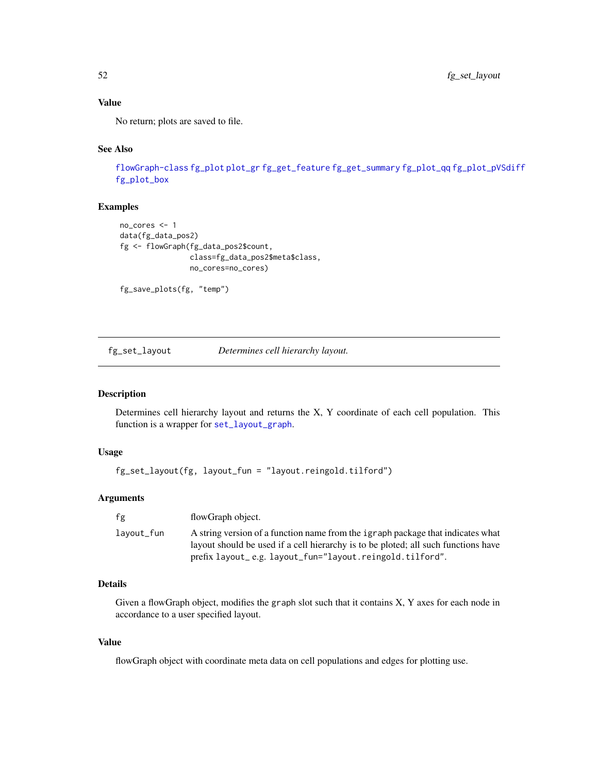# Value

No return; plots are saved to file.

#### See Also

[flowGraph-class](#page-57-0) [fg\\_plot](#page-36-0) [plot\\_gr](#page-72-0) [fg\\_get\\_feature](#page-20-0) [fg\\_get\\_summary](#page-25-0) [fg\\_plot\\_qq](#page-43-0) [fg\\_plot\\_pVSdiff](#page-41-0) [fg\\_plot\\_box](#page-39-0)

# Examples

```
no_cores <- 1
data(fg_data_pos2)
fg <- flowGraph(fg_data_pos2$count,
                class=fg_data_pos2$meta$class,
                no_cores=no_cores)
```
fg\_save\_plots(fg, "temp")

<span id="page-51-0"></span>fg\_set\_layout *Determines cell hierarchy layout.*

#### Description

Determines cell hierarchy layout and returns the X, Y coordinate of each cell population. This function is a wrapper for [set\\_layout\\_graph](#page-73-0).

# Usage

```
fg_set_layout(fg, layout_fun = "layout.reingold.tilford")
```
# Arguments

| fg         | flowGraph object.                                                                                                                                                                                                                 |
|------------|-----------------------------------------------------------------------------------------------------------------------------------------------------------------------------------------------------------------------------------|
| lavout_fun | A string version of a function name from the igraph package that indicates what<br>layout should be used if a cell hierarchy is to be ploted; all such functions have<br>prefix layout_e.g. layout_fun="layout.reingold.tilford". |

# Details

Given a flowGraph object, modifies the graph slot such that it contains X, Y axes for each node in accordance to a user specified layout.

#### Value

flowGraph object with coordinate meta data on cell populations and edges for plotting use.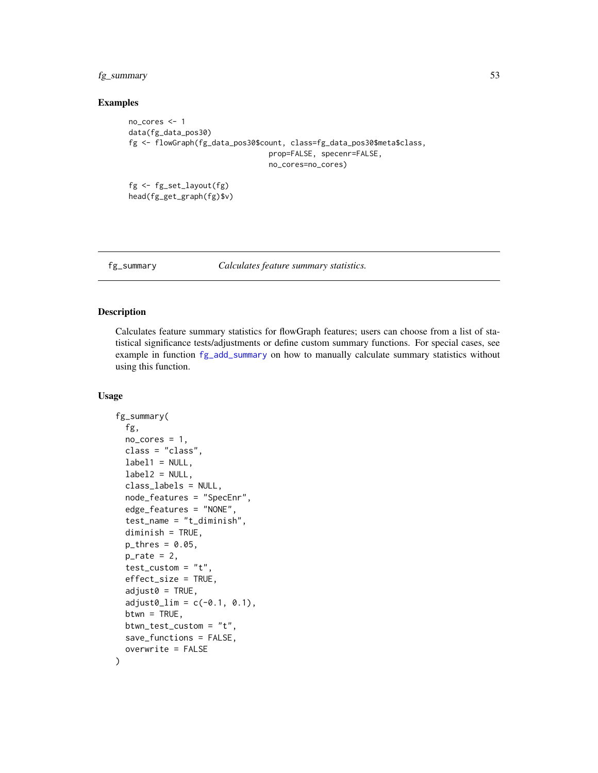# fg\_summary 53

#### Examples

```
no_cores <- 1
data(fg_data_pos30)
fg <- flowGraph(fg_data_pos30$count, class=fg_data_pos30$meta$class,
                                prop=FALSE, specenr=FALSE,
                                no_cores=no_cores)
fg <- fg_set_layout(fg)
```

```
head(fg_get_graph(fg)$v)
```
<span id="page-52-0"></span>fg\_summary *Calculates feature summary statistics.*

#### Description

Calculates feature summary statistics for flowGraph features; users can choose from a list of statistical significance tests/adjustments or define custom summary functions. For special cases, see example in function [fg\\_add\\_summary](#page-5-0) on how to manually calculate summary statistics without using this function.

#### Usage

```
fg_summary(
  fg,
  no\_cores = 1,class = "class",
  label1 = NULL,label2 = NULL,class_labels = NULL,
  node_features = "SpecEnr",
  edge_features = "NONE",
  test_name = "t_diminish",
  diminish = TRUE,
 p_{thres} = 0.05,
  p_rate = 2,
  test_custom = "t",
  effect_size = TRUE,
  adjust0 = TRUE,adjust0_l = c(-0.1, 0.1),
  btwn = TRUE,btwn_test_custom = "t",
  save_functions = FALSE,
  overwrite = FALSE
)
```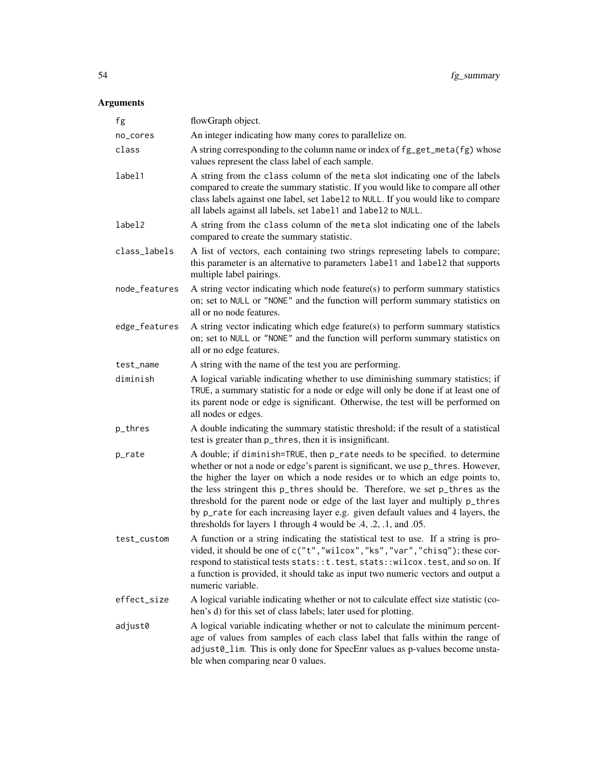# Arguments

| fg            | flowGraph object.                                                                                                                                                                                                                                                                                                                                                                                                                                                                                                                                                       |
|---------------|-------------------------------------------------------------------------------------------------------------------------------------------------------------------------------------------------------------------------------------------------------------------------------------------------------------------------------------------------------------------------------------------------------------------------------------------------------------------------------------------------------------------------------------------------------------------------|
| no_cores      | An integer indicating how many cores to parallelize on.                                                                                                                                                                                                                                                                                                                                                                                                                                                                                                                 |
| class         | A string corresponding to the column name or index of fg_get_meta(fg) whose<br>values represent the class label of each sample.                                                                                                                                                                                                                                                                                                                                                                                                                                         |
| label1        | A string from the class column of the meta slot indicating one of the labels<br>compared to create the summary statistic. If you would like to compare all other<br>class labels against one label, set label2 to NULL. If you would like to compare<br>all labels against all labels, set label1 and label2 to NULL.                                                                                                                                                                                                                                                   |
| label2        | A string from the class column of the meta slot indicating one of the labels<br>compared to create the summary statistic.                                                                                                                                                                                                                                                                                                                                                                                                                                               |
| class_labels  | A list of vectors, each containing two strings represeting labels to compare;<br>this parameter is an alternative to parameters label1 and label2 that supports<br>multiple label pairings.                                                                                                                                                                                                                                                                                                                                                                             |
| node_features | A string vector indicating which node feature(s) to perform summary statistics<br>on; set to NULL or "NONE" and the function will perform summary statistics on<br>all or no node features.                                                                                                                                                                                                                                                                                                                                                                             |
| edge_features | A string vector indicating which edge feature(s) to perform summary statistics<br>on; set to NULL or "NONE" and the function will perform summary statistics on<br>all or no edge features.                                                                                                                                                                                                                                                                                                                                                                             |
| test_name     | A string with the name of the test you are performing.                                                                                                                                                                                                                                                                                                                                                                                                                                                                                                                  |
| diminish      | A logical variable indicating whether to use diminishing summary statistics; if<br>TRUE, a summary statistic for a node or edge will only be done if at least one of<br>its parent node or edge is significant. Otherwise, the test will be performed on<br>all nodes or edges.                                                                                                                                                                                                                                                                                         |
| p_thres       | A double indicating the summary statistic threshold; if the result of a statistical<br>test is greater than $p_{\text{thres}}$ , then it is insignificant.                                                                                                                                                                                                                                                                                                                                                                                                              |
| p_rate        | A double; if diminish=TRUE, then p_rate needs to be specified. to determine<br>whether or not a node or edge's parent is significant, we use p_thres. However,<br>the higher the layer on which a node resides or to which an edge points to,<br>the less stringent this p_thres should be. Therefore, we set p_thres as the<br>threshold for the parent node or edge of the last layer and multiply p_thres<br>by p_rate for each increasing layer e.g. given default values and 4 layers, the<br>thresholds for layers 1 through 4 would be $.4, .2, .1,$ and $.05$ . |
| test_custom   | A function or a string indicating the statistical test to use. If a string is pro-<br>vided, it should be one of c("t", "wilcox", "ks", "var", "chisq"); these cor-<br>respond to statistical tests stats:: t. test, stats:: wilcox. test, and so on. If<br>a function is provided, it should take as input two numeric vectors and output a<br>numeric variable.                                                                                                                                                                                                       |
| effect_size   | A logical variable indicating whether or not to calculate effect size statistic (co-<br>hen's d) for this set of class labels; later used for plotting.                                                                                                                                                                                                                                                                                                                                                                                                                 |
| adjust0       | A logical variable indicating whether or not to calculate the minimum percent-<br>age of values from samples of each class label that falls within the range of<br>adjust0_lim. This is only done for SpecEnr values as p-values become unsta-<br>ble when comparing near 0 values.                                                                                                                                                                                                                                                                                     |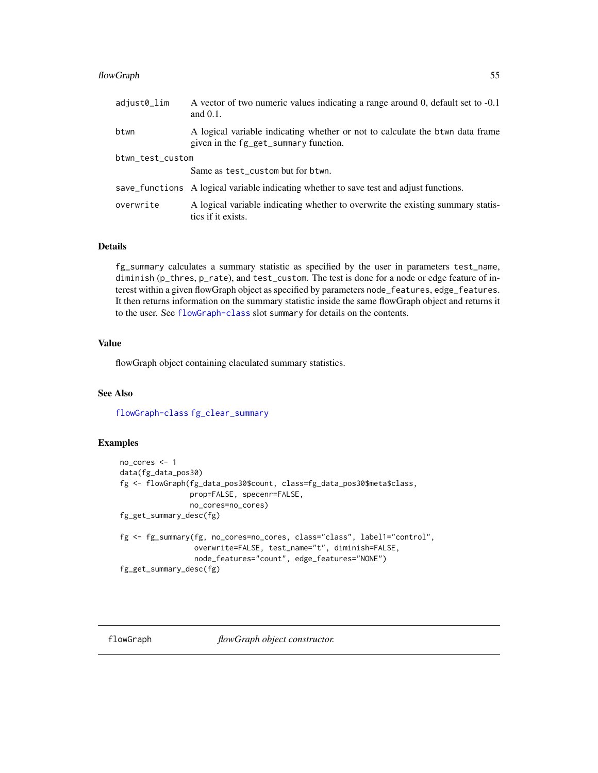#### flowGraph 55

| adjust0_lim      | A vector of two numeric values indicating a range around 0, default set to -0.1<br>and $0.1$ .                          |
|------------------|-------------------------------------------------------------------------------------------------------------------------|
| btwn             | A logical variable indicating whether or not to calculate the b twn data frame<br>given in the fg_get_summary function. |
| btwn_test_custom |                                                                                                                         |
|                  | Same as test_custom but for btwn.                                                                                       |
|                  | save_functions A logical variable indicating whether to save test and adjust functions.                                 |
| overwrite        | A logical variable indicating whether to overwrite the existing summary statis-<br>tics if it exists.                   |

#### Details

fg\_summary calculates a summary statistic as specified by the user in parameters test\_name, diminish (p\_thres, p\_rate), and test\_custom. The test is done for a node or edge feature of interest within a given flowGraph object as specified by parameters node\_features, edge\_features. It then returns information on the summary statistic inside the same flowGraph object and returns it to the user. See [flowGraph-class](#page-57-0) slot summary for details on the contents.

# Value

flowGraph object containing claculated summary statistics.

# See Also

[flowGraph-class](#page-57-0) [fg\\_clear\\_summary](#page-8-0)

#### Examples

```
no_cores <- 1
data(fg_data_pos30)
fg <- flowGraph(fg_data_pos30$count, class=fg_data_pos30$meta$class,
                prop=FALSE, specenr=FALSE,
                no_cores=no_cores)
fg_get_summary_desc(fg)
fg <- fg_summary(fg, no_cores=no_cores, class="class", label1="control",
                 overwrite=FALSE, test_name="t", diminish=FALSE,
                 node_features="count", edge_features="NONE")
fg_get_summary_desc(fg)
```
flowGraph *flowGraph object constructor.*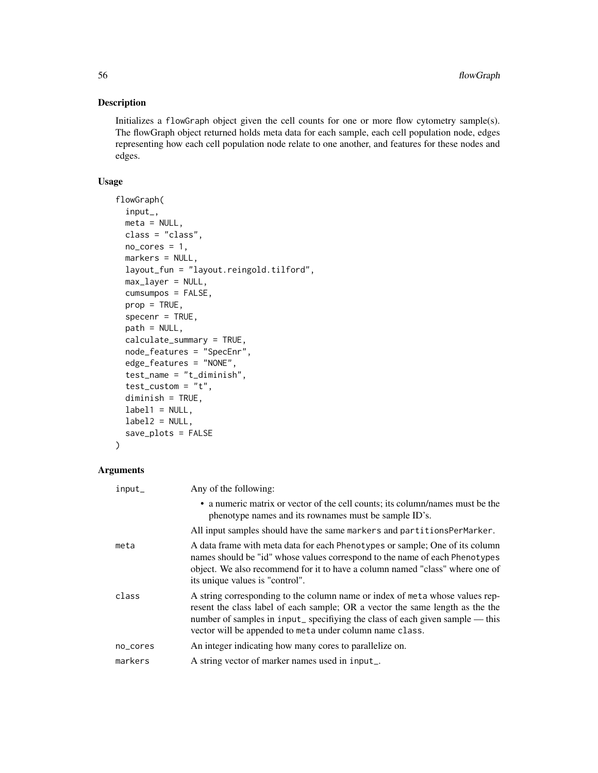# Description

Initializes a flowGraph object given the cell counts for one or more flow cytometry sample(s). The flowGraph object returned holds meta data for each sample, each cell population node, edges representing how each cell population node relate to one another, and features for these nodes and edges.

# Usage

```
flowGraph(
  input_,
 meta = NULL,class = "class",
 no\_cores = 1,markers = NULL,
 layout_fun = "layout.reingold.tilford",
 max_layer = NULL,
  cumsumpos = FALSE,
 prop = TRUE,
  specenr = TRUE,
 path = NULL,
  calculate_summary = TRUE,
 node_features = "SpecEnr",
 edge_features = "NONE",
  test_name = "t_diminish",
  test\_custom = "t",diminish = TRUE,
  label1 = NULL,label2 = NULL,save_plots = FALSE
)
```
# Arguments

| input_   | Any of the following:                                                                                                                                                                                                                                                                                      |
|----------|------------------------------------------------------------------------------------------------------------------------------------------------------------------------------------------------------------------------------------------------------------------------------------------------------------|
|          | • a numeric matrix or vector of the cell counts; its column/names must be the<br>phenotype names and its rownames must be sample ID's.                                                                                                                                                                     |
|          | All input samples should have the same markers and partitions PerMarker.                                                                                                                                                                                                                                   |
| meta     | A data frame with meta data for each Phenotypes or sample; One of its column<br>names should be "id" whose values correspond to the name of each Phenotypes<br>object. We also recommend for it to have a column named "class" where one of<br>its unique values is "control".                             |
| class    | A string corresponding to the column name or index of meta whose values rep-<br>resent the class label of each sample; OR a vector the same length as the the<br>number of samples in input_ specifiying the class of each given sample — this<br>vector will be appended to meta under column name class. |
| no_cores | An integer indicating how many cores to parallelize on.                                                                                                                                                                                                                                                    |
| markers  | A string vector of marker names used in input_.                                                                                                                                                                                                                                                            |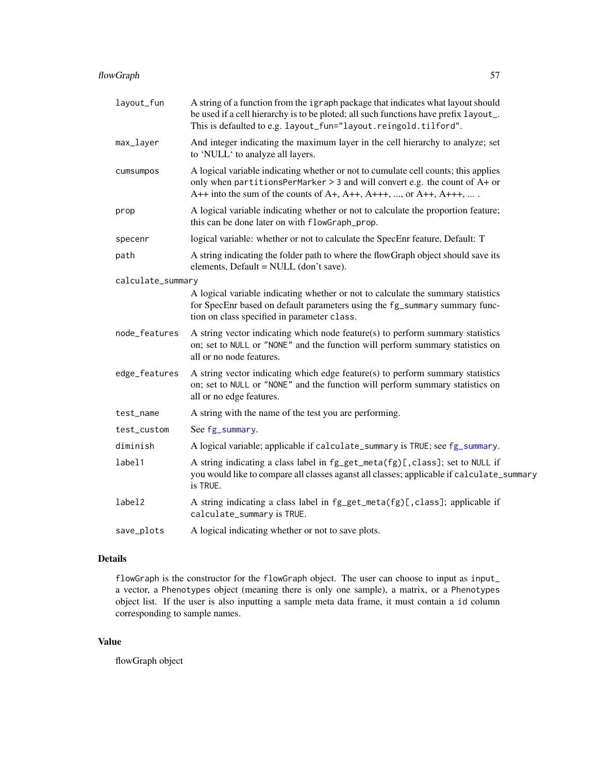| layout_fun        | A string of a function from the igraph package that indicates what layout should<br>be used if a cell hierarchy is to be ploted; all such functions have prefix layout_.<br>This is defaulted to e.g. layout_fun="layout.reingold.tilford".     |
|-------------------|-------------------------------------------------------------------------------------------------------------------------------------------------------------------------------------------------------------------------------------------------|
| max_layer         | And integer indicating the maximum layer in the cell hierarchy to analyze; set<br>to 'NULL' to analyze all layers.                                                                                                                              |
| cumsumpos         | A logical variable indicating whether or not to cumulate cell counts; this applies<br>only when partitions PerMarker $> 3$ and will convert e.g. the count of A+ or<br>$A++$ into the sum of the counts of $A+, A++, A+++$ , , or $A++, A+++$ , |
| prop              | A logical variable indicating whether or not to calculate the proportion feature;<br>this can be done later on with flowGraph_prop.                                                                                                             |
| specenr           | logical variable: whether or not to calculate the SpecEnr feature, Default: T                                                                                                                                                                   |
| path              | A string indicating the folder path to where the flowGraph object should save its<br>elements, Default = NULL (don't save).                                                                                                                     |
| calculate_summary |                                                                                                                                                                                                                                                 |
|                   | A logical variable indicating whether or not to calculate the summary statistics<br>for SpecEnr based on default parameters using the fg_summary summary func-<br>tion on class specified in parameter class.                                   |
| node_features     | A string vector indicating which node feature(s) to perform summary statistics<br>on; set to NULL or "NONE" and the function will perform summary statistics on<br>all or no node features.                                                     |
| edge_features     | A string vector indicating which edge feature(s) to perform summary statistics<br>on; set to NULL or "NONE" and the function will perform summary statistics on<br>all or no edge features.                                                     |
| test_name         | A string with the name of the test you are performing.                                                                                                                                                                                          |
| test_custom       | See fg_summary.                                                                                                                                                                                                                                 |
| diminish          | A logical variable; applicable if calculate_summary is TRUE; see fg_summary.                                                                                                                                                                    |
| label1            | A string indicating a class label in fg_get_meta(fg)[,class]; set to NULL if<br>you would like to compare all classes aganst all classes; applicable if calculate_summary<br>is TRUE.                                                           |
| label2            | A string indicating a class label in fg_get_meta(fg)[,class]; applicable if<br>calculate_summary is TRUE.                                                                                                                                       |
| save_plots        | A logical indicating whether or not to save plots.                                                                                                                                                                                              |

# Details

flowGraph is the constructor for the flowGraph object. The user can choose to input as input\_ a vector, a Phenotypes object (meaning there is only one sample), a matrix, or a Phenotypes object list. If the user is also inputting a sample meta data frame, it must contain a id column corresponding to sample names.

# Value

flowGraph object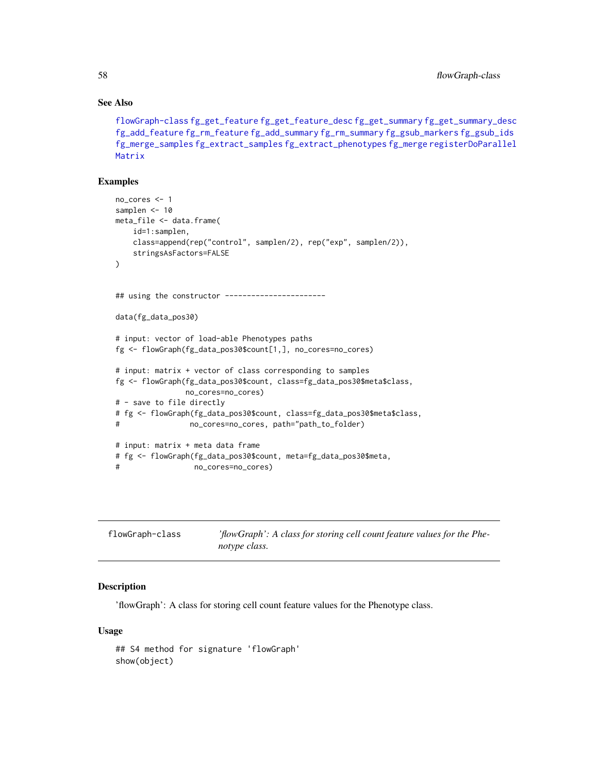#### See Also

```
flowGraph-class fg_get_feature fg_get_feature_desc fg_get_summary fg_get_summary_desc
fg_add_feature fg_rm_feature fg_add_summary fg_rm_summary fg_gsub_markers fg_gsub_ids
fg_merge_samples fg_extract_samples fg_extract_phenotypes fg_merge registerDoParallel
Matrix
```
#### Examples

```
no_cores <- 1
samplen <- 10
meta_file <- data.frame(
    id=1:samplen,
   class=append(rep("control", samplen/2), rep("exp", samplen/2)),
   stringsAsFactors=FALSE
)
## using the constructor -----------------------
data(fg_data_pos30)
# input: vector of load-able Phenotypes paths
fg <- flowGraph(fg_data_pos30$count[1,], no_cores=no_cores)
# input: matrix + vector of class corresponding to samples
fg <- flowGraph(fg_data_pos30$count, class=fg_data_pos30$meta$class,
               no_cores=no_cores)
# - save to file directly
# fg <- flowGraph(fg_data_pos30$count, class=fg_data_pos30$meta$class,
# no_cores=no_cores, path="path_to_folder)
# input: matrix + meta data frame
# fg <- flowGraph(fg_data_pos30$count, meta=fg_data_pos30$meta,
# no_cores=no_cores)
```
<span id="page-57-0"></span>

| flowGraph-class | 'flowGraph': A class for storing cell count feature values for the Phe- |
|-----------------|-------------------------------------------------------------------------|
|                 | notype class.                                                           |

#### **Description**

'flowGraph': A class for storing cell count feature values for the Phenotype class.

#### Usage

```
## S4 method for signature 'flowGraph'
show(object)
```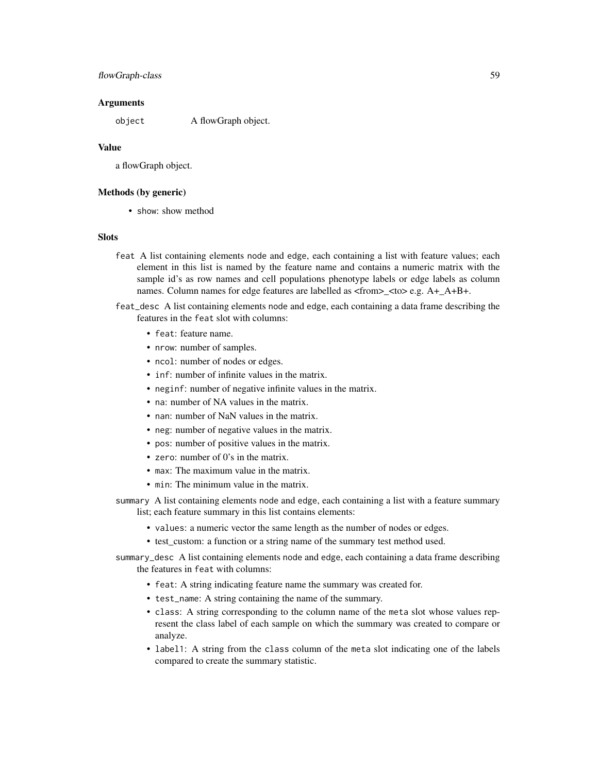# flowGraph-class 59

#### Arguments

object A flowGraph object.

#### Value

a flowGraph object.

#### Methods (by generic)

• show: show method

#### **Slots**

- feat A list containing elements node and edge, each containing a list with feature values; each element in this list is named by the feature name and contains a numeric matrix with the sample id's as row names and cell populations phenotype labels or edge labels as column names. Column names for edge features are labelled as <from>\_<to> e.g. A+\_A+B+.
- feat\_desc A list containing elements node and edge, each containing a data frame describing the features in the feat slot with columns:
	- feat: feature name.
	- nrow: number of samples.
	- ncol: number of nodes or edges.
	- inf: number of infinite values in the matrix.
	- neginf: number of negative infinite values in the matrix.
	- na: number of NA values in the matrix.
	- nan: number of NaN values in the matrix.
	- neg: number of negative values in the matrix.
	- pos: number of positive values in the matrix.
	- zero: number of 0's in the matrix.
	- max: The maximum value in the matrix.
	- min: The minimum value in the matrix.
- summary A list containing elements node and edge, each containing a list with a feature summary list; each feature summary in this list contains elements:
	- values: a numeric vector the same length as the number of nodes or edges.
	- test\_custom: a function or a string name of the summary test method used.
- summary\_desc A list containing elements node and edge, each containing a data frame describing the features in feat with columns:
	- feat: A string indicating feature name the summary was created for.
	- test\_name: A string containing the name of the summary.
	- class: A string corresponding to the column name of the meta slot whose values represent the class label of each sample on which the summary was created to compare or analyze.
	- label1: A string from the class column of the meta slot indicating one of the labels compared to create the summary statistic.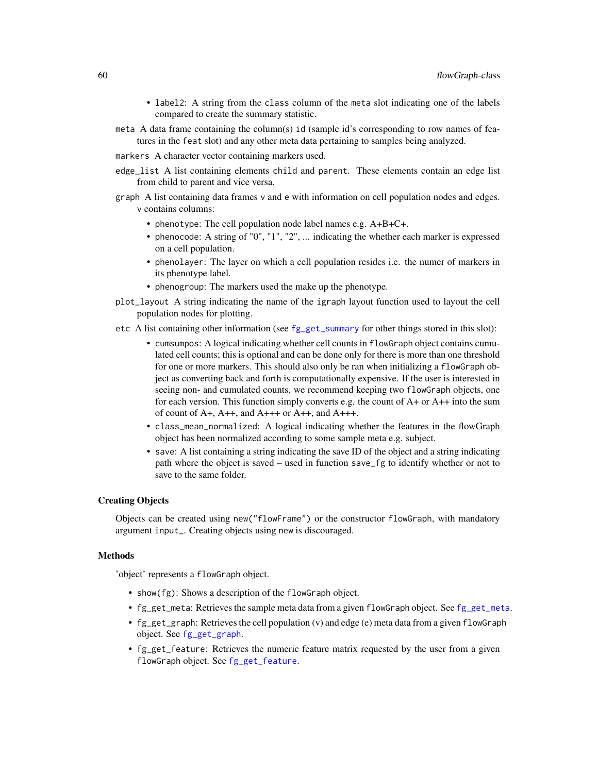- label2: A string from the class column of the meta slot indicating one of the labels compared to create the summary statistic.
- meta A data frame containing the column(s) id (sample id's corresponding to row names of features in the feat slot) and any other meta data pertaining to samples being analyzed.
- markers A character vector containing markers used.
- edge\_list A list containing elements child and parent. These elements contain an edge list from child to parent and vice versa.
- graph A list containing data frames v and e with information on cell population nodes and edges. v contains columns:
	- phenotype: The cell population node label names e.g. A+B+C+.
	- phenocode: A string of "0", "1", "2", ... indicating the whether each marker is expressed on a cell population.
	- phenolayer: The layer on which a cell population resides i.e. the numer of markers in its phenotype label.
	- phenogroup: The markers used the make up the phenotype.
- plot\_layout A string indicating the name of the igraph layout function used to layout the cell population nodes for plotting.
- etc A list containing other information (see [fg\\_get\\_summary](#page-25-0) for other things stored in this slot):
	- cumsumpos: A logical indicating whether cell counts in flowGraph object contains cumulated cell counts; this is optional and can be done only for there is more than one threshold for one or more markers. This should also only be ran when initializing a flowGraph object as converting back and forth is computationally expensive. If the user is interested in seeing non- and cumulated counts, we recommend keeping two flowGraph objects, one for each version. This function simply converts e.g. the count of  $A+$  or  $A++$  into the sum of count of A+, A++, and A+++ or A++, and A+++.
	- class\_mean\_normalized: A logical indicating whether the features in the flowGraph object has been normalized according to some sample meta e.g. subject.
	- save: A list containing a string indicating the save ID of the object and a string indicating path where the object is saved – used in function save\_fg to identify whether or not to save to the same folder.

#### Creating Objects

Objects can be created using new("flowFrame") or the constructor flowGraph, with mandatory argument input\_. Creating objects using new is discouraged.

#### Methods

'object' represents a flowGraph object.

- show(fg): Shows a description of the flowGraph object.
- [fg\\_get\\_meta](#page-24-0): Retrieves the sample meta data from a given flowGraph object. See fg\_get\_meta.
- fg\_get\_graph: Retrieves the cell population (v) and edge (e) meta data from a given flowGraph object. See [fg\\_get\\_graph](#page-23-0).
- fg\_get\_feature: Retrieves the numeric feature matrix requested by the user from a given flowGraph object. See [fg\\_get\\_feature](#page-20-0).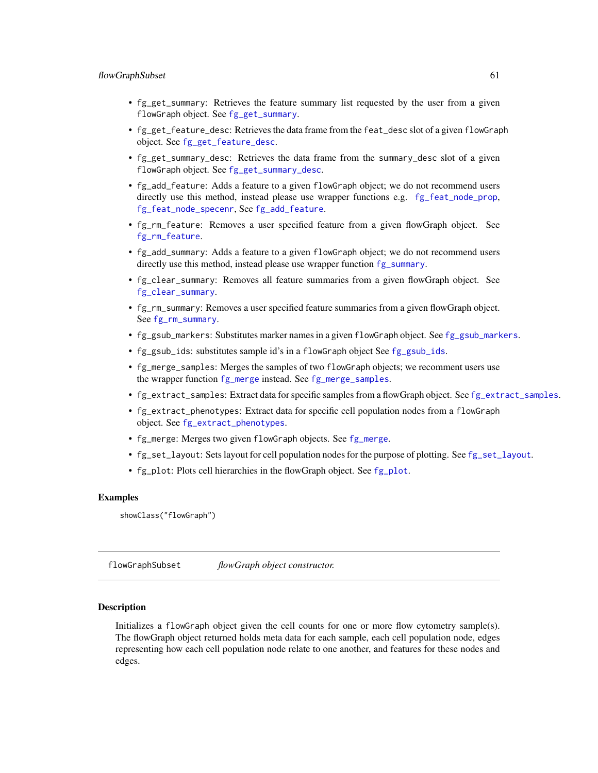- fg\_get\_summary: Retrieves the feature summary list requested by the user from a given flowGraph object. See [fg\\_get\\_summary](#page-25-0).
- fg\_get\_feature\_desc: Retrieves the data frame from the feat\_desc slot of a given flowGraph object. See [fg\\_get\\_feature\\_desc](#page-21-0).
- fg\_get\_summary\_desc: Retrieves the data frame from the summary\_desc slot of a given flowGraph object. See [fg\\_get\\_summary\\_desc](#page-28-0).
- fg\_add\_feature: Adds a feature to a given flowGraph object; we do not recommend users directly use this method, instead please use wrapper functions e.g. [fg\\_feat\\_node\\_prop](#page-17-0), [fg\\_feat\\_node\\_specenr](#page-18-0), See [fg\\_add\\_feature](#page-3-0).
- fg\_rm\_feature: Removes a user specified feature from a given flowGraph object. See [fg\\_rm\\_feature](#page-46-0).
- fg\_add\_summary: Adds a feature to a given flowGraph object; we do not recommend users directly use this method, instead please use wrapper function  $fg\_summary$ .
- fg\_clear\_summary: Removes all feature summaries from a given flowGraph object. See [fg\\_clear\\_summary](#page-8-0).
- fg\_rm\_summary: Removes a user specified feature summaries from a given flowGraph object. See [fg\\_rm\\_summary](#page-47-0).
- fg\_gsub\_markers: Substitutes marker names in a given flowGraph object. See [fg\\_gsub\\_markers](#page-32-0).
- fg\_gsub\_ids: substitutes sample id's in a flowGraph object See [fg\\_gsub\\_ids](#page-31-0).
- fg\_merge\_samples: Merges the samples of two flowGraph objects; we recomment users use the wrapper function [fg\\_merge](#page-34-0) instead. See [fg\\_merge\\_samples](#page-35-0).
- fg\_extract\_samples: Extract data for specific samples from a flowGraph object. See [fg\\_extract\\_samples](#page-12-0).
- fg\_extract\_phenotypes: Extract data for specific cell population nodes from a flowGraph object. See [fg\\_extract\\_phenotypes](#page-11-0).
- [fg\\_merge](#page-34-0): Merges two given flowGraph objects. See fg\_merge.
- [fg\\_set\\_layout](#page-51-0): Sets layout for cell population nodes for the purpose of plotting. See fg\_set\_layout.
- fg\_plot: Plots cell hierarchies in the flowGraph object. See [fg\\_plot](#page-36-0).

#### Examples

```
showClass("flowGraph")
```
flowGraphSubset *flowGraph object constructor.*

#### Description

Initializes a flowGraph object given the cell counts for one or more flow cytometry sample(s). The flowGraph object returned holds meta data for each sample, each cell population node, edges representing how each cell population node relate to one another, and features for these nodes and edges.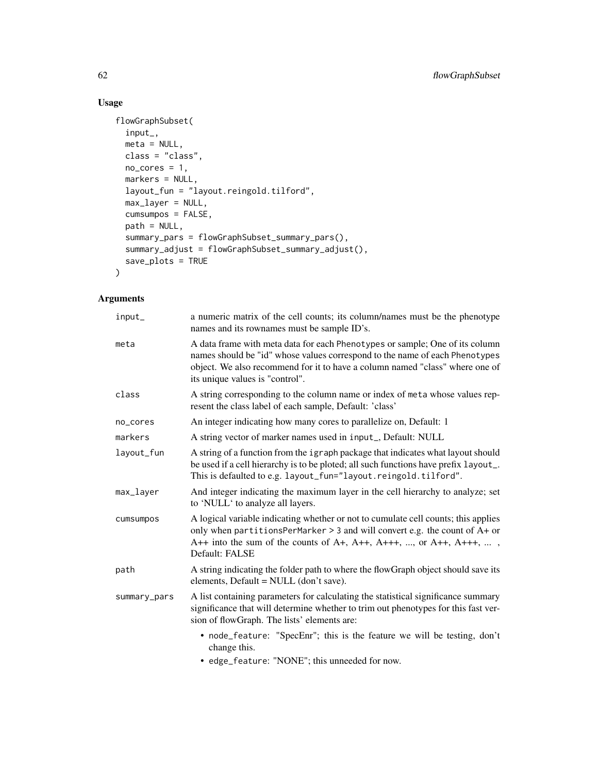# Usage

```
flowGraphSubset(
  input_,
 meta = NULL,class = "class",
 no\_cores = 1,markers = NULL,
 layout_fun = "layout.reingold.tilford",
 max_layer = NULL,
 cumsumpos = FALSE,
 path = NULL,
  summary_pars = flowGraphSubset_summary_pars(),
 summary_adjust = flowGraphSubset_summary_adjust(),
 save_plots = TRUE
)
```
# Arguments

| input_       | a numeric matrix of the cell counts; its column/names must be the phenotype<br>names and its rownames must be sample ID's.                                                                                                                                                     |
|--------------|--------------------------------------------------------------------------------------------------------------------------------------------------------------------------------------------------------------------------------------------------------------------------------|
| meta         | A data frame with meta data for each Phenotypes or sample; One of its column<br>names should be "id" whose values correspond to the name of each Phenotypes<br>object. We also recommend for it to have a column named "class" where one of<br>its unique values is "control". |
| class        | A string corresponding to the column name or index of meta whose values rep-<br>resent the class label of each sample, Default: 'class'                                                                                                                                        |
| no_cores     | An integer indicating how many cores to parallelize on, Default: 1                                                                                                                                                                                                             |
| markers      | A string vector of marker names used in input_, Default: NULL                                                                                                                                                                                                                  |
| layout_fun   | A string of a function from the igraph package that indicates what layout should<br>be used if a cell hierarchy is to be ploted; all such functions have prefix layout_.<br>This is defaulted to e.g. layout_fun="layout.reingold.tilford".                                    |
| max_layer    | And integer indicating the maximum layer in the cell hierarchy to analyze; set<br>to 'NULL' to analyze all layers.                                                                                                                                                             |
| cumsumpos    | A logical variable indicating whether or not to cumulate cell counts; this applies<br>only when partitionsPerMarker > 3 and will convert e.g. the count of A+ or<br>A++ into the sum of the counts of A+, A++, A+++, , or A++, A+++, ,<br>Default: FALSE                       |
| path         | A string indicating the folder path to where the flowGraph object should save its<br>elements, Default = NULL (don't save).                                                                                                                                                    |
| summary_pars | A list containing parameters for calculating the statistical significance summary<br>significance that will determine whether to trim out phenotypes for this fast ver-<br>sion of flowGraph. The lists' elements are:                                                         |
|              | • node_feature: "SpecEnr"; this is the feature we will be testing, don't<br>change this.                                                                                                                                                                                       |
|              | asked Continued "MONIT", this concepted for name                                                                                                                                                                                                                               |

• edge\_feature: "NONE"; this unneeded for now.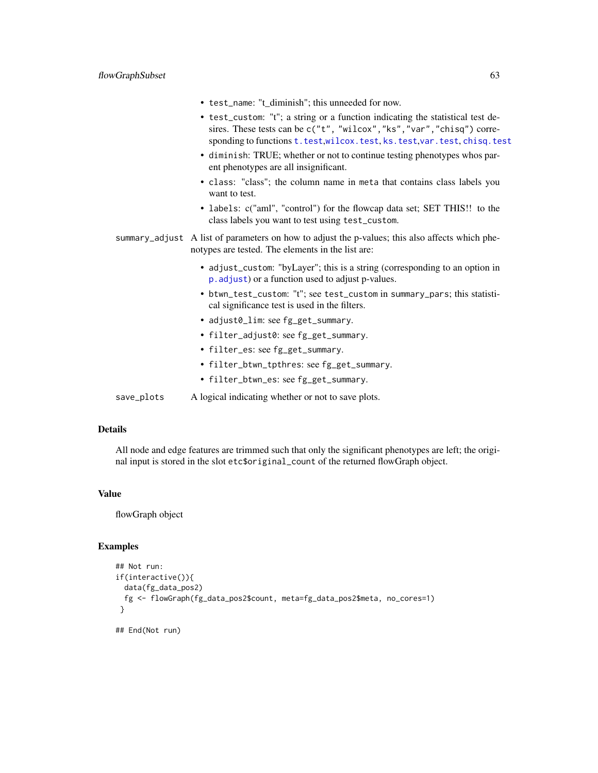- test\_name: "t\_diminish"; this unneeded for now.
- test\_custom: "t"; a string or a function indicating the statistical test desires. These tests can be c("t", "wilcox","ks","var","chisq") corresponding to functions [t.test](#page-0-0),[wilcox.test](#page-0-0), [ks.test](#page-0-0), [var.test](#page-0-0), [chisq.test](#page-0-0)
- diminish: TRUE; whether or not to continue testing phenotypes whos parent phenotypes are all insignificant.
- class: "class"; the column name in meta that contains class labels you want to test.
- labels: c("aml", "control") for the flowcap data set; SET THIS!! to the class labels you want to test using test\_custom.
- summary\_adjust A list of parameters on how to adjust the p-values; this also affects which phenotypes are tested. The elements in the list are:
	- adjust\_custom: "byLayer"; this is a string (corresponding to an option in [p.adjust](#page-0-0)) or a function used to adjust p-values.
	- btwn\_test\_custom: "t"; see test\_custom in summary\_pars; this statistical significance test is used in the filters.
	- adjust0\_lim: see fg\_get\_summary.
	- filter\_adjust0: see fg\_get\_summary.
	- filter\_es: see fg\_get\_summary.
	- filter\_btwn\_tpthres: see fg\_get\_summary.
	- filter\_btwn\_es: see fg\_get\_summary.

save\_plots A logical indicating whether or not to save plots.

#### Details

All node and edge features are trimmed such that only the significant phenotypes are left; the original input is stored in the slot etc\$original\_count of the returned flowGraph object.

# Value

flowGraph object

# **Examples**

```
## Not run:
if(interactive()){
 data(fg_data_pos2)
 fg <- flowGraph(fg_data_pos2$count, meta=fg_data_pos2$meta, no_cores=1)
 }
```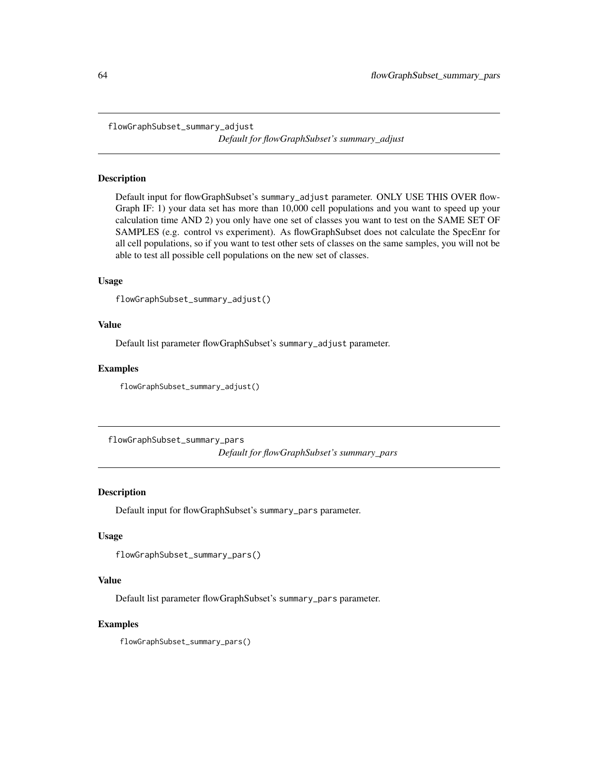flowGraphSubset\_summary\_adjust

*Default for flowGraphSubset's summary\_adjust*

# Description

Default input for flowGraphSubset's summary\_adjust parameter. ONLY USE THIS OVER flow-Graph IF: 1) your data set has more than 10,000 cell populations and you want to speed up your calculation time AND 2) you only have one set of classes you want to test on the SAME SET OF SAMPLES (e.g. control vs experiment). As flowGraphSubset does not calculate the SpecEnr for all cell populations, so if you want to test other sets of classes on the same samples, you will not be able to test all possible cell populations on the new set of classes.

#### Usage

```
flowGraphSubset_summary_adjust()
```
#### Value

Default list parameter flowGraphSubset's summary\_adjust parameter.

#### Examples

flowGraphSubset\_summary\_adjust()

flowGraphSubset\_summary\_pars *Default for flowGraphSubset's summary\_pars*

#### Description

Default input for flowGraphSubset's summary\_pars parameter.

# Usage

```
flowGraphSubset_summary_pars()
```
#### Value

Default list parameter flowGraphSubset's summary\_pars parameter.

#### Examples

flowGraphSubset\_summary\_pars()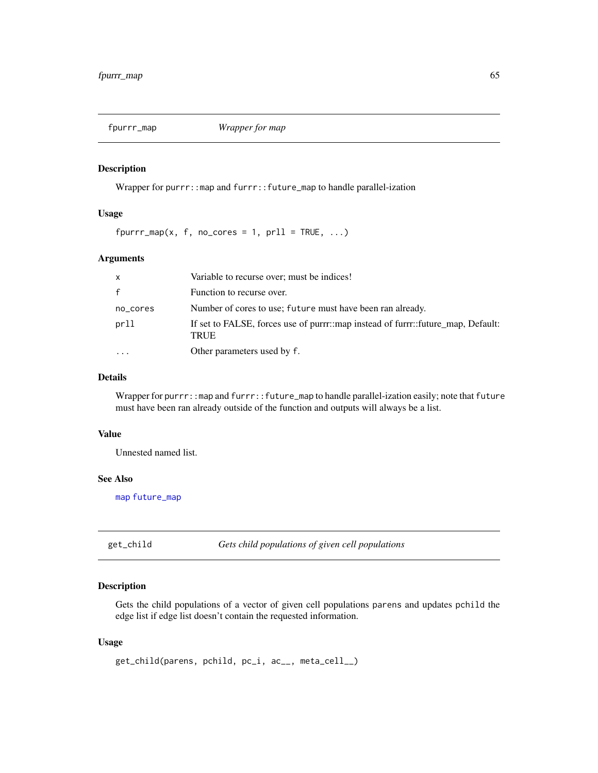# Description

Wrapper for purrr::map and furrr::future\_map to handle parallel-ization

#### Usage

 $fpurr_map(x, f, no\_cores = 1, pr11 = TRUE, ...)$ 

# Arguments

| $\mathsf{x}$ | Variable to recurse over; must be indices!                                                      |
|--------------|-------------------------------------------------------------------------------------------------|
| $\mathbf{f}$ | Function to recurse over.                                                                       |
| no_cores     | Number of cores to use; future must have been ran already.                                      |
| prll         | If set to FALSE, forces use of purrr::map instead of furrr::future_map, Default:<br><b>TRUE</b> |
|              | Other parameters used by f.                                                                     |

# Details

Wrapper for purrr::map and furrr::future\_map to handle parallel-ization easily; note that future must have been ran already outside of the function and outputs will always be a list.

#### Value

Unnested named list.

# See Also

[map](#page-0-0) [future\\_map](#page-0-0)

get\_child *Gets child populations of given cell populations*

# Description

Gets the child populations of a vector of given cell populations parens and updates pchild the edge list if edge list doesn't contain the requested information.

#### Usage

```
get_child(parens, pchild, pc_i, ac__, meta_cell__)
```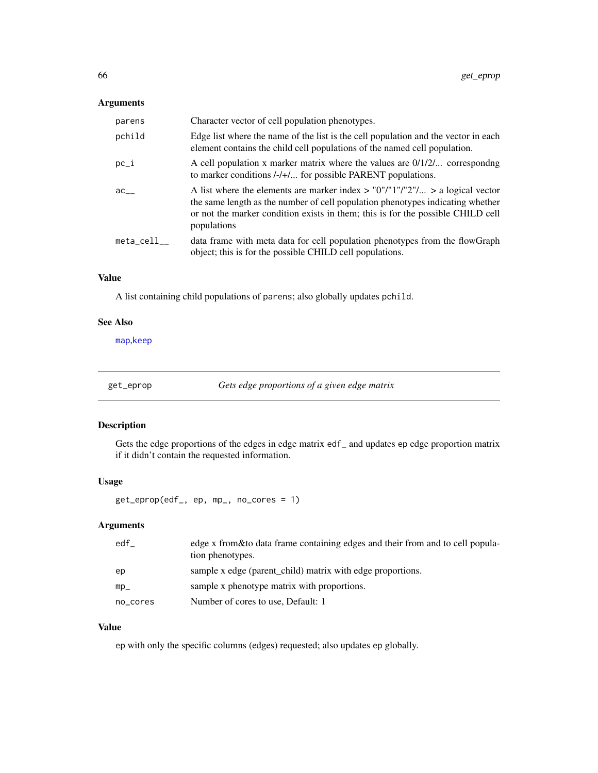# Arguments

| parens    | Character vector of cell population phenotypes.                                                                                                                                                                                                                      |
|-----------|----------------------------------------------------------------------------------------------------------------------------------------------------------------------------------------------------------------------------------------------------------------------|
| pchild    | Edge list where the name of the list is the cell population and the vector in each<br>element contains the child cell populations of the named cell population.                                                                                                      |
| $pc_i$    | A cell population x marker matrix where the values are $0/1/2/$ corresponding<br>to marker conditions /-/+/ for possible PARENT populations.                                                                                                                         |
| ac        | A list where the elements are marker index $>$ "0"/"1"/"2"/ $>$ a logical vector<br>the same length as the number of cell population phenotypes indicating whether<br>or not the marker condition exists in them; this is for the possible CHILD cell<br>populations |
| meta cell | data frame with meta data for cell population phenotypes from the flowGraph<br>object; this is for the possible CHILD cell populations.                                                                                                                              |

# Value

A list containing child populations of parens; also globally updates pchild.

#### See Also

[map](#page-0-0),[keep](#page-0-0)

get\_eprop *Gets edge proportions of a given edge matrix*

#### Description

Gets the edge proportions of the edges in edge matrix edf\_ and updates ep edge proportion matrix if it didn't contain the requested information.

#### Usage

get\_eprop(edf\_, ep, mp\_, no\_cores = 1)

# Arguments

| edf      | edge x from & to data frame containing edges and their from and to cell popula-<br>tion phenotypes. |
|----------|-----------------------------------------------------------------------------------------------------|
| ep       | sample x edge (parent_child) matrix with edge proportions.                                          |
| $mp_$    | sample x phenotype matrix with proportions.                                                         |
| no_cores | Number of cores to use, Default: 1                                                                  |

# Value

ep with only the specific columns (edges) requested; also updates ep globally.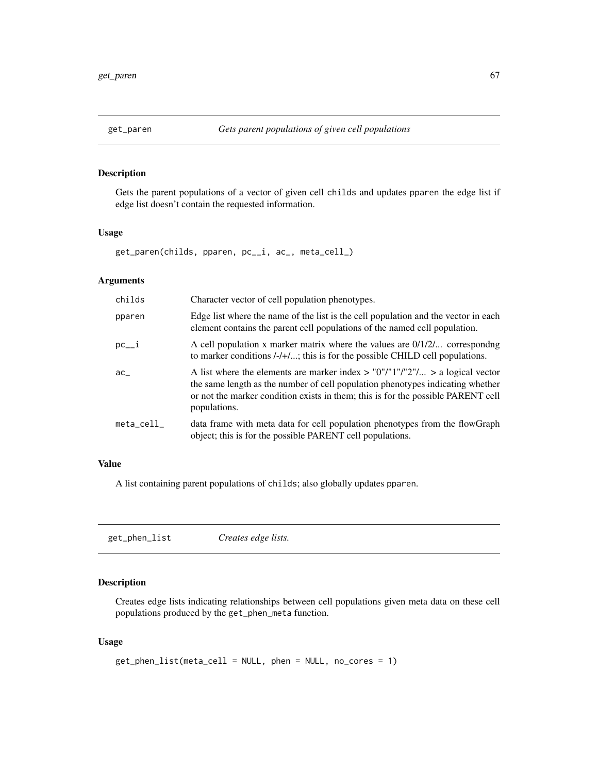# Description

Gets the parent populations of a vector of given cell childs and updates pparen the edge list if edge list doesn't contain the requested information.

# Usage

```
get_paren(childs, pparen, pc__i, ac_, meta_cell_)
```
# Arguments

| childs                 | Character vector of cell population phenotypes.                                                                                                                                                                                                                        |
|------------------------|------------------------------------------------------------------------------------------------------------------------------------------------------------------------------------------------------------------------------------------------------------------------|
| pparen                 | Edge list where the name of the list is the cell population and the vector in each<br>element contains the parent cell populations of the named cell population.                                                                                                       |
| $pc_{-1}$              | A cell population x marker matrix where the values are $0/1/2/$ correspondng<br>to marker conditions /-/+/; this is for the possible CHILD cell populations.                                                                                                           |
| $ac_{-}$               | A list where the elements are marker index $>$ "0"/"1"/"2"/ $>$ a logical vector<br>the same length as the number of cell population phenotypes indicating whether<br>or not the marker condition exists in them; this is for the possible PARENT cell<br>populations. |
| $meta$ <sub>cell</sub> | data frame with meta data for cell population phenotypes from the flowGraph<br>object; this is for the possible PARENT cell populations.                                                                                                                               |

#### Value

A list containing parent populations of childs; also globally updates pparen.

<span id="page-66-0"></span>get\_phen\_list *Creates edge lists.*

# Description

Creates edge lists indicating relationships between cell populations given meta data on these cell populations produced by the get\_phen\_meta function.

#### Usage

```
get_phen_list(meta_cell = NULL, phen = NULL, no_cores = 1)
```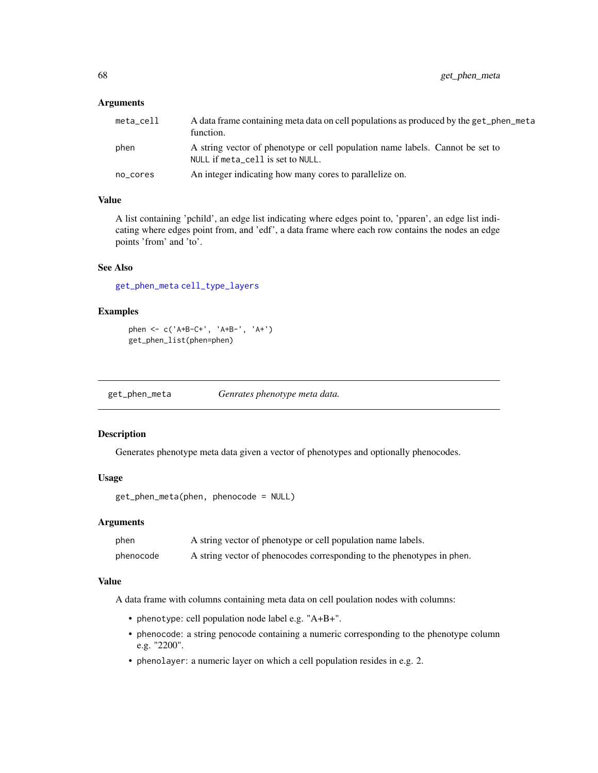#### **Arguments**

| meta_cell | A data frame containing meta data on cell populations as produced by the get_phen_meta<br>function.                |
|-----------|--------------------------------------------------------------------------------------------------------------------|
| phen      | A string vector of phenotype or cell population name labels. Cannot be set to<br>NULL if meta_cell is set to NULL. |
| no_cores  | An integer indicating how many cores to parallelize on.                                                            |

# Value

A list containing 'pchild', an edge list indicating where edges point to, 'pparen', an edge list indicating where edges point from, and 'edf', a data frame where each row contains the nodes an edge points 'from' and 'to'.

# See Also

[get\\_phen\\_meta](#page-67-0) [cell\\_type\\_layers](#page-2-0)

# Examples

```
phen <- c('A+B-C+', 'A+B-', 'A+')
get_phen_list(phen=phen)
```
<span id="page-67-0"></span>get\_phen\_meta *Genrates phenotype meta data.*

# Description

Generates phenotype meta data given a vector of phenotypes and optionally phenocodes.

# Usage

```
get_phen_meta(phen, phenocode = NULL)
```
#### Arguments

| phen      | A string vector of phenotype or cell population name labels.           |
|-----------|------------------------------------------------------------------------|
| phenocode | A string vector of phenocodes corresponding to the phenotypes in phen. |

#### Value

A data frame with columns containing meta data on cell poulation nodes with columns:

- phenotype: cell population node label e.g. "A+B+".
- phenocode: a string penocode containing a numeric corresponding to the phenotype column e.g. "2200".
- phenolayer: a numeric layer on which a cell population resides in e.g. 2.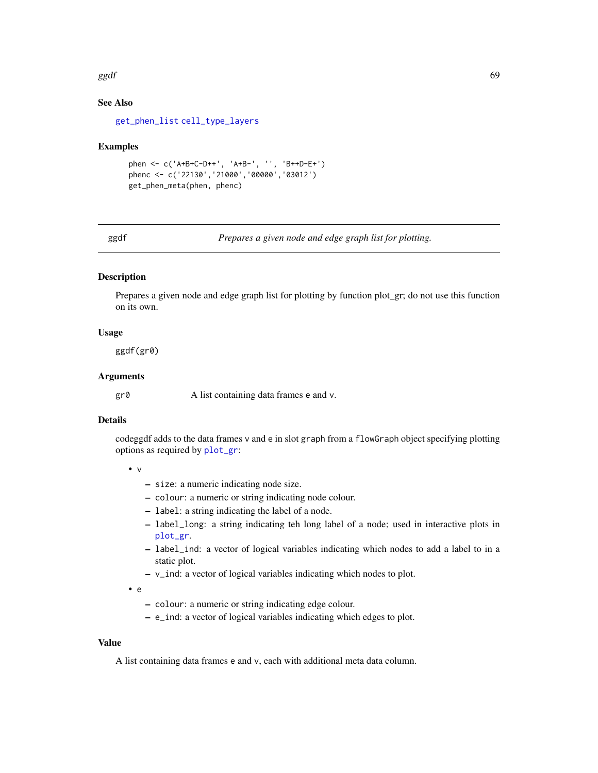#### $ggdf$  69

# See Also

[get\\_phen\\_list](#page-66-0) [cell\\_type\\_layers](#page-2-0)

#### Examples

```
phen <- c('A+B+C-D++', 'A+B-', '', 'B++D-E+')
phenc <- c('22130','21000','00000','03012')
get_phen_meta(phen, phenc)
```
<span id="page-68-0"></span>ggdf *Prepares a given node and edge graph list for plotting.*

# Description

Prepares a given node and edge graph list for plotting by function plot\_gr; do not use this function on its own.

# Usage

ggdf(gr0)

# Arguments

gr0 A list containing data frames e and v.

# Details

codeggdf adds to the data frames v and e in slot graph from a flowGraph object specifying plotting options as required by [plot\\_gr](#page-72-0):

• v

- size: a numeric indicating node size.
- colour: a numeric or string indicating node colour.
- label: a string indicating the label of a node.
- label\_long: a string indicating teh long label of a node; used in interactive plots in [plot\\_gr](#page-72-0).
- label\_ind: a vector of logical variables indicating which nodes to add a label to in a static plot.
- v\_ind: a vector of logical variables indicating which nodes to plot.

• e

- colour: a numeric or string indicating edge colour.
- e\_ind: a vector of logical variables indicating which edges to plot.

#### Value

A list containing data frames e and v, each with additional meta data column.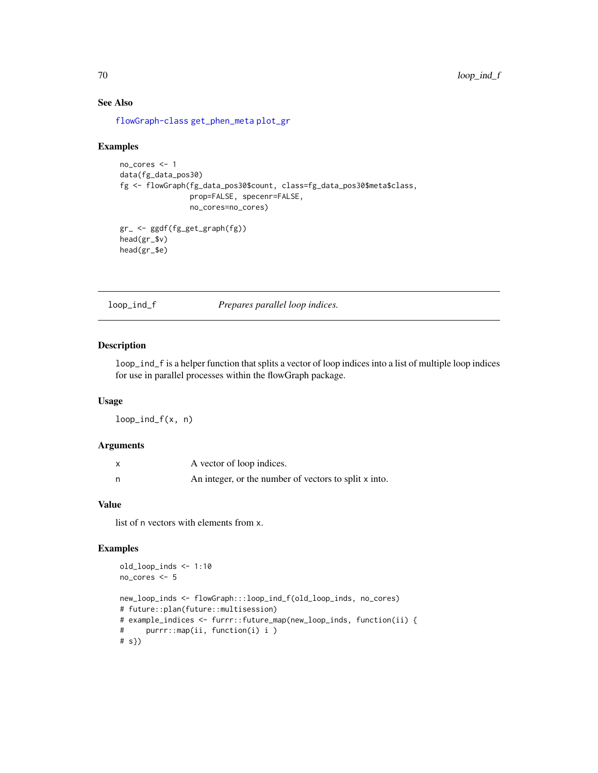# See Also

[flowGraph-class](#page-57-0) [get\\_phen\\_meta](#page-67-0) [plot\\_gr](#page-72-0)

#### Examples

```
no_cores <- 1
data(fg_data_pos30)
fg <- flowGraph(fg_data_pos30$count, class=fg_data_pos30$meta$class,
                prop=FALSE, specenr=FALSE,
                no_cores=no_cores)
gr_ <- ggdf(fg_get_graph(fg))
head(gr_$v)
head(gr_$e)
```
loop\_ind\_f *Prepares parallel loop indices.*

#### Description

loop\_ind\_f is a helper function that splits a vector of loop indices into a list of multiple loop indices for use in parallel processes within the flowGraph package.

# Usage

 $loop\_ind_f(x, n)$ 

# Arguments

| x | A vector of loop indices.                             |
|---|-------------------------------------------------------|
| n | An integer, or the number of vectors to split x into. |

# Value

list of n vectors with elements from x.

## Examples

```
old_loop_inds <- 1:10
no_cores <- 5
new_loop_inds <- flowGraph:::loop_ind_f(old_loop_inds, no_cores)
# future::plan(future::multisession)
# example_indices <- furrr::future_map(new_loop_inds, function(ii) {
# purrr::map(ii, function(i) i )
# s})
```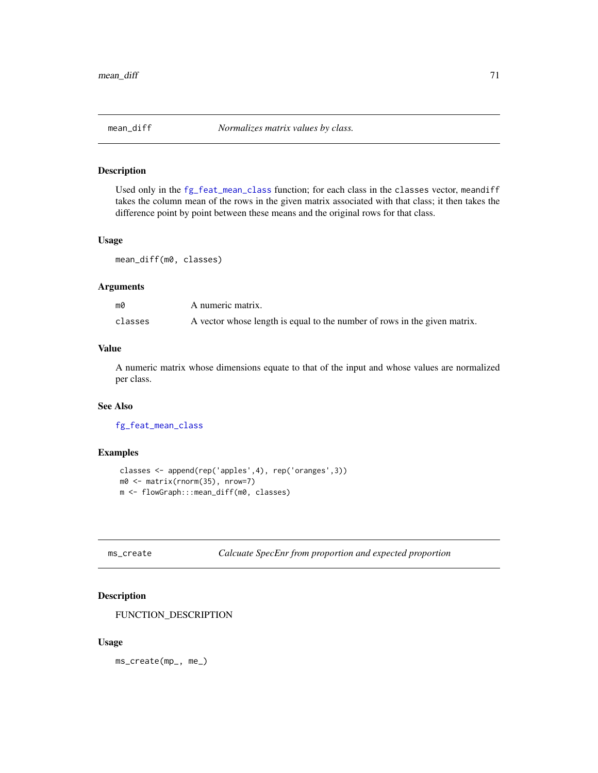# Description

Used only in the [fg\\_feat\\_mean\\_class](#page-16-0) function; for each class in the classes vector, meandiff takes the column mean of the rows in the given matrix associated with that class; it then takes the difference point by point between these means and the original rows for that class.

#### Usage

mean\_diff(m0, classes)

# Arguments

| m0      | A numeric matrix.                                                         |
|---------|---------------------------------------------------------------------------|
| classes | A vector whose length is equal to the number of rows in the given matrix. |

# Value

A numeric matrix whose dimensions equate to that of the input and whose values are normalized per class.

#### See Also

[fg\\_feat\\_mean\\_class](#page-16-0)

#### Examples

```
classes <- append(rep('apples',4), rep('oranges',3))
m0 <- matrix(rnorm(35), nrow=7)
m <- flowGraph:::mean_diff(m0, classes)
```

```
ms_create Calcuate SpecEnr from proportion and expected proportion
```
# Description

FUNCTION\_DESCRIPTION

#### Usage

ms\_create(mp\_, me\_)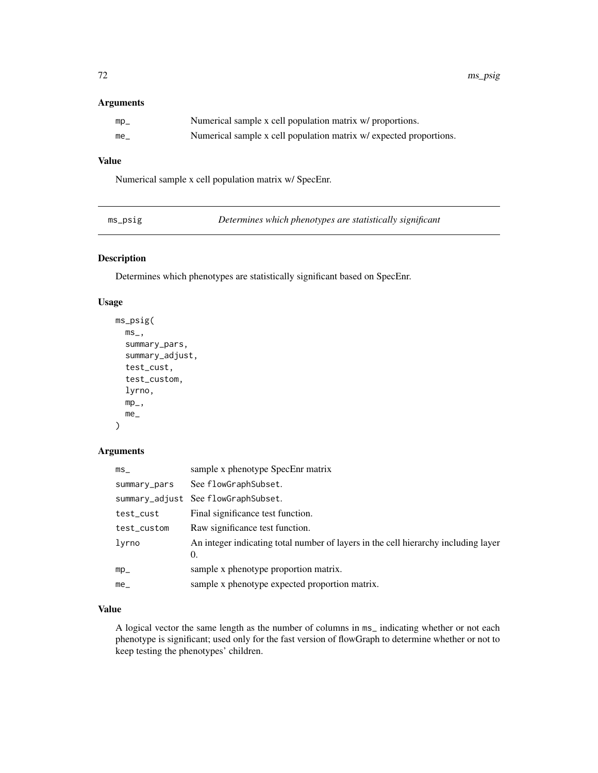#### Arguments

| $mp_$    | Numerical sample x cell population matrix w/ proportions.          |
|----------|--------------------------------------------------------------------|
| $me_{-}$ | Numerical sample x cell population matrix w/ expected proportions. |

# Value

Numerical sample x cell population matrix w/ SpecEnr.

| $ms\_ps1g$ |
|------------|
|            |

Determines which phenotypes are statistically significant

# Description

Determines which phenotypes are statistically significant based on SpecEnr.

# Usage

```
ms_psig(
  ms_summary_pars,
  summary_adjust,
  test_cust,
  test_custom,
  lyrno,
  mp_-,me_
\lambda
```
# Arguments

| ms           | sample x phenotype SpecEnr matrix                                                        |
|--------------|------------------------------------------------------------------------------------------|
| summary_pars | See flowGraphSubset.                                                                     |
|              | summary_adjust See flowGraphSubset.                                                      |
| test_cust    | Final significance test function.                                                        |
| test_custom  | Raw significance test function.                                                          |
| lyrno        | An integer indicating total number of layers in the cell hierarchy including layer<br>0. |
| $mp_$        | sample x phenotype proportion matrix.                                                    |
| me           | sample x phenotype expected proportion matrix.                                           |

## Value

A logical vector the same length as the number of columns in ms\_ indicating whether or not each phenotype is significant; used only for the fast version of flowGraph to determine whether or not to keep testing the phenotypes' children.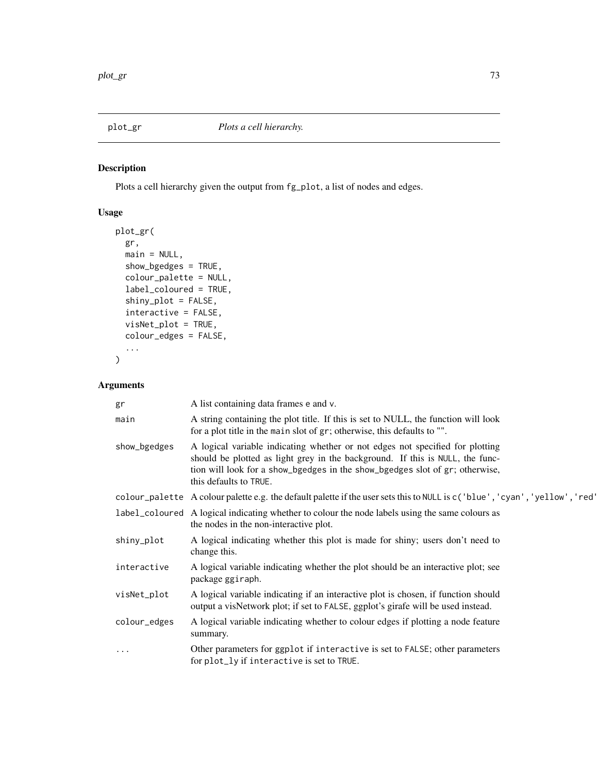<span id="page-72-0"></span>

## Description

Plots a cell hierarchy given the output from fg\_plot, a list of nodes and edges.

## Usage

```
plot_gr(
 gr,
 main = NULL,show_bgedges = TRUE,
  colour_palette = NULL,
  label_coloured = TRUE,
  shiny_plot = FALSE,
  interactive = FALSE,
  visNet_plot = TRUE,
 colour_edges = FALSE,
  ...
)
```
## Arguments

| gr           | A list containing data frames e and v.                                                                                                                                                                                                                                   |
|--------------|--------------------------------------------------------------------------------------------------------------------------------------------------------------------------------------------------------------------------------------------------------------------------|
| main         | A string containing the plot title. If this is set to NULL, the function will look<br>for a plot title in the main slot of gr; otherwise, this defaults to "".                                                                                                           |
| show_bgedges | A logical variable indicating whether or not edges not specified for plotting<br>should be plotted as light grey in the background. If this is NULL, the func-<br>tion will look for a show_bgedges in the show_bgedges slot of gr; otherwise,<br>this defaults to TRUE. |
|              | colour_palette A colour palette e.g. the default palette if the user sets this to NULL is c('blue', 'cyan', 'yellow', 'red'                                                                                                                                              |
|              | label_coloured A logical indicating whether to colour the node labels using the same colours as<br>the nodes in the non-interactive plot.                                                                                                                                |
| shiny_plot   | A logical indicating whether this plot is made for shiny; users don't need to<br>change this.                                                                                                                                                                            |
| interactive  | A logical variable indicating whether the plot should be an interactive plot; see<br>package ggiraph.                                                                                                                                                                    |
| visNet_plot  | A logical variable indicating if an interactive plot is chosen, if function should<br>output a visNetwork plot; if set to FALSE, ggplot's girafe will be used instead.                                                                                                   |
| colour_edges | A logical variable indicating whether to colour edges if plotting a node feature<br>summary.                                                                                                                                                                             |
| $\cdots$     | Other parameters for ggplot if interactive is set to FALSE; other parameters<br>for plot_ly if interactive is set to TRUE.                                                                                                                                               |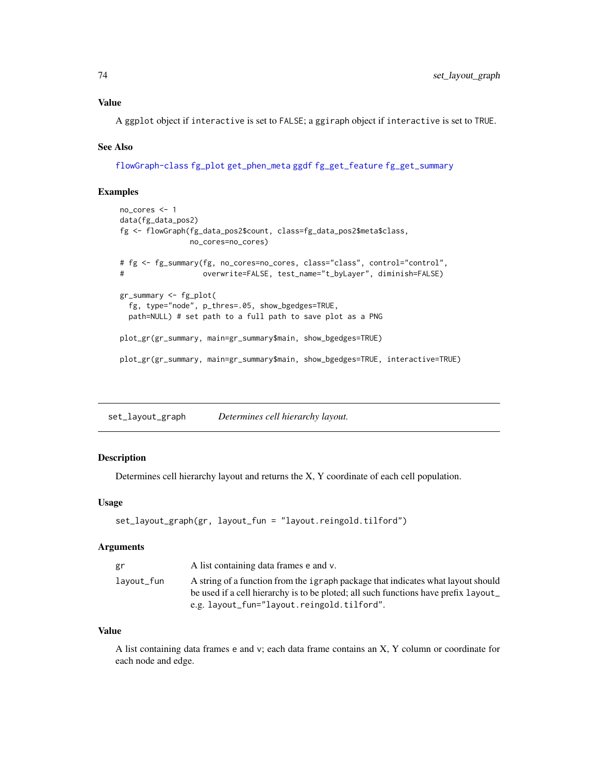<span id="page-73-0"></span>A ggplot object if interactive is set to FALSE; a ggiraph object if interactive is set to TRUE.

#### See Also

[flowGraph-class](#page-57-0) [fg\\_plot](#page-36-0) [get\\_phen\\_meta](#page-67-0) [ggdf](#page-68-0) [fg\\_get\\_feature](#page-20-0) [fg\\_get\\_summary](#page-25-0)

#### Examples

```
no_cores <- 1
data(fg_data_pos2)
fg <- flowGraph(fg_data_pos2$count, class=fg_data_pos2$meta$class,
               no_cores=no_cores)
# fg <- fg_summary(fg, no_cores=no_cores, class="class", control="control",
# overwrite=FALSE, test_name="t_byLayer", diminish=FALSE)
gr_summary <- fg_plot(
  fg, type="node", p_thres=.05, show_bgedges=TRUE,
 path=NULL) # set path to a full path to save plot as a PNG
plot_gr(gr_summary, main=gr_summary$main, show_bgedges=TRUE)
plot_gr(gr_summary, main=gr_summary$main, show_bgedges=TRUE, interactive=TRUE)
```
set\_layout\_graph *Determines cell hierarchy layout.*

#### Description

Determines cell hierarchy layout and returns the X, Y coordinate of each cell population.

#### Usage

```
set_layout_graph(gr, layout_fun = "layout.reingold.tilford")
```
### Arguments

| gr         | A list containing data frames e and v.                                             |
|------------|------------------------------------------------------------------------------------|
| lavout_fun | A string of a function from the igraph package that indicates what layout should   |
|            | be used if a cell hierarchy is to be ploted; all such functions have prefix layout |
|            | e.g. layout_fun="layout.reingold.tilford".                                         |

#### Value

A list containing data frames e and v; each data frame contains an X, Y column or coordinate for each node and edge.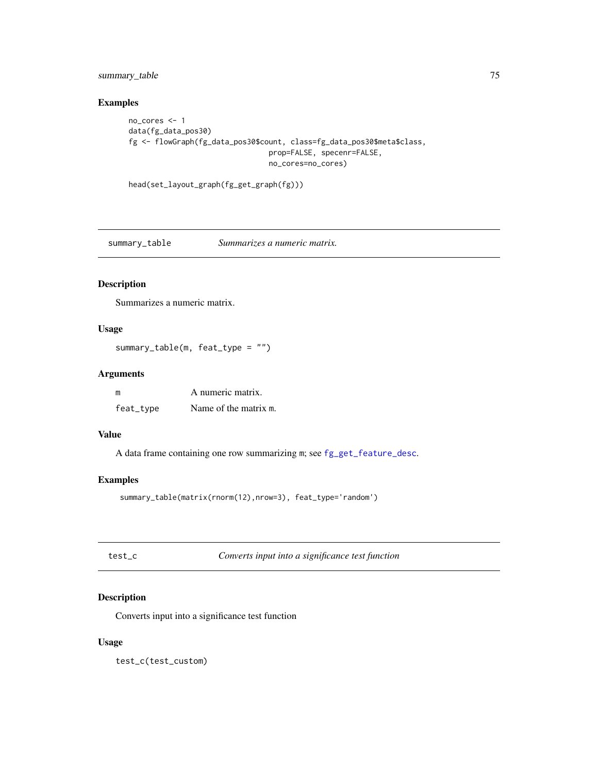<span id="page-74-0"></span>summary\_table 75

## Examples

```
no_cores <- 1
data(fg_data_pos30)
fg <- flowGraph(fg_data_pos30$count, class=fg_data_pos30$meta$class,
                                prop=FALSE, specenr=FALSE,
                                no_cores=no_cores)
```

```
head(set_layout_graph(fg_get_graph(fg)))
```
summary\_table *Summarizes a numeric matrix.*

# Description

Summarizes a numeric matrix.

### Usage

```
summary_table(m, feat_type = "")
```
#### Arguments

| m         | A numeric matrix.     |
|-----------|-----------------------|
| feat_type | Name of the matrix m. |

## Value

A data frame containing one row summarizing m; see [fg\\_get\\_feature\\_desc](#page-21-0).

## Examples

```
summary_table(matrix(rnorm(12),nrow=3), feat_type='random')
```
test\_c *Converts input into a significance test function*

## Description

Converts input into a significance test function

## Usage

test\_c(test\_custom)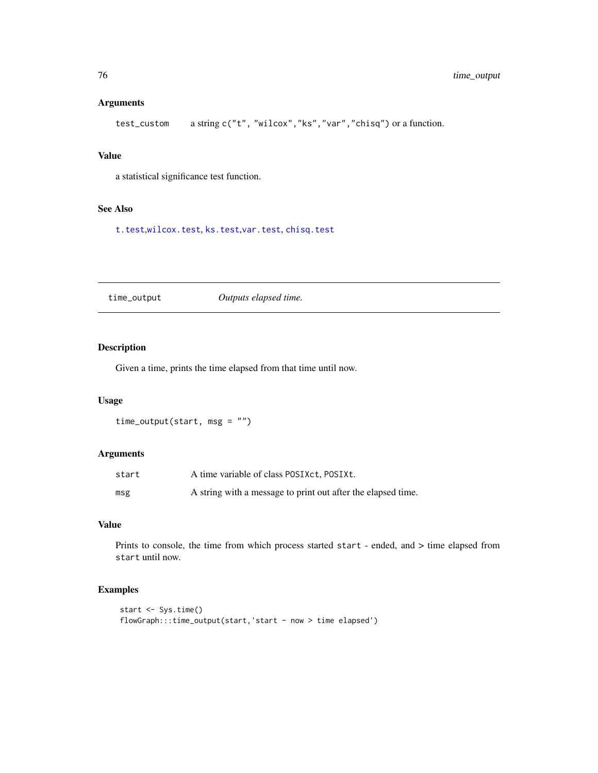#### <span id="page-75-0"></span>Arguments

```
test_custom a string c("t", "wilcox","ks","var","chisq") or a function.
```
## Value

a statistical significance test function.

#### See Also

[t.test](#page-0-0),[wilcox.test](#page-0-0), [ks.test](#page-0-0),[var.test](#page-0-0), [chisq.test](#page-0-0)

time\_output *Outputs elapsed time.*

## Description

Given a time, prints the time elapsed from that time until now.

### Usage

```
time_output(start, msg = "")
```
## Arguments

| start | A time variable of class POSIX ct, POSIX t.                  |
|-------|--------------------------------------------------------------|
| msg   | A string with a message to print out after the elapsed time. |

### Value

Prints to console, the time from which process started start - ended, and > time elapsed from start until now.

## Examples

```
start <- Sys.time()
flowGraph:::time_output(start,'start - now > time elapsed')
```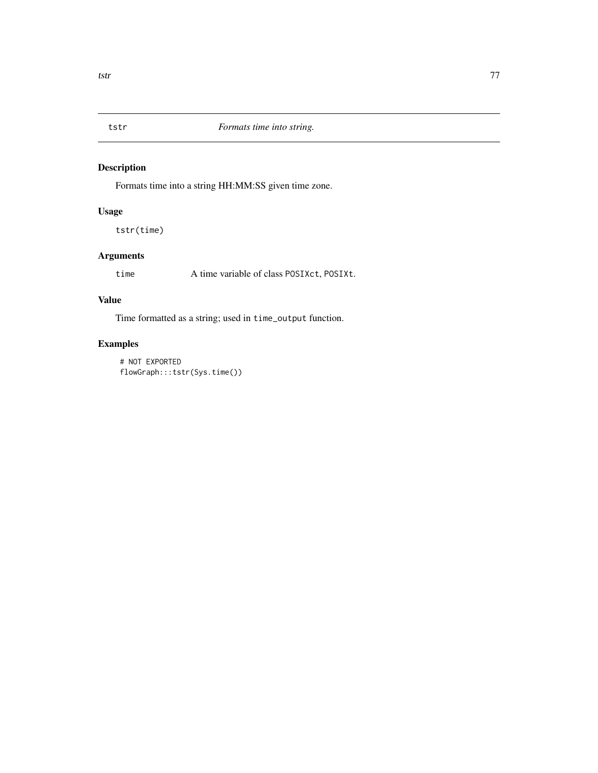<span id="page-76-0"></span>

## Description

Formats time into a string HH:MM:SS given time zone.

## Usage

tstr(time)

# Arguments

time A time variable of class POSIXct, POSIXt.

## Value

Time formatted as a string; used in time\_output function.

## Examples

# NOT EXPORTED flowGraph:::tstr(Sys.time())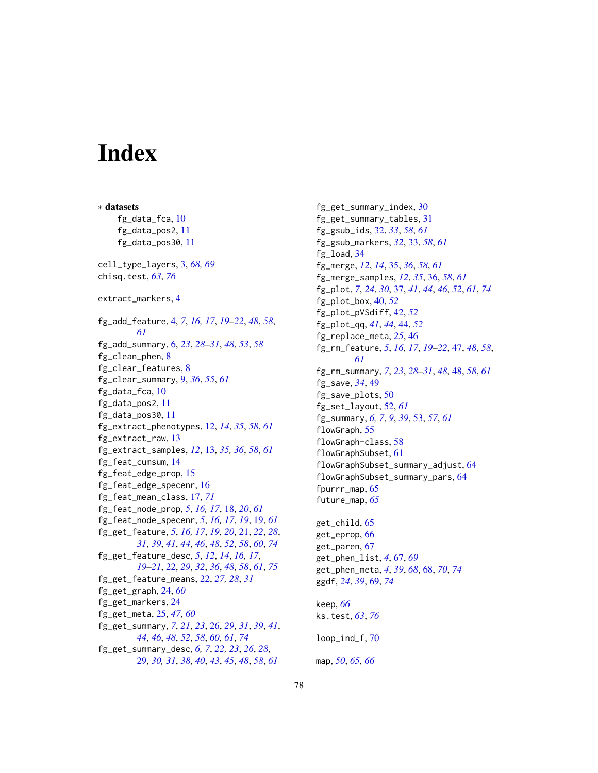# Index

∗ datasets fg\_data\_fca, [10](#page-9-0) fg\_data\_pos2, [11](#page-10-0) fg\_data\_pos30, [11](#page-10-0) cell\_type\_layers, [3,](#page-2-0) *[68,](#page-67-1) [69](#page-68-1)* chisq.test, *[63](#page-62-0)*, *[76](#page-75-0)* extract\_markers, [4](#page-3-0) fg\_add\_feature, [4,](#page-3-0) *[7](#page-6-0)*, *[16,](#page-15-0) [17](#page-16-0)*, *[19–](#page-18-0)[22](#page-21-1)*, *[48](#page-47-0)*, *[58](#page-57-1)*, *[61](#page-60-0)* fg\_add\_summary, [6,](#page-5-0) *[23](#page-22-0)*, *[28–](#page-27-0)[31](#page-30-0)*, *[48](#page-47-0)*, *[53](#page-52-0)*, *[58](#page-57-1)* fg\_clean\_phen, [8](#page-7-0) fg\_clear\_features, [8](#page-7-0) fg\_clear\_summary, [9,](#page-8-0) *[36](#page-35-0)*, *[55](#page-54-0)*, *[61](#page-60-0)* fg\_data\_fca, [10](#page-9-0) fg\_data\_pos2, [11](#page-10-0) fg\_data\_pos30, [11](#page-10-0) fg\_extract\_phenotypes, [12,](#page-11-0) *[14](#page-13-0)*, *[35](#page-34-0)*, *[58](#page-57-1)*, *[61](#page-60-0)* fg\_extract\_raw, [13](#page-12-0) fg\_extract\_samples, *[12](#page-11-0)*, [13,](#page-12-0) *[35,](#page-34-0) [36](#page-35-0)*, *[58](#page-57-1)*, *[61](#page-60-0)* fg\_feat\_cumsum, [14](#page-13-0) fg\_feat\_edge\_prop, [15](#page-14-0) fg\_feat\_edge\_specenr, [16](#page-15-0) fg\_feat\_mean\_class, [17,](#page-16-0) *[71](#page-70-0)* fg\_feat\_node\_prop, *[5](#page-4-0)*, *[16,](#page-15-0) [17](#page-16-0)*, [18,](#page-17-0) *[20](#page-19-0)*, *[61](#page-60-0)* fg\_feat\_node\_specenr, *[5](#page-4-0)*, *[16,](#page-15-0) [17](#page-16-0)*, *[19](#page-18-0)*, [19,](#page-18-0) *[61](#page-60-0)* fg\_get\_feature, *[5](#page-4-0)*, *[16,](#page-15-0) [17](#page-16-0)*, *[19,](#page-18-0) [20](#page-19-0)*, [21,](#page-20-1) *[22](#page-21-1)*, *[28](#page-27-0)*, *[31](#page-30-0)*, *[39](#page-38-0)*, *[41](#page-40-0)*, *[44](#page-43-0)*, *[46](#page-45-0)*, *[48](#page-47-0)*, *[52](#page-51-0)*, *[58](#page-57-1)*, *[60](#page-59-0)*, *[74](#page-73-0)* fg\_get\_feature\_desc, *[5](#page-4-0)*, *[12](#page-11-0)*, *[14](#page-13-0)*, *[16,](#page-15-0) [17](#page-16-0)*, *[19](#page-18-0)[–21](#page-20-1)*, [22,](#page-21-1) *[29](#page-28-0)*, *[32](#page-31-0)*, *[36](#page-35-0)*, *[48](#page-47-0)*, *[58](#page-57-1)*, *[61](#page-60-0)*, *[75](#page-74-0)* fg\_get\_feature\_means, [22,](#page-21-1) *[27,](#page-26-0) [28](#page-27-0)*, *[31](#page-30-0)* fg\_get\_graph, [24,](#page-23-0) *[60](#page-59-0)* fg\_get\_markers, [24](#page-23-0) fg\_get\_meta, [25,](#page-24-0) *[47](#page-46-0)*, *[60](#page-59-0)* fg\_get\_summary, *[7](#page-6-0)*, *[21](#page-20-1)*, *[23](#page-22-0)*, [26,](#page-25-1) *[29](#page-28-0)*, *[31](#page-30-0)*, *[39](#page-38-0)*, *[41](#page-40-0)*, *[44](#page-43-0)*, *[46](#page-45-0)*, *[48](#page-47-0)*, *[52](#page-51-0)*, *[58](#page-57-1)*, *[60,](#page-59-0) [61](#page-60-0)*, *[74](#page-73-0)* fg\_get\_summary\_desc, *[6,](#page-5-0) [7](#page-6-0)*, *[22,](#page-21-1) [23](#page-22-0)*, *[26](#page-25-1)*, *[28](#page-27-0)*, [29,](#page-28-0) *[30,](#page-29-0) [31](#page-30-0)*, *[38](#page-37-0)*, *[40](#page-39-0)*, *[43](#page-42-0)*, *[45](#page-44-0)*, *[48](#page-47-0)*, *[58](#page-57-1)*, *[61](#page-60-0)*

fg\_get\_summary\_index, [30](#page-29-0) fg\_get\_summary\_tables, [31](#page-30-0) fg\_gsub\_ids, [32,](#page-31-0) *[33](#page-32-0)*, *[58](#page-57-1)*, *[61](#page-60-0)* fg\_gsub\_markers, *[32](#page-31-0)*, [33,](#page-32-0) *[58](#page-57-1)*, *[61](#page-60-0)* fg\_load, [34](#page-33-0) fg\_merge, *[12](#page-11-0)*, *[14](#page-13-0)*, [35,](#page-34-0) *[36](#page-35-0)*, *[58](#page-57-1)*, *[61](#page-60-0)* fg\_merge\_samples, *[12](#page-11-0)*, *[35](#page-34-0)*, [36,](#page-35-0) *[58](#page-57-1)*, *[61](#page-60-0)* fg\_plot, *[7](#page-6-0)*, *[24](#page-23-0)*, *[30](#page-29-0)*, [37,](#page-36-1) *[41](#page-40-0)*, *[44](#page-43-0)*, *[46](#page-45-0)*, *[52](#page-51-0)*, *[61](#page-60-0)*, *[74](#page-73-0)* fg\_plot\_box, [40,](#page-39-0) *[52](#page-51-0)* fg\_plot\_pVSdiff, [42,](#page-41-0) *[52](#page-51-0)* fg\_plot\_qq, *[41](#page-40-0)*, *[44](#page-43-0)*, [44,](#page-43-0) *[52](#page-51-0)* fg\_replace\_meta, *[25](#page-24-0)*, [46](#page-45-0) fg\_rm\_feature, *[5](#page-4-0)*, *[16,](#page-15-0) [17](#page-16-0)*, *[19](#page-18-0)[–22](#page-21-1)*, [47,](#page-46-0) *[48](#page-47-0)*, *[58](#page-57-1)*, *[61](#page-60-0)* fg\_rm\_summary, *[7](#page-6-0)*, *[23](#page-22-0)*, *[28](#page-27-0)[–31](#page-30-0)*, *[48](#page-47-0)*, [48,](#page-47-0) *[58](#page-57-1)*, *[61](#page-60-0)* fg\_save, *[34](#page-33-0)*, [49](#page-48-0) fg\_save\_plots, [50](#page-49-0) fg\_set\_layout, [52,](#page-51-0) *[61](#page-60-0)* fg\_summary, *[6,](#page-5-0) [7](#page-6-0)*, *[9](#page-8-0)*, *[39](#page-38-0)*, [53,](#page-52-0) *[57](#page-56-0)*, *[61](#page-60-0)* flowGraph, [55](#page-54-0) flowGraph-class, [58](#page-57-1) flowGraphSubset, [61](#page-60-0) flowGraphSubset\_summary\_adjust, [64](#page-63-0) flowGraphSubset\_summary\_pars, [64](#page-63-0) fpurrr\_map, [65](#page-64-0) future\_map, *[65](#page-64-0)* get\_child, [65](#page-64-0)

get\_eprop, [66](#page-65-0) get\_paren, [67](#page-66-0) get\_phen\_list, *[4](#page-3-0)*, [67,](#page-66-0) *[69](#page-68-1)* get\_phen\_meta, *[4](#page-3-0)*, *[39](#page-38-0)*, *[68](#page-67-1)*, [68,](#page-67-1) *[70](#page-69-0)*, *[74](#page-73-0)* ggdf, *[24](#page-23-0)*, *[39](#page-38-0)*, [69,](#page-68-1) *[74](#page-73-0)*

keep, *[66](#page-65-0)* ks.test, *[63](#page-62-0)*, *[76](#page-75-0)* loop\_ind\_f, [70](#page-69-0) map, *[50](#page-49-0)*, *[65,](#page-64-0) [66](#page-65-0)*